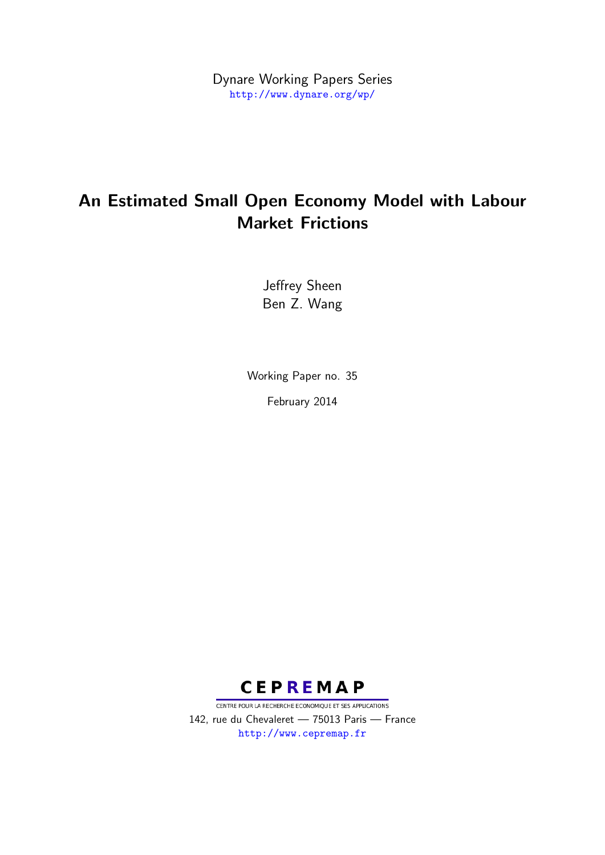Dynare Working Papers Series <http://www.dynare.org/wp/>

# An Estimated Small Open Economy Model with Labour Market Frictions

Jeffrey Sheen Ben Z. Wang

Working Paper no. 35 February 2014



CENTRE POUR LA RECHERCHE ECONOMIQUE ET SES APPLICATIONS 142, rue du Chevaleret — 75013 Paris — France <http://www.cepremap.fr>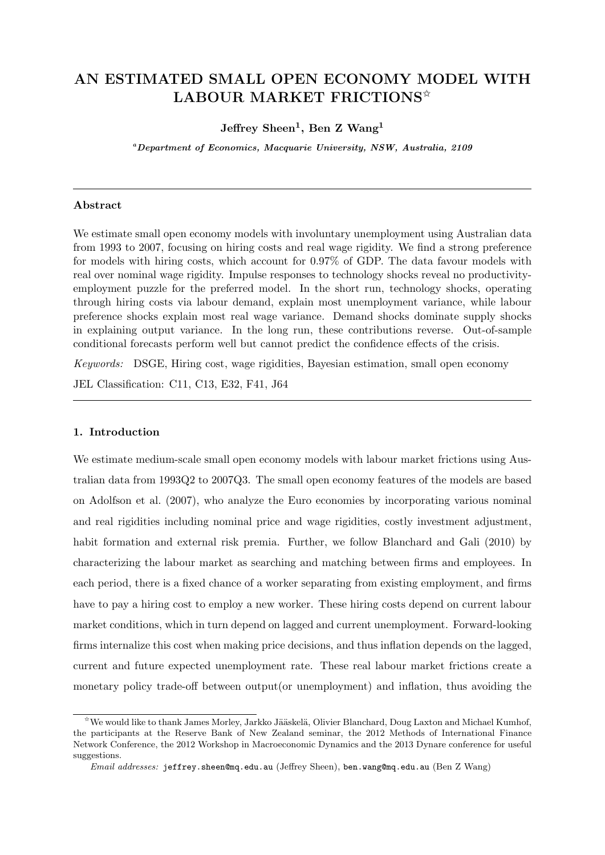## **AN ESTIMATED SMALL OPEN ECONOMY MODEL WITH LABOUR MARKET FRICTIONS**✩

## **Jeffrey Sheen<sup>1</sup> , Ben Z Wang<sup>1</sup>**

*<sup>a</sup>Department of Economics, Macquarie University, NSW, Australia, 2109*

### **Abstract**

We estimate small open economy models with involuntary unemployment using Australian data from 1993 to 2007, focusing on hiring costs and real wage rigidity. We find a strong preference for models with hiring costs, which account for 0.97% of GDP. The data favour models with real over nominal wage rigidity. Impulse responses to technology shocks reveal no productivityemployment puzzle for the preferred model. In the short run, technology shocks, operating through hiring costs via labour demand, explain most unemployment variance, while labour preference shocks explain most real wage variance. Demand shocks dominate supply shocks in explaining output variance. In the long run, these contributions reverse. Out-of-sample conditional forecasts perform well but cannot predict the confidence effects of the crisis.

*Keywords:* DSGE, Hiring cost, wage rigidities, Bayesian estimation, small open economy

JEL Classification: C11, C13, E32, F41, J64

#### **1. Introduction**

We estimate medium-scale small open economy models with labour market frictions using Australian data from 1993Q2 to 2007Q3. The small open economy features of the models are based on Adolfson et al. (2007), who analyze the Euro economies by incorporating various nominal and real rigidities including nominal price and wage rigidities, costly investment adjustment, habit formation and external risk premia. Further, we follow Blanchard and Gali (2010) by characterizing the labour market as searching and matching between firms and employees. In each period, there is a fixed chance of a worker separating from existing employment, and firms have to pay a hiring cost to employ a new worker. These hiring costs depend on current labour market conditions, which in turn depend on lagged and current unemployment. Forward-looking firms internalize this cost when making price decisions, and thus inflation depends on the lagged, current and future expected unemployment rate. These real labour market frictions create a monetary policy trade-off between output(or unemployment) and inflation, thus avoiding the

<sup>&</sup>lt;sup>☆</sup>We would like to thank James Morley, Jarkko Jääskelä, Olivier Blanchard, Doug Laxton and Michael Kumhof, the participants at the Reserve Bank of New Zealand seminar, the 2012 Methods of International Finance Network Conference, the 2012 Workshop in Macroeconomic Dynamics and the 2013 Dynare conference for useful suggestions.

*Email addresses:* jeffrey.sheen@mq.edu.au (Jeffrey Sheen), ben.wang@mq.edu.au (Ben Z Wang)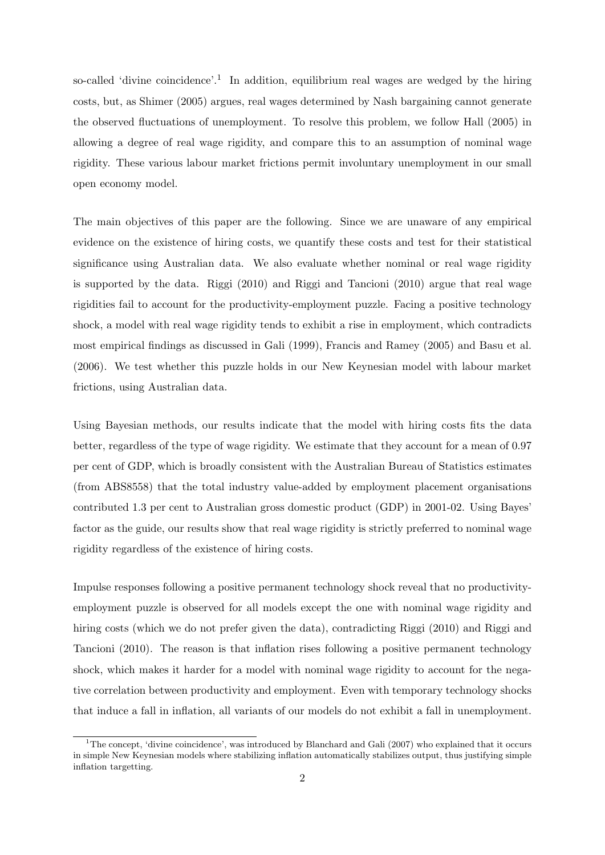so-called 'divine coincidence'.<sup>1</sup> In addition, equilibrium real wages are wedged by the hiring costs, but, as Shimer (2005) argues, real wages determined by Nash bargaining cannot generate the observed fluctuations of unemployment. To resolve this problem, we follow Hall (2005) in allowing a degree of real wage rigidity, and compare this to an assumption of nominal wage rigidity. These various labour market frictions permit involuntary unemployment in our small open economy model.

The main objectives of this paper are the following. Since we are unaware of any empirical evidence on the existence of hiring costs, we quantify these costs and test for their statistical significance using Australian data. We also evaluate whether nominal or real wage rigidity is supported by the data. Riggi (2010) and Riggi and Tancioni (2010) argue that real wage rigidities fail to account for the productivity-employment puzzle. Facing a positive technology shock, a model with real wage rigidity tends to exhibit a rise in employment, which contradicts most empirical findings as discussed in Gali (1999), Francis and Ramey (2005) and Basu et al. (2006). We test whether this puzzle holds in our New Keynesian model with labour market frictions, using Australian data.

Using Bayesian methods, our results indicate that the model with hiring costs fits the data better, regardless of the type of wage rigidity. We estimate that they account for a mean of 0.97 per cent of GDP, which is broadly consistent with the Australian Bureau of Statistics estimates (from ABS8558) that the total industry value-added by employment placement organisations contributed 1.3 per cent to Australian gross domestic product (GDP) in 2001-02. Using Bayes' factor as the guide, our results show that real wage rigidity is strictly preferred to nominal wage rigidity regardless of the existence of hiring costs.

Impulse responses following a positive permanent technology shock reveal that no productivityemployment puzzle is observed for all models except the one with nominal wage rigidity and hiring costs (which we do not prefer given the data), contradicting Riggi (2010) and Riggi and Tancioni (2010). The reason is that inflation rises following a positive permanent technology shock, which makes it harder for a model with nominal wage rigidity to account for the negative correlation between productivity and employment. Even with temporary technology shocks that induce a fall in inflation, all variants of our models do not exhibit a fall in unemployment.

<sup>&</sup>lt;sup>1</sup>The concept, 'divine coincidence', was introduced by Blanchard and Gali (2007) who explained that it occurs in simple New Keynesian models where stabilizing inflation automatically stabilizes output, thus justifying simple inflation targetting.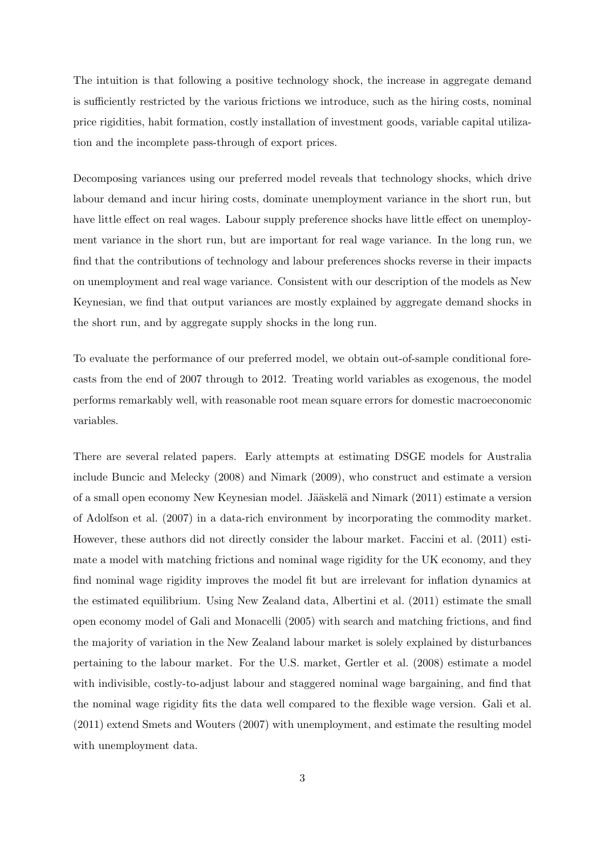The intuition is that following a positive technology shock, the increase in aggregate demand is sufficiently restricted by the various frictions we introduce, such as the hiring costs, nominal price rigidities, habit formation, costly installation of investment goods, variable capital utilization and the incomplete pass-through of export prices.

Decomposing variances using our preferred model reveals that technology shocks, which drive labour demand and incur hiring costs, dominate unemployment variance in the short run, but have little effect on real wages. Labour supply preference shocks have little effect on unemployment variance in the short run, but are important for real wage variance. In the long run, we find that the contributions of technology and labour preferences shocks reverse in their impacts on unemployment and real wage variance. Consistent with our description of the models as New Keynesian, we find that output variances are mostly explained by aggregate demand shocks in the short run, and by aggregate supply shocks in the long run.

To evaluate the performance of our preferred model, we obtain out-of-sample conditional forecasts from the end of 2007 through to 2012. Treating world variables as exogenous, the model performs remarkably well, with reasonable root mean square errors for domestic macroeconomic variables.

There are several related papers. Early attempts at estimating DSGE models for Australia include Buncic and Melecky (2008) and Nimark (2009), who construct and estimate a version of a small open economy New Keynesian model. Jääskelä and Nimark (2011) estimate a version of Adolfson et al. (2007) in a data-rich environment by incorporating the commodity market. However, these authors did not directly consider the labour market. Faccini et al. (2011) estimate a model with matching frictions and nominal wage rigidity for the UK economy, and they find nominal wage rigidity improves the model fit but are irrelevant for inflation dynamics at the estimated equilibrium. Using New Zealand data, Albertini et al. (2011) estimate the small open economy model of Gali and Monacelli (2005) with search and matching frictions, and find the majority of variation in the New Zealand labour market is solely explained by disturbances pertaining to the labour market. For the U.S. market, Gertler et al. (2008) estimate a model with indivisible, costly-to-adjust labour and staggered nominal wage bargaining, and find that the nominal wage rigidity fits the data well compared to the flexible wage version. Gali et al. (2011) extend Smets and Wouters (2007) with unemployment, and estimate the resulting model with unemployment data.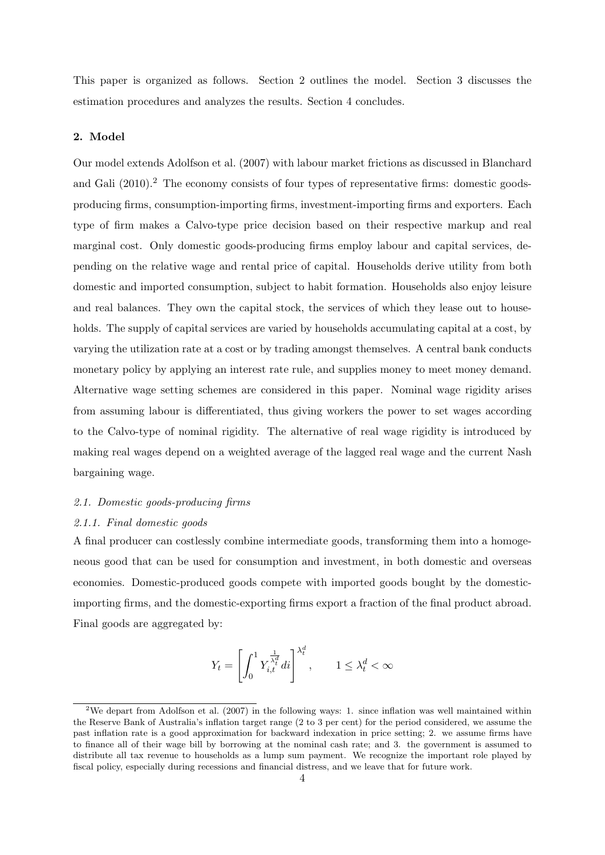This paper is organized as follows. Section 2 outlines the model. Section 3 discusses the estimation procedures and analyzes the results. Section 4 concludes.

## **2. Model**

Our model extends Adolfson et al. (2007) with labour market frictions as discussed in Blanchard and Gali (2010).<sup>2</sup> The economy consists of four types of representative firms: domestic goodsproducing firms, consumption-importing firms, investment-importing firms and exporters. Each type of firm makes a Calvo-type price decision based on their respective markup and real marginal cost. Only domestic goods-producing firms employ labour and capital services, depending on the relative wage and rental price of capital. Households derive utility from both domestic and imported consumption, subject to habit formation. Households also enjoy leisure and real balances. They own the capital stock, the services of which they lease out to households. The supply of capital services are varied by households accumulating capital at a cost, by varying the utilization rate at a cost or by trading amongst themselves. A central bank conducts monetary policy by applying an interest rate rule, and supplies money to meet money demand. Alternative wage setting schemes are considered in this paper. Nominal wage rigidity arises from assuming labour is differentiated, thus giving workers the power to set wages according to the Calvo-type of nominal rigidity. The alternative of real wage rigidity is introduced by making real wages depend on a weighted average of the lagged real wage and the current Nash bargaining wage.

## *2.1. Domestic goods-producing firms*

#### *2.1.1. Final domestic goods*

A final producer can costlessly combine intermediate goods, transforming them into a homogeneous good that can be used for consumption and investment, in both domestic and overseas economies. Domestic-produced goods compete with imported goods bought by the domesticimporting firms, and the domestic-exporting firms export a fraction of the final product abroad. Final goods are aggregated by:

$$
Y_t = \left[ \int_0^1 Y_{i,t}^{\frac{1}{\lambda_t^d}} dt \right]^{\lambda_t^d}, \qquad 1 \le \lambda_t^d < \infty
$$

<sup>&</sup>lt;sup>2</sup>We depart from Adolfson et al. (2007) in the following ways: 1. since inflation was well maintained within the Reserve Bank of Australia's inflation target range (2 to 3 per cent) for the period considered, we assume the past inflation rate is a good approximation for backward indexation in price setting; 2. we assume firms have to finance all of their wage bill by borrowing at the nominal cash rate; and 3. the government is assumed to distribute all tax revenue to households as a lump sum payment. We recognize the important role played by fiscal policy, especially during recessions and financial distress, and we leave that for future work.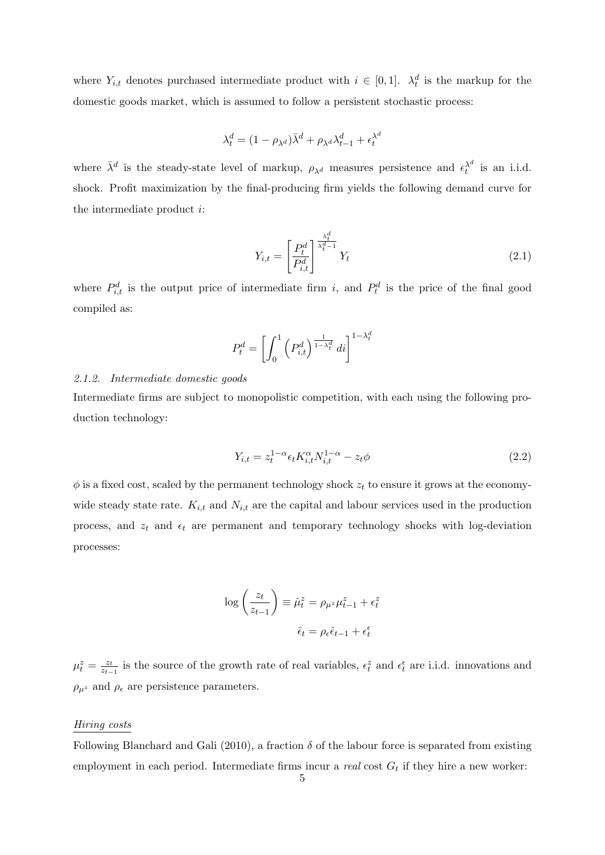where  $Y_{i,t}$  denotes purchased intermediate product with  $i \in [0,1]$ .  $\lambda_t^d$  is the markup for the domestic goods market, which is assumed to follow a persistent stochastic process:

$$
\lambda_t^d = (1 - \rho_{\lambda^d})\bar{\lambda}^d + \rho_{\lambda^d}\lambda_{t-1}^d + \epsilon_t^{\lambda^d}
$$

where  $\bar{\lambda}^d$  is the steady-state level of markup,  $\rho_{\lambda^d}$  measures persistence and  $\epsilon_t^{\lambda^d}$  is an i.i.d. shock. Profit maximization by the final-producing firm yields the following demand curve for the intermediate product *i*:

$$
Y_{i,t} = \left[\frac{P_t^d}{P_{i,t}^d}\right]^{\frac{\lambda_t^d}{\lambda_t^d - 1}} Y_t
$$
\n(2.1)

where  $P_{i,t}^d$  is the output price of intermediate firm *i*, and  $P_t^d$  is the price of the final good compiled as:

$$
P_t^d = \left[ \int_0^1 \left( P_{i,t}^d \right)^{\frac{1}{1-\lambda_t^d}} dt \right]^{1-\lambda_t^d}
$$

## *2.1.2. Intermediate domestic goods*

Intermediate firms are subject to monopolistic competition, with each using the following production technology:

$$
Y_{i,t} = z_t^{1-\alpha} \epsilon_t K_{i,t}^{\alpha} N_{i,t}^{1-\alpha} - z_t \phi \tag{2.2}
$$

 $\phi$  is a fixed cost, scaled by the permanent technology shock  $z_t$  to ensure it grows at the economywide steady state rate.  $K_{i,t}$  and  $N_{i,t}$  are the capital and labour services used in the production process, and  $z_t$  and  $\epsilon_t$  are permanent and temporary technology shocks with log-deviation processes:

$$
\log\left(\frac{z_t}{z_{t-1}}\right) \equiv \hat{\mu}_t^z = \rho_{\mu^z} \mu_{t-1}^z + \epsilon_t^z
$$

$$
\hat{\epsilon}_t = \rho_{\epsilon} \hat{\epsilon}_{t-1} + \epsilon_t^{\epsilon}
$$

 $\mu_t^z = \frac{z_t}{z_{t-1}}$  $\frac{z_t}{z_{t-1}}$  is the source of the growth rate of real variables,  $\epsilon_t^z$  and  $\epsilon_t^{\epsilon}$  are i.i.d. innovations and  $\rho_{\mu^z}$  and  $\rho_{\epsilon}$  are persistence parameters.

#### *Hiring costs*

Following Blanchard and Gali (2010), a fraction  $\delta$  of the labour force is separated from existing employment in each period. Intermediate firms incur a *real* cost  $G_t$  if they hire a new worker: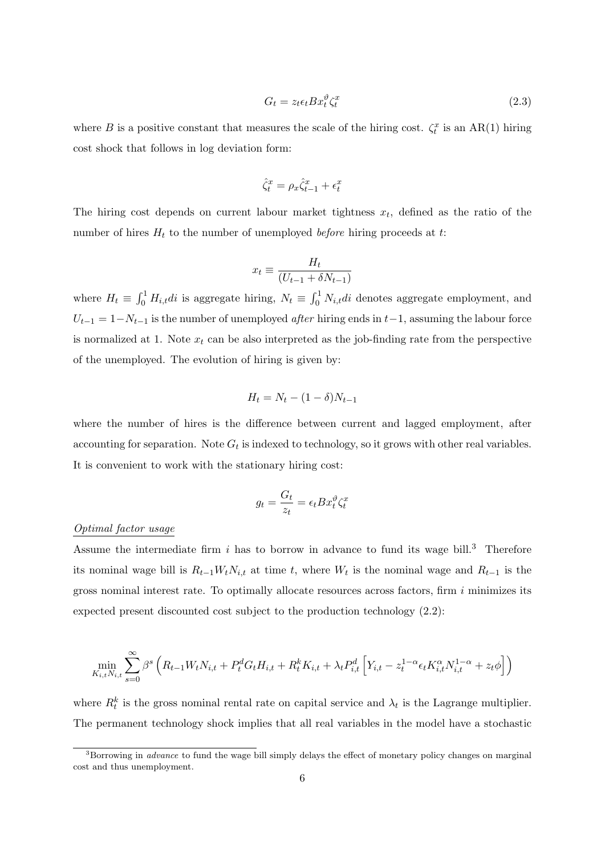$$
G_t = z_t \epsilon_t B x_t^{\vartheta} \zeta_t^x \tag{2.3}
$$

where *B* is a positive constant that measures the scale of the hiring cost.  $\zeta_t^x$  is an AR(1) hiring cost shock that follows in log deviation form:

$$
\hat{\zeta}_t^x = \rho_x \hat{\zeta}_{t-1}^x + \epsilon_t^x
$$

The hiring cost depends on current labour market tightness  $x_t$ , defined as the ratio of the number of hires *H<sup>t</sup>* to the number of unemployed *before* hiring proceeds at *t*:

$$
x_t \equiv \frac{H_t}{(U_{t-1} + \delta N_{t-1})}
$$

where  $H_t \equiv \int_0^1 H_{i,t} dt$  is aggregate hiring,  $N_t \equiv \int_0^1 N_{i,t} dt$  denotes aggregate employment, and  $U_{t-1} = 1 - N_{t-1}$  is the number of unemployed *after* hiring ends in  $t-1$ , assuming the labour force is normalized at 1. Note  $x_t$  can be also interpreted as the job-finding rate from the perspective of the unemployed. The evolution of hiring is given by:

$$
H_t = N_t - (1 - \delta)N_{t-1}
$$

where the number of hires is the difference between current and lagged employment, after accounting for separation. Note  $G_t$  is indexed to technology, so it grows with other real variables. It is convenient to work with the stationary hiring cost:

$$
g_t = \frac{G_t}{z_t} = \epsilon_t B x_t^{\vartheta} \zeta_t^x
$$

## *Optimal factor usage*

Assume the intermediate firm  $i$  has to borrow in advance to fund its wage bill.<sup>3</sup> Therefore its nominal wage bill is  $R_{t-1}W_tN_{i,t}$  at time *t*, where  $W_t$  is the nominal wage and  $R_{t-1}$  is the gross nominal interest rate. To optimally allocate resources across factors, firm *i* minimizes its expected present discounted cost subject to the production technology (2.2):

$$
\min_{K_{i,t}N_{i,t}} \sum_{s=0}^{\infty} \beta^s \left( R_{t-1}W_t N_{i,t} + P_t^d G_t H_{i,t} + R_t^k K_{i,t} + \lambda_t P_{i,t}^d \left[ Y_{i,t} - z_t^{1-\alpha} \epsilon_t K_{i,t}^{\alpha} N_{i,t}^{1-\alpha} + z_t \phi \right] \right)
$$

where  $R_t^k$  is the gross nominal rental rate on capital service and  $\lambda_t$  is the Lagrange multiplier. The permanent technology shock implies that all real variables in the model have a stochastic

<sup>&</sup>lt;sup>3</sup>Borrowing in *advance* to fund the wage bill simply delays the effect of monetary policy changes on marginal cost and thus unemployment.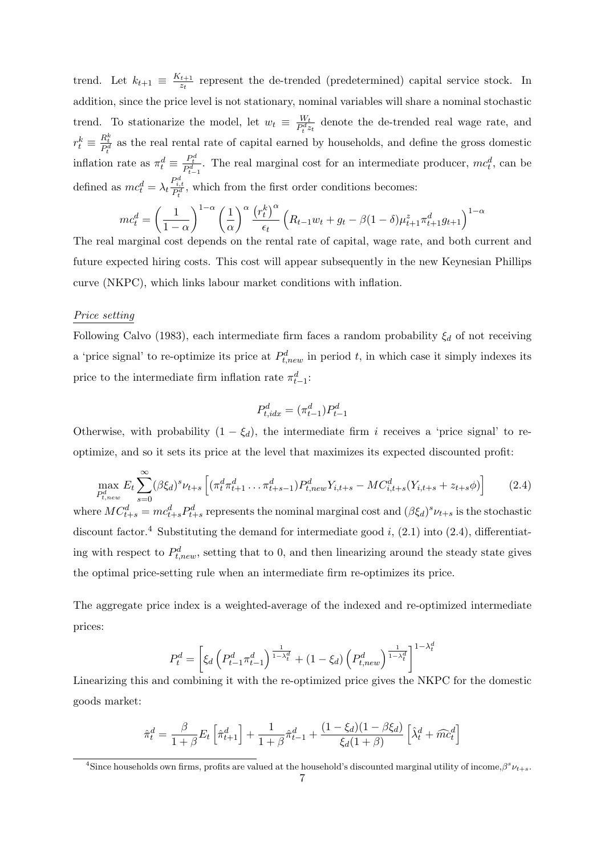trend. Let  $k_{t+1} \equiv \frac{K_{t+1}}{K_{t+1}}$  $\frac{t+1}{z_t}$  represent the de-trended (predetermined) capital service stock. In addition, since the price level is not stationary, nominal variables will share a nominal stochastic trend. To stationarize the model, let  $w_t \equiv \frac{W_t}{P^d}$  $\frac{W_t}{P_t^d z_t}$  denote the de-trended real wage rate, and  $r_t^k \equiv \frac{R_t^k}{P_t^d}$  as the real rental rate of capital earned by households, and define the gross domestic inflation rate as  $\pi_t^d \equiv \frac{P_t^d}{P_{t-1}^d}$ . The real marginal cost for an intermediate producer,  $mc_t^d$ , can be defined as  $mc_t^d = \lambda_t \frac{P_{i,t}^d}{P_t^d}$ , which from the first order conditions becomes:

$$
mc_t^d = \left(\frac{1}{1-\alpha}\right)^{1-\alpha} \left(\frac{1}{\alpha}\right)^{\alpha} \frac{\left(r_t^k\right)^{\alpha}}{\epsilon_t} \left(R_{t-1}w_t + g_t - \beta(1-\delta)\mu_{t+1}^z \pi_{t+1}^d g_{t+1}\right)^{1-\alpha}
$$

The real marginal cost depends on the rental rate of capital, wage rate, and both current and future expected hiring costs. This cost will appear subsequently in the new Keynesian Phillips curve (NKPC), which links labour market conditions with inflation.

#### *Price setting*

Following Calvo (1983), each intermediate firm faces a random probability  $\xi_d$  of not receiving a 'price signal' to re-optimize its price at  $P_{t,new}^d$  in period *t*, in which case it simply indexes its price to the intermediate firm inflation rate  $\pi_{t-1}^d$ :

$$
P_{t,idx}^d = (\pi_{t-1}^d) P_{t-1}^d
$$

Otherwise, with probability  $(1 - \xi_d)$ , the intermediate firm *i* receives a 'price signal' to reoptimize, and so it sets its price at the level that maximizes its expected discounted profit:

$$
\max_{P_{t,new}^d} E_t \sum_{s=0}^{\infty} (\beta \xi_d)^s \nu_{t+s} \left[ (\pi_t^d \pi_{t+1}^d \dots \pi_{t+s-1}^d) P_{t,new}^d Y_{i,t+s} - MC_{i,t+s}^d (Y_{i,t+s} + z_{t+s} \phi) \right] \tag{2.4}
$$

where  $MC_{t+s}^d = mc_{t+s}^d P_{t+s}^d$  represents the nominal marginal cost and  $(\beta \xi_d)^s \nu_{t+s}$  is the stochastic discount factor.<sup>4</sup> Substituting the demand for intermediate good  $i$ ,  $(2.1)$  into  $(2.4)$ , differentiating with respect to  $P_{t,new}^d$ , setting that to 0, and then linearizing around the steady state gives the optimal price-setting rule when an intermediate firm re-optimizes its price.

The aggregate price index is a weighted-average of the indexed and re-optimized intermediate prices:

$$
P_t^d = \left[ \xi_d \left( P_{t-1}^d \pi_{t-1}^d \right)^\frac{1}{1-\lambda_t^d} + (1-\xi_d) \left( P_{t,new}^d \right)^\frac{1}{1-\lambda_t^d} \right]^{1-\lambda_t^d}
$$

Linearizing this and combining it with the re-optimized price gives the NKPC for the domestic goods market:

$$
\hat{\pi}_t^d = \frac{\beta}{1+\beta} E_t \left[ \hat{\pi}_{t+1}^d \right] + \frac{1}{1+\beta} \hat{\pi}_{t-1}^d + \frac{(1-\xi_d)(1-\beta \xi_d)}{\xi_d (1+\beta)} \left[ \hat{\lambda}_t^d + \widehat{mc}_t^d \right]
$$

<sup>&</sup>lt;sup>4</sup>Since households own firms, profits are valued at the household's discounted marginal utility of income, $\beta^s \nu_{t+s}$ .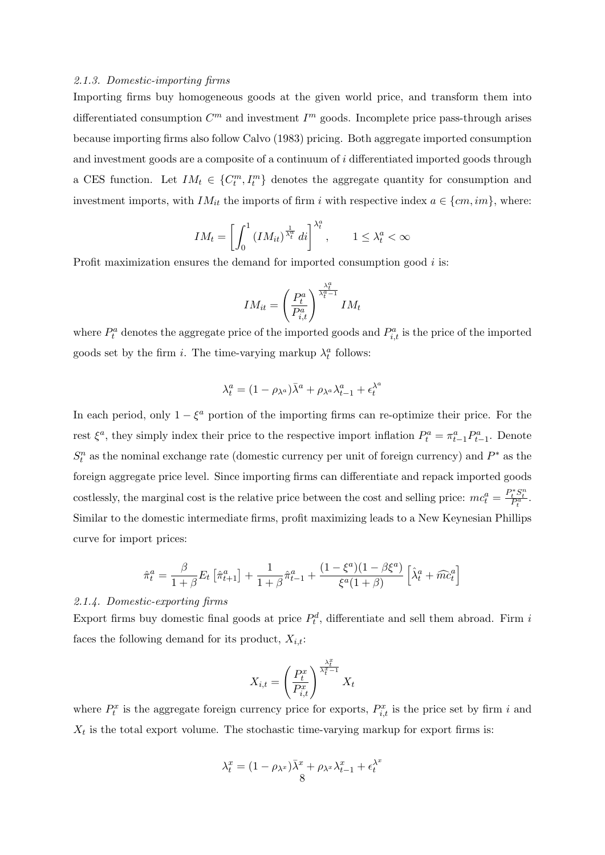#### *2.1.3. Domestic-importing firms*

Importing firms buy homogeneous goods at the given world price, and transform them into differentiated consumption  $C^m$  and investment  $I^m$  goods. Incomplete price pass-through arises because importing firms also follow Calvo (1983) pricing. Both aggregate imported consumption and investment goods are a composite of a continuum of *i* differentiated imported goods through a CES function. Let  $IM_t \in \{C_t^m, I_t^m\}$  denotes the aggregate quantity for consumption and investment imports, with *IM*<sup>*it*</sup> the imports of firm *i* with respective index  $a \in \{cm, im\}$ , where:

$$
IM_t = \left[ \int_0^1 (IM_{it})^{\frac{1}{\lambda_t^a}} di \right]^{\lambda_t^a}, \qquad 1 \le \lambda_t^a < \infty
$$

Profit maximization ensures the demand for imported consumption good *i* is:

$$
IM_{it} = \left(\frac{P_t^a}{P_{i,t}^a}\right)^{\frac{\lambda_t^a}{\lambda_t^a - 1}} IM_t
$$

where  $P_t^a$  denotes the aggregate price of the imported goods and  $P_{i,t}^a$  is the price of the imported goods set by the firm *i*. The time-varying markup  $\lambda_t^a$  follows:

$$
\lambda_t^a = (1 - \rho_{\lambda^a})\bar{\lambda}^a + \rho_{\lambda^a}\lambda_{t-1}^a + \epsilon_t^{\lambda^a}
$$

In each period, only  $1 - \xi^a$  portion of the importing firms can re-optimize their price. For the rest  $\xi^a$ , they simply index their price to the respective import inflation  $P_t^a = \pi^a_{t-1} P_{t-1}^a$ . Denote  $S_t^n$  as the nominal exchange rate (domestic currency per unit of foreign currency) and  $P^*$  as the foreign aggregate price level. Since importing firms can differentiate and repack imported goods costlessly, the marginal cost is the relative price between the cost and selling price:  $mc_t^a = \frac{P_t^* S_t^n}{P_t^a}$ . Similar to the domestic intermediate firms, profit maximizing leads to a New Keynesian Phillips curve for import prices:

$$
\hat{\pi}_t^a = \frac{\beta}{1+\beta} E_t \left[ \hat{\pi}_{t+1}^a \right] + \frac{1}{1+\beta} \hat{\pi}_{t-1}^a + \frac{(1-\xi^a)(1-\beta\xi^a)}{\xi^a(1+\beta)} \left[ \hat{\lambda}_t^a + \widehat{mc}_t^a \right]
$$

#### *2.1.4. Domestic-exporting firms*

Export firms buy domestic final goods at price  $P_t^d$ , differentiate and sell them abroad. Firm *i* faces the following demand for its product,  $X_{i,t}$ :

$$
X_{i,t} = \left(\frac{P_t^x}{P_{i,t}^x}\right)^{\frac{\lambda_t^x}{\lambda_t^x - 1}} X_t
$$

where  $P_t^x$  is the aggregate foreign currency price for exports,  $P_{i,t}^x$  is the price set by firm *i* and  $X_t$  is the total export volume. The stochastic time-varying markup for export firms is:

$$
\lambda_t^x = (1 - \rho_{\lambda^x})\overline{\lambda}^x + \rho_{\lambda^x}\lambda_{t-1}^x + \epsilon_t^{\lambda^x}
$$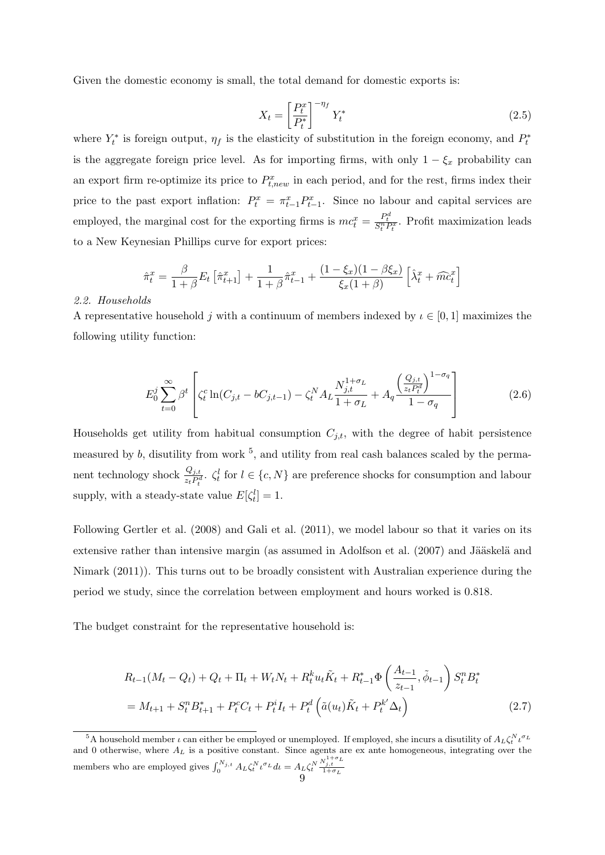Given the domestic economy is small, the total demand for domestic exports is:

$$
X_t = \left[\frac{P_t^x}{P_t^*}\right]^{-\eta_f} Y_t^*
$$
\n(2.5)

where  $Y_t^*$  is foreign output,  $\eta_f$  is the elasticity of substitution in the foreign economy, and  $P_t^*$ is the aggregate foreign price level. As for importing firms, with only  $1 - \xi_x$  probability can an export firm re-optimize its price to  $P_{t,new}^x$  in each period, and for the rest, firms index their price to the past export inflation:  $P_t^x = \pi_{t-1}^x P_{t-1}^x$ . Since no labour and capital services are employed, the marginal cost for the exporting firms is  $mc_t^x = \frac{P_t^d}{S_t^n P_t^x}$ . Profit maximization leads to a New Keynesian Phillips curve for export prices:

$$
\hat{\pi}_t^x = \frac{\beta}{1+\beta} E_t \left[ \hat{\pi}_{t+1}^x \right] + \frac{1}{1+\beta} \hat{\pi}_{t-1}^x + \frac{(1-\xi_x)(1-\beta \xi_x)}{\xi_x(1+\beta)} \left[ \hat{\lambda}_t^x + \hat{m} \hat{c}_t^x \right]
$$

### *2.2. Households*

A representative household *j* with a continuum of members indexed by  $\iota \in [0,1]$  maximizes the following utility function:

$$
E_0^j \sum_{t=0}^{\infty} \beta^t \left[ \zeta_t^c \ln(C_{j,t} - bC_{j,t-1}) - \zeta_t^N A_L \frac{N_{j,t}^{1+\sigma_L}}{1+\sigma_L} + A_q \frac{\left(\frac{Q_{j,t}}{z_t P_t^d}\right)^{1-\sigma_q}}{1-\sigma_q} \right]
$$
(2.6)

Households get utility from habitual consumption  $C_{j,t}$ , with the degree of habit persistence measured by  $b$ , disutility from work  $5$ , and utility from real cash balances scaled by the permanent technology shock  $\frac{Q_{j,t}}{z_t P_t^d}$ .  $\zeta_t^l$  for  $l \in \{c, N\}$  are preference shocks for consumption and labour supply, with a steady-state value  $E[\zeta_t^l]=1$ .

Following Gertler et al. (2008) and Gali et al. (2011), we model labour so that it varies on its extensive rather than intensive margin (as assumed in Adolfson et al. (2007) and Jääskelä and Nimark (2011)). This turns out to be broadly consistent with Australian experience during the period we study, since the correlation between employment and hours worked is 0.818.

The budget constraint for the representative household is:

$$
R_{t-1}(M_t - Q_t) + Q_t + \Pi_t + W_t N_t + R_t^k u_t \tilde{K}_t + R_{t-1}^* \Phi\left(\frac{A_{t-1}}{z_{t-1}}, \tilde{\phi}_{t-1}\right) S_t^n B_t^*
$$
  
=  $M_{t+1} + S_t^n B_{t+1}^* + P_t^c C_t + P_t^i I_t + P_t^d \left(\tilde{a}(u_t) \tilde{K}_t + P_t^{k'} \Delta_t\right)$  (2.7)

<sup>&</sup>lt;sup>5</sup>A household member *ι* can either be employed or unemployed. If employed, she incurs a disutility of  $A_L \zeta_t^N \iota^{\sigma_L}$ and 0 otherwise, where *A<sup>L</sup>* is a positive constant. Since agents are ex ante homogeneous, integrating over the members who are employed gives  $\int_0^{N_{j,t}} A_L \zeta_t^N \iota^{\sigma_L} d\iota = A_L \zeta_t^N \frac{\nu_{j,t}^{1+\sigma_L}}{1+\sigma_L}$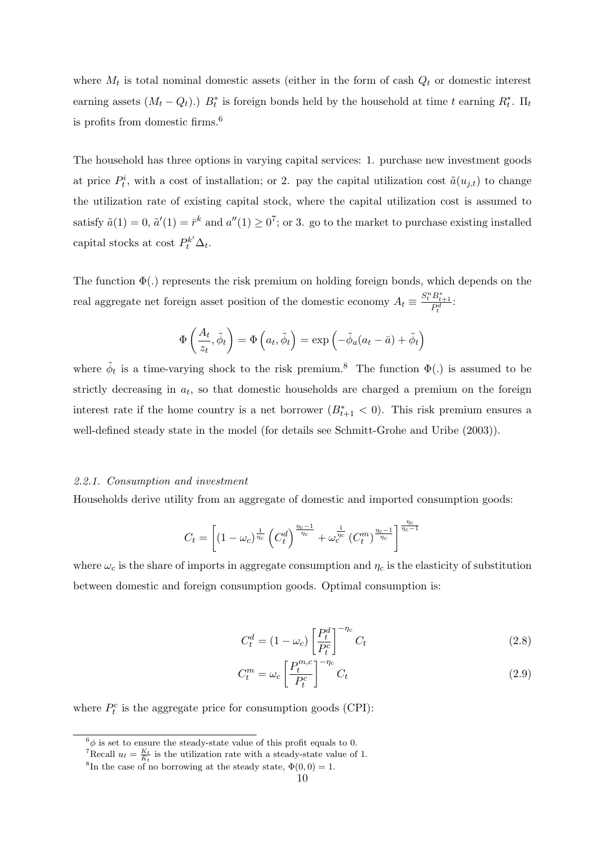where  $M_t$  is total nominal domestic assets (either in the form of cash  $Q_t$  or domestic interest earning assets  $(M_t - Q_t)$ .)  $B_t^*$  is foreign bonds held by the household at time *t* earning  $R_t^*$ .  $\Pi_t$ is profits from domestic firms.<sup>6</sup>

The household has three options in varying capital services: 1. purchase new investment goods at price  $P_t^i$ , with a cost of installation; or 2. pay the capital utilization cost  $\tilde{a}(u_{j,t})$  to change the utilization rate of existing capital stock, where the capital utilization cost is assumed to satisfy  $\tilde{a}(1) = 0$ ,  $\tilde{a}'(1) = \bar{r}^k$  and  $a''(1) \ge 0^7$ ; or 3. go to the market to purchase existing installed capital stocks at cost  $P_t^{k'} \Delta_t$ .

The function  $\Phi(.)$  represents the risk premium on holding foreign bonds, which depends on the real aggregate net foreign asset position of the domestic economy  $A_t \equiv \frac{S_t^n B_{t+1}^*}{P_t^d}$ .

$$
\Phi\left(\frac{A_t}{z_t}, \tilde{\phi}_t\right) = \Phi\left(a_t, \tilde{\phi}_t\right) = \exp\left(-\tilde{\phi}_a(a_t - \bar{a}) + \tilde{\phi}_t\right)
$$

where  $\tilde{\phi}_t$  is a time-varying shock to the risk premium.<sup>8</sup> The function  $\Phi(.)$  is assumed to be strictly decreasing in  $a_t$ , so that domestic households are charged a premium on the foreign interest rate if the home country is a net borrower  $(B_{t+1}^* < 0)$ . This risk premium ensures a well-defined steady state in the model (for details see Schmitt-Grohe and Uribe (2003)).

## *2.2.1. Consumption and investment*

Households derive utility from an aggregate of domestic and imported consumption goods:

$$
C_t = \left[(1-\omega_c)^{\frac{1}{\eta_c}}\left(C_t^d\right)^{\frac{\eta_c-1}{\eta_c}} + \omega_c^{\frac{1}{\eta_c}}\left(C_t^m\right)^{\frac{\eta_c-1}{\eta_c}}\right]^{\frac{\eta_c}{\eta_c-1}}
$$

where  $\omega_c$  is the share of imports in aggregate consumption and  $\eta_c$  is the elasticity of substitution between domestic and foreign consumption goods. Optimal consumption is:

$$
C_t^d = (1 - \omega_c) \left[ \frac{P_t^d}{P_t^c} \right]^{-\eta_c} C_t \tag{2.8}
$$

$$
C_t^m = \omega_c \left[ \frac{P_t^{m,c}}{P_t^c} \right]^{-\eta_c} C_t \tag{2.9}
$$

where  $P_t^c$  is the aggregate price for consumption goods (CPI):

 $^6\phi$  is set to ensure the steady-state value of this profit equals to 0.

<sup>&</sup>lt;sup>7</sup>Recall  $u_t = \frac{K_t}{\tilde{K}_t}$  is the utilization rate with a steady-state value of 1.

<sup>&</sup>lt;sup>8</sup>In the case of no borrowing at the steady state,  $\Phi(0,0) = 1$ .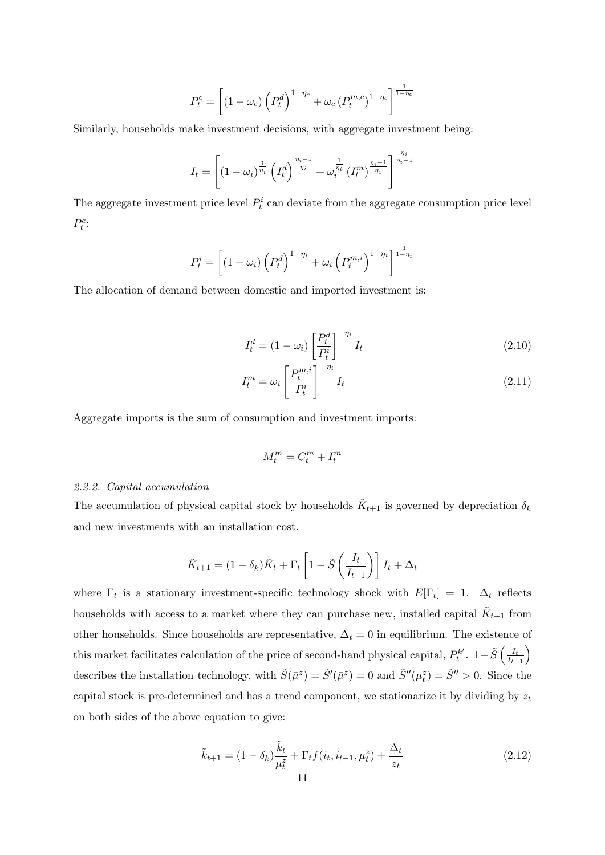$$
P_t^c = \left[ \left(1 - \omega_c\right) \left(P_t^d\right)^{1 - \eta_c} + \omega_c \left(P_t^{m,c}\right)^{1 - \eta_c} \right]^{\frac{1}{1 - \eta_c}}
$$

Similarly, households make investment decisions, with aggregate investment being:

$$
I_{t} = \left[ (1 - \omega_{i})^{\frac{1}{\eta_{i}}} \left( I_{t}^{d} \right)^{\frac{\eta_{i} - 1}{\eta_{i}}} + \omega_{i}^{\frac{1}{\eta_{i}}} \left( I_{t}^{m} \right)^{\frac{\eta_{i} - 1}{\eta_{i}}} \right]^{\frac{\eta_{i}}{\eta_{i} - 1}}
$$

The aggregate investment price level  $P_t^i$  can deviate from the aggregate consumption price level  $P_t^c$ :

$$
P_t^i = \left[ \left( 1 - \omega_i \right) \left( P_t^d \right)^{1 - \eta_i} + \omega_i \left( P_t^{m,i} \right)^{1 - \eta_i} \right]^{\frac{1}{1 - \eta_i}}
$$

The allocation of demand between domestic and imported investment is:

$$
I_t^d = (1 - \omega_i) \left[ \frac{P_t^d}{P_t^i} \right]^{-\eta_i} I_t \tag{2.10}
$$

$$
I_t^m = \omega_i \left[ \frac{P_t^{m,i}}{P_t^i} \right]^{-\eta_i} I_t \tag{2.11}
$$

Aggregate imports is the sum of consumption and investment imports:

$$
M^m_t = C^m_t + I^m_t
$$

## *2.2.2. Capital accumulation*

The accumulation of physical capital stock by households  $\tilde{K}_{t+1}$  is governed by depreciation  $\delta_k$ and new investments with an installation cost.

$$
\tilde{K}_{t+1} = (1 - \delta_k)\tilde{K}_t + \Gamma_t \left[1 - \tilde{S}\left(\frac{I_t}{I_{t-1}}\right)\right]I_t + \Delta_t
$$

where  $\Gamma_t$  is a stationary investment-specific technology shock with  $E[\Gamma_t] = 1$ .  $\Delta_t$  reflects households with access to a market where they can purchase new, installed capital  $\tilde{K}_{t+1}$  from other households. Since households are representative,  $\Delta_t = 0$  in equilibrium. The existence of this market facilitates calculation of the price of second-hand physical capital,  $P_t^{k'}$ .  $1-\tilde{S}\left(\frac{I_t}{I_t-\tilde{S}}\right)$ *It−*<sup>1</sup>  $\lambda$ describes the installation technology, with  $\tilde{S}(\bar{\mu}^z) = \tilde{S}'(\bar{\mu}^z) = 0$  and  $\tilde{S}''(\mu_t^z) = \tilde{S}'' > 0$ . Since the capital stock is pre-determined and has a trend component, we stationarize it by dividing by *z<sup>t</sup>* on both sides of the above equation to give:

$$
\tilde{k}_{t+1} = (1 - \delta_k) \frac{\tilde{k}_t}{\mu_t^2} + \Gamma_t f(i_t, i_{t-1}, \mu_t^z) + \frac{\Delta_t}{z_t}
$$
\n(2.12)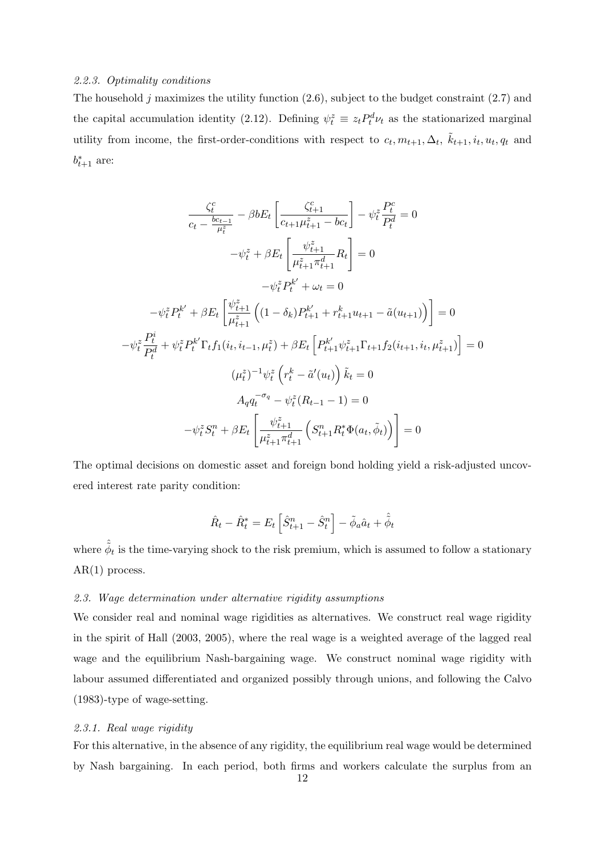## *2.2.3. Optimality conditions*

The household *j* maximizes the utility function (2.6), subject to the budget constraint (2.7) and the capital accumulation identity (2.12). Defining  $\psi_t^z \equiv z_t P_t^d \nu_t$  as the stationarized marginal utility from income, the first-order-conditions with respect to  $c_t, m_{t+1}, \Delta_t, \tilde{k}_{t+1}, i_t, u_t, q_t$  and  $b_{t+1}^*$  are:

$$
\frac{\zeta_t^c}{c_t - \frac{bc_{t-1}}{\mu_t^2}} - \beta b E_t \left[ \frac{\zeta_{t+1}^c}{c_{t+1}\mu_{t+1}^2 - bc_t} \right] - \psi_t^z \frac{P_t^c}{P_t^d} = 0
$$

$$
-\psi_t^z + \beta E_t \left[ \frac{\psi_{t+1}^z}{\mu_{t+1}^z \pi_{t+1}^d} R_t \right] = 0
$$

$$
-\psi_t^z P_t^{k'} + \omega_t = 0
$$

$$
-\psi_t^z P_t^{k'} + \beta E_t \left[ \frac{\psi_{t+1}^z}{\mu_{t+1}^z} \left( (1 - \delta_k) P_{t+1}^{k'} + r_{t+1}^k u_{t+1} - \tilde{a}(u_{t+1}) \right) \right] = 0
$$

$$
-\psi_t^z \frac{P_t^i}{P_t^d} + \psi_t^z P_t^{k'} \Gamma_t f_1(i_t, i_{t-1}, \mu_t^z) + \beta E_t \left[ P_{t+1}^{k'} \psi_{t+1}^z \Gamma_{t+1} f_2(i_{t+1}, i_t, \mu_{t+1}^z) \right] = 0
$$

$$
(\mu_t^z)^{-1} \psi_t^z \left( r_t^k - \tilde{a}'(u_t) \right) \tilde{k}_t = 0
$$

$$
A_q q_t^{-\sigma_q} - \psi_t^z (R_{t-1} - 1) = 0
$$

$$
-\psi_t^z S_t^n + \beta E_t \left[ \frac{\psi_{t+1}^z}{\mu_{t+1}^z \pi_{t+1}^d} \left( S_{t+1}^n R_t^* \Phi(a_t, \tilde{\phi}_t) \right) \right] = 0
$$

The optimal decisions on domestic asset and foreign bond holding yield a risk-adjusted uncovered interest rate parity condition:

$$
\hat{R}_t - \hat{R}_t^* = E_t \left[ \hat{S}_{t+1}^n - \hat{S}_t^n \right] - \tilde{\phi}_a \hat{a}_t + \hat{\tilde{\phi}}_t
$$

where  $\hat{\phi}_t$  is the time-varying shock to the risk premium, which is assumed to follow a stationary  $AR(1)$  process.

## *2.3. Wage determination under alternative rigidity assumptions*

We consider real and nominal wage rigidities as alternatives. We construct real wage rigidity in the spirit of Hall (2003, 2005), where the real wage is a weighted average of the lagged real wage and the equilibrium Nash-bargaining wage. We construct nominal wage rigidity with labour assumed differentiated and organized possibly through unions, and following the Calvo (1983)-type of wage-setting.

## *2.3.1. Real wage rigidity*

For this alternative, in the absence of any rigidity, the equilibrium real wage would be determined by Nash bargaining. In each period, both firms and workers calculate the surplus from an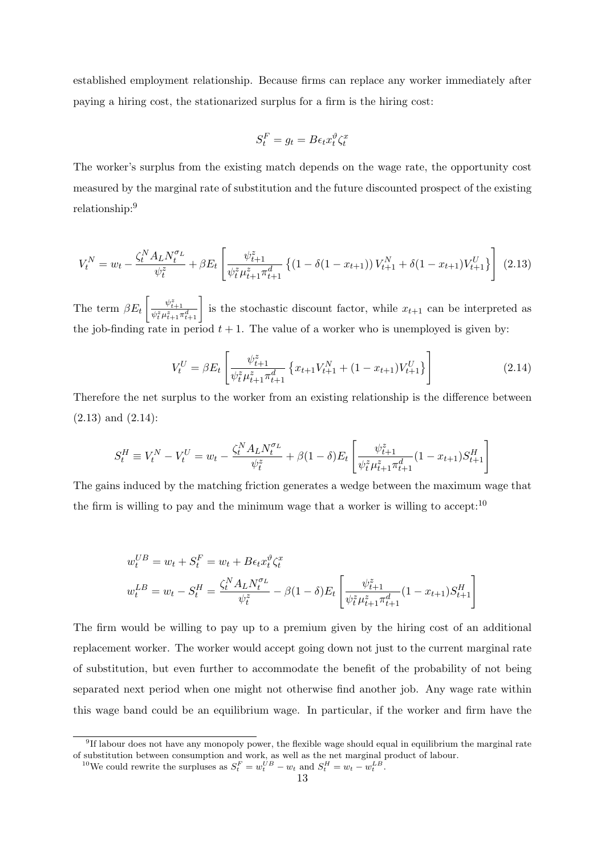established employment relationship. Because firms can replace any worker immediately after paying a hiring cost, the stationarized surplus for a firm is the hiring cost:

$$
S_t^F = g_t = B\epsilon_t x_t^{\vartheta} \zeta_t^x
$$

The worker's surplus from the existing match depends on the wage rate, the opportunity cost measured by the marginal rate of substitution and the future discounted prospect of the existing relationship:<sup>9</sup>

$$
V_t^N = w_t - \frac{\zeta_t^N A_L N_t^{\sigma_L}}{\psi_t^z} + \beta E_t \left[ \frac{\psi_{t+1}^z}{\psi_t^z \mu_{t+1}^z \pi_{t+1}^d} \left\{ (1 - \delta (1 - x_{t+1})) V_{t+1}^N + \delta (1 - x_{t+1}) V_{t+1}^U \right\} \right] (2.13)
$$

The term *βE<sup>t</sup>*  $\left[\frac{\psi_{t+1}^z}{\psi_t^z \mu_{t+1}^z \pi_{t+1}^d}\right]$  is the stochastic discount factor, while  $x_{t+1}$  can be interpreted as the job-finding rate in period  $t + 1$ . The value of a worker who is unemployed is given by:

$$
V_t^U = \beta E_t \left[ \frac{\psi_{t+1}^z}{\psi_t^z \mu_{t+1}^z \pi_{t+1}^d} \left\{ x_{t+1} V_{t+1}^N + (1 - x_{t+1}) V_{t+1}^U \right\} \right]
$$
(2.14)

Therefore the net surplus to the worker from an existing relationship is the difference between (2.13) and (2.14):

$$
S_t^H \equiv V_t^N - V_t^U = w_t - \frac{\zeta_t^N A_L N_t^{\sigma_L}}{\psi_t^z} + \beta (1 - \delta) E_t \left[ \frac{\psi_{t+1}^z}{\psi_t^z \mu_{t+1}^z \pi_{t+1}^d} (1 - x_{t+1}) S_{t+1}^H \right]
$$

The gains induced by the matching friction generates a wedge between the maximum wage that the firm is willing to pay and the minimum wage that a worker is willing to accept:  $10$ 

$$
w_t^{UB} = w_t + S_t^F = w_t + B\epsilon_t x_t^{\vartheta} \zeta_t^x
$$
  

$$
w_t^{LB} = w_t - S_t^H = \frac{\zeta_t^N A_L N_t^{\sigma_L}}{\psi_t^z} - \beta (1 - \delta) E_t \left[ \frac{\psi_{t+1}^z}{\psi_t^z \mu_{t+1}^z \pi_{t+1}^d} (1 - x_{t+1}) S_{t+1}^H \right]
$$

The firm would be willing to pay up to a premium given by the hiring cost of an additional replacement worker. The worker would accept going down not just to the current marginal rate of substitution, but even further to accommodate the benefit of the probability of not being separated next period when one might not otherwise find another job. Any wage rate within this wage band could be an equilibrium wage. In particular, if the worker and firm have the

<sup>&</sup>lt;sup>9</sup>If labour does not have any monopoly power, the flexible wage should equal in equilibrium the marginal rate of substitution between consumption and work, as well as the net marginal product of labour.

<sup>&</sup>lt;sup>10</sup>We could rewrite the surpluses as  $S_t^F = w_t^{UB} - w_t$  and  $S_t^H = w_t - w_t^{LB}$ .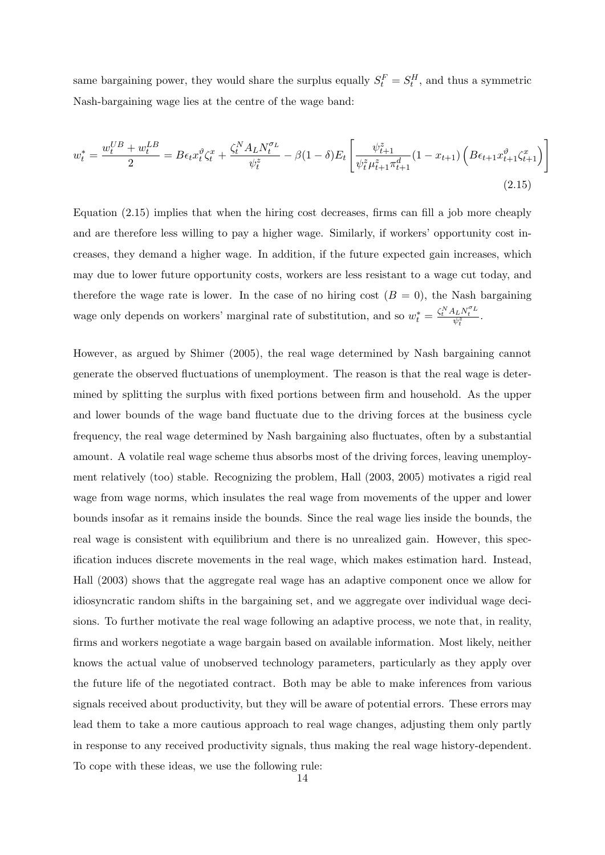same bargaining power, they would share the surplus equally  $S_t^F = S_t^H$ , and thus a symmetric Nash-bargaining wage lies at the centre of the wage band:

$$
w_t^* = \frac{w_t^{UB} + w_t^{LB}}{2} = B\epsilon_t x_t^{\vartheta} \zeta_t^x + \frac{\zeta_t^N A_L N_t^{\sigma_L}}{\psi_t^z} - \beta (1 - \delta) E_t \left[ \frac{\psi_{t+1}^z}{\psi_t^z \mu_{t+1}^z \pi_{t+1}^d} (1 - x_{t+1}) \left( B\epsilon_{t+1} x_{t+1}^{\vartheta} \zeta_{t+1}^x \right) \right]
$$
\n(2.15)

Equation (2.15) implies that when the hiring cost decreases, firms can fill a job more cheaply and are therefore less willing to pay a higher wage. Similarly, if workers' opportunity cost increases, they demand a higher wage. In addition, if the future expected gain increases, which may due to lower future opportunity costs, workers are less resistant to a wage cut today, and therefore the wage rate is lower. In the case of no hiring cost  $(B = 0)$ , the Nash bargaining wage only depends on workers' marginal rate of substitution, and so  $w_t^* = \frac{\zeta_t^N A_L N_t^{\sigma_L}}{\psi_t^z}$ .

However, as argued by Shimer (2005), the real wage determined by Nash bargaining cannot generate the observed fluctuations of unemployment. The reason is that the real wage is determined by splitting the surplus with fixed portions between firm and household. As the upper and lower bounds of the wage band fluctuate due to the driving forces at the business cycle frequency, the real wage determined by Nash bargaining also fluctuates, often by a substantial amount. A volatile real wage scheme thus absorbs most of the driving forces, leaving unemployment relatively (too) stable. Recognizing the problem, Hall (2003, 2005) motivates a rigid real wage from wage norms, which insulates the real wage from movements of the upper and lower bounds insofar as it remains inside the bounds. Since the real wage lies inside the bounds, the real wage is consistent with equilibrium and there is no unrealized gain. However, this specification induces discrete movements in the real wage, which makes estimation hard. Instead, Hall (2003) shows that the aggregate real wage has an adaptive component once we allow for idiosyncratic random shifts in the bargaining set, and we aggregate over individual wage decisions. To further motivate the real wage following an adaptive process, we note that, in reality, firms and workers negotiate a wage bargain based on available information. Most likely, neither knows the actual value of unobserved technology parameters, particularly as they apply over the future life of the negotiated contract. Both may be able to make inferences from various signals received about productivity, but they will be aware of potential errors. These errors may lead them to take a more cautious approach to real wage changes, adjusting them only partly in response to any received productivity signals, thus making the real wage history-dependent. To cope with these ideas, we use the following rule: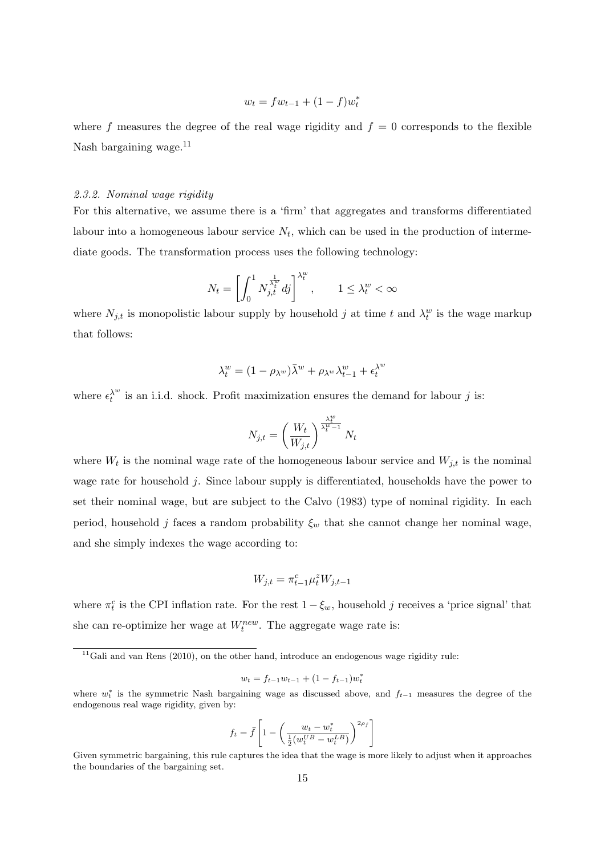$$
w_t = fw_{t-1} + (1 - f)w_t^*
$$

where  $f$  measures the degree of the real wage rigidity and  $f = 0$  corresponds to the flexible Nash bargaining wage.<sup>11</sup>

## *2.3.2. Nominal wage rigidity*

For this alternative, we assume there is a 'firm' that aggregates and transforms differentiated labour into a homogeneous labour service  $N_t$ , which can be used in the production of intermediate goods. The transformation process uses the following technology:

$$
N_t = \left[ \int_0^1 N_{j,t}^{\frac{1}{\lambda_t^w}} dj \right]^{\lambda_t^w}, \qquad 1 \le \lambda_t^w < \infty
$$

where  $N_{j,t}$  is monopolistic labour supply by household *j* at time *t* and  $\lambda_t^w$  is the wage markup that follows:

$$
\lambda_t^w = (1 - \rho_{\lambda^w})\bar{\lambda}^w + \rho_{\lambda^w}\lambda_{t-1}^w + \epsilon_t^{\lambda^w}
$$

where  $\epsilon_t^{\lambda^w}$  is an i.i.d. shock. Profit maximization ensures the demand for labour *j* is:

$$
N_{j,t} = \left(\frac{W_t}{W_{j,t}}\right)^{\frac{\lambda_t^w}{\lambda_t^w - 1}} N_t
$$

where  $W_t$  is the nominal wage rate of the homogeneous labour service and  $W_{j,t}$  is the nominal wage rate for household *j*. Since labour supply is differentiated, households have the power to set their nominal wage, but are subject to the Calvo (1983) type of nominal rigidity. In each period, household *j* faces a random probability  $\xi_w$  that she cannot change her nominal wage, and she simply indexes the wage according to:

$$
W_{j,t} = \pi_{t-1}^c \mu_t^z W_{j,t-1}
$$

where  $\pi_t^c$  is the CPI inflation rate. For the rest  $1 - \xi_w$ , household *j* receives a 'price signal' that she can re-optimize her wage at  $W_t^{new}$ . The aggregate wage rate is:

$$
w_t = f_{t-1}w_{t-1} + (1 - f_{t-1})w_t^*
$$

$$
f_t = \bar{f}\left[1 - \left(\frac{w_t - w_t^*}{\frac{1}{2}(w_t^{UB} - w_t^{LB})}\right)^{2\rho_f}\right]
$$

 $11$ Gali and van Rens (2010), on the other hand, introduce an endogenous wage rigidity rule:

where *w ∗ t* is the symmetric Nash bargaining wage as discussed above, and *f<sup>t</sup>−*<sup>1</sup> measures the degree of the endogenous real wage rigidity, given by:

Given symmetric bargaining, this rule captures the idea that the wage is more likely to adjust when it approaches the boundaries of the bargaining set.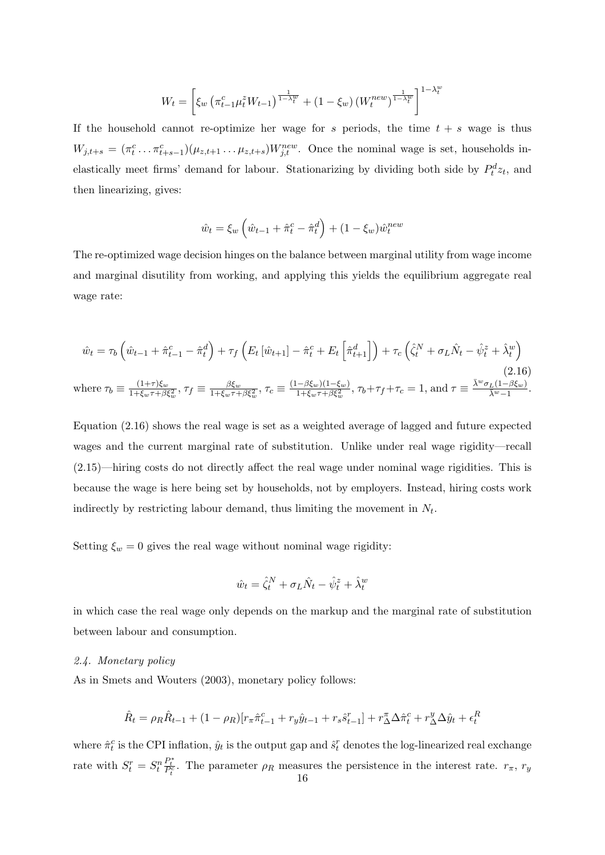$$
W_t = \left[ \xi_w \left( \pi_{t-1}^c \mu_t^z W_{t-1} \right) \frac{1}{1-\lambda_t^w} + (1-\xi_w) \left( W_t^{new} \right) \frac{1}{1-\lambda_t^w} \right]^{1-\lambda_t^w}
$$

If the household cannot re-optimize her wage for  $s$  periods, the time  $t + s$  wage is thus  $W_{j,t+s} = (\pi_t^c \dots \pi_{t+s-1}^c)(\mu_{z,t+1} \dots \mu_{z,t+s})W_{j,t}^{new}$ . Once the nominal wage is set, households inelastically meet firms' demand for labour. Stationarizing by dividing both side by  $P_t^d z_t$ , and then linearizing, gives:

$$
\hat{w}_t = \xi_w \left( \hat{w}_{t-1} + \hat{\pi}_t^c - \hat{\pi}_t^d \right) + (1 - \xi_w) \hat{w}_t^{new}
$$

The re-optimized wage decision hinges on the balance between marginal utility from wage income and marginal disutility from working, and applying this yields the equilibrium aggregate real wage rate:

$$
\hat{w}_t = \tau_b \left( \hat{w}_{t-1} + \hat{\pi}_{t-1}^c - \hat{\pi}_t^d \right) + \tau_f \left( E_t \left[ \hat{w}_{t+1} \right] - \hat{\pi}_t^c + E_t \left[ \hat{\pi}_{t+1}^d \right] \right) + \tau_c \left( \hat{\zeta}_t^N + \sigma_L \hat{N}_t - \hat{\psi}_t^z + \hat{\lambda}_t^w \right)
$$
\n
$$
\text{where } \tau_b \equiv \frac{(1+\tau)\xi_w}{1+\xi_w\tau+\beta\xi_w^2}, \tau_f \equiv \frac{\beta\xi_w}{1+\xi_w\tau+\beta\xi_w^2}, \tau_c \equiv \frac{(1-\beta\xi_w)(1-\xi_w)}{1+\xi_w\tau+\beta\xi_w^2}, \tau_b + \tau_f + \tau_c = 1, \text{ and } \tau \equiv \frac{\bar{\lambda}^w\sigma_L(1-\beta\xi_w)}{\bar{\lambda}^w-1}.
$$
\n
$$
(2.16)
$$

Equation (2.16) shows the real wage is set as a weighted average of lagged and future expected wages and the current marginal rate of substitution. Unlike under real wage rigidity—recall (2.15)—hiring costs do not directly affect the real wage under nominal wage rigidities. This is because the wage is here being set by households, not by employers. Instead, hiring costs work indirectly by restricting labour demand, thus limiting the movement in  $N_t$ .

Setting  $\xi_w = 0$  gives the real wage without nominal wage rigidity:

$$
\hat{w}_t = \hat{\zeta}_t^N + \sigma_L \hat{N}_t - \hat{\psi}_t^z + \hat{\lambda}_t^w
$$

in which case the real wage only depends on the markup and the marginal rate of substitution between labour and consumption.

#### *2.4. Monetary policy*

As in Smets and Wouters (2003), monetary policy follows:

$$
\hat{R}_t = \rho_R \hat{R}_{t-1} + (1 - \rho_R)[r_{\pi} \hat{\pi}_{t-1}^c + r_y \hat{y}_{t-1} + r_s \hat{s}_{t-1}^r] + r_{\Delta}^{\pi} \Delta \hat{\pi}_t^c + r_{\Delta}^y \Delta \hat{y}_t + \epsilon_t^R
$$

where  $\hat{\pi}^c_t$  is the CPI inflation,  $\hat{y}_t$  is the output gap and  $\hat{s}^r_t$  denotes the log-linearized real exchange rate with  $S_t^r = S_t^n$  $P_t^*$ . The parameter *ρR* measures the persistence in the interest rate. *r<sub>π</sub>*, *r<sub>y</sub>*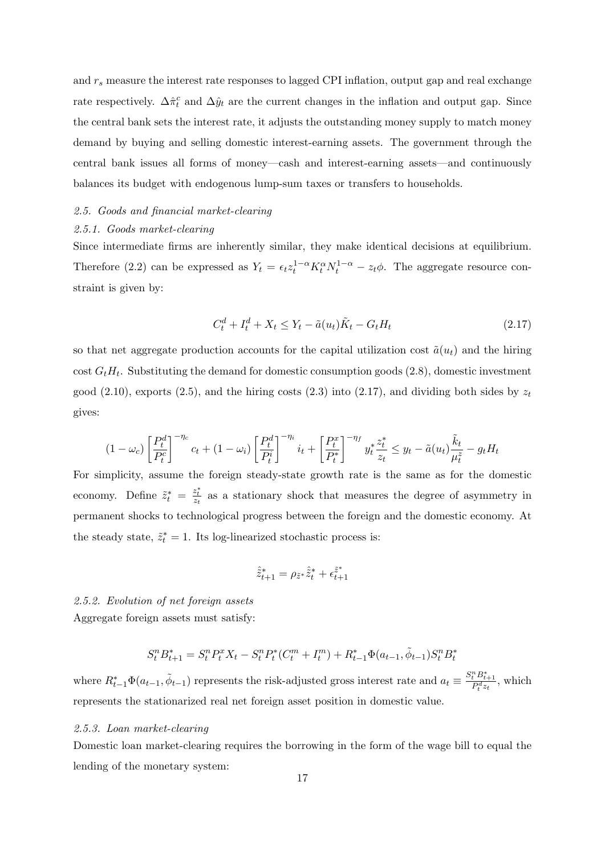and *r<sup>s</sup>* measure the interest rate responses to lagged CPI inflation, output gap and real exchange rate respectively.  $\Delta \hat{\pi}^c_t$  and  $\Delta \hat{y}_t$  are the current changes in the inflation and output gap. Since the central bank sets the interest rate, it adjusts the outstanding money supply to match money demand by buying and selling domestic interest-earning assets. The government through the central bank issues all forms of money—cash and interest-earning assets—and continuously balances its budget with endogenous lump-sum taxes or transfers to households.

## *2.5. Goods and financial market-clearing*

#### *2.5.1. Goods market-clearing*

Since intermediate firms are inherently similar, they make identical decisions at equilibrium. Therefore (2.2) can be expressed as  $Y_t = \epsilon_t z_t^{1-\alpha} K_t^{\alpha} N_t^{1-\alpha} - z_t \phi$ . The aggregate resource constraint is given by:

$$
C_t^d + I_t^d + X_t \le Y_t - \tilde{a}(u_t)\tilde{K}_t - G_t H_t \tag{2.17}
$$

so that net aggregate production accounts for the capital utilization cost  $\tilde{a}(u_t)$  and the hiring cost *GtH<sup>t</sup>* . Substituting the demand for domestic consumption goods (2.8), domestic investment good  $(2.10)$ , exports  $(2.5)$ , and the hiring costs  $(2.3)$  into  $(2.17)$ , and dividing both sides by  $z_t$ gives:

$$
(1 - \omega_c) \left[ \frac{P_t^d}{P_t^c} \right]^{-\eta_c} c_t + (1 - \omega_i) \left[ \frac{P_t^d}{P_t^i} \right]^{-\eta_i} i_t + \left[ \frac{P_t^x}{P_t^*} \right]^{-\eta_f} y_t^* \frac{z_t^*}{z_t} \leq y_t - \tilde{a}(u_t) \frac{\tilde{k}_t}{\mu_t^z} - g_t H_t
$$

For simplicity, assume the foreign steady-state growth rate is the same as for the domestic economy. Define  $\tilde{z}_t^* = \frac{z_t^*}{z_t}$  as a stationary shock that measures the degree of asymmetry in permanent shocks to technological progress between the foreign and the domestic economy. At the steady state,  $\tilde{z}_t^* = 1$ . Its log-linearized stochastic process is:

$$
\hat{\tilde{z}}_{t+1}^* = \rho_{\tilde{z}^*}\hat{\tilde{z}}_t^* + \epsilon_{t+1}^{\tilde{z}^*}
$$

## *2.5.2. Evolution of net foreign assets*

Aggregate foreign assets must satisfy:

$$
S_t^n B_{t+1}^* = S_t^n P_t^* X_t - S_t^n P_t^* (C_t^m + I_t^m) + R_{t-1}^* \Phi(a_{t-1}, \tilde{\phi}_{t-1}) S_t^n B_t^*
$$

where  $R_{t-1}^* \Phi(a_{t-1}, \tilde{\phi}_{t-1})$  represents the risk-adjusted gross interest rate and  $a_t \equiv \frac{S_t^n B_{t+1}^*}{P_t^d z_t}$ , which represents the stationarized real net foreign asset position in domestic value.

#### *2.5.3. Loan market-clearing*

Domestic loan market-clearing requires the borrowing in the form of the wage bill to equal the lending of the monetary system: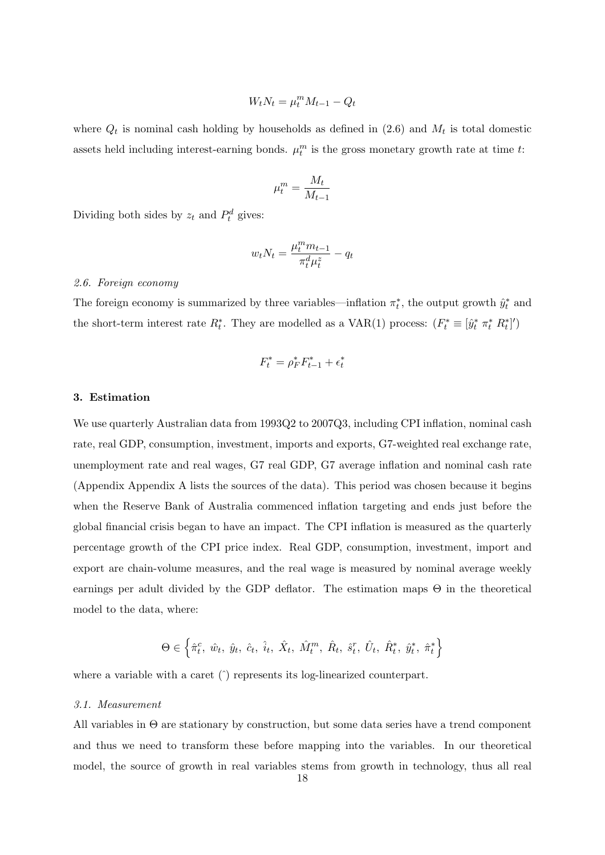$$
W_t N_t = \mu_t^m M_{t-1} - Q_t
$$

where  $Q_t$  is nominal cash holding by households as defined in  $(2.6)$  and  $M_t$  is total domestic assets held including interest-earning bonds.  $\mu_t^m$  is the gross monetary growth rate at time *t*:

$$
\mu_t^m = \frac{M_t}{M_{t-1}}
$$

Dividing both sides by  $z_t$  and  $P_t^d$  gives:

$$
w_t N_t = \frac{\mu_t^m m_{t-1}}{\pi_t^d \mu_t^z} - q_t
$$

## *2.6. Foreign economy*

The foreign economy is summarized by three variables—inflation  $\pi_t^*$ , the output growth  $\hat{y}_t^*$  and the short-term interest rate  $R_t^*$ . They are modelled as a VAR(1) process:  $(F_t^* \equiv [\hat{y}_t^* \pi_t^* R_t^*]')$ 

$$
F_t^* = \rho_F^* F_{t-1}^* + \epsilon_t^*
$$

## **3. Estimation**

We use quarterly Australian data from 1993Q2 to 2007Q3, including CPI inflation, nominal cash rate, real GDP, consumption, investment, imports and exports, G7-weighted real exchange rate, unemployment rate and real wages, G7 real GDP, G7 average inflation and nominal cash rate (Appendix Appendix A lists the sources of the data). This period was chosen because it begins when the Reserve Bank of Australia commenced inflation targeting and ends just before the global financial crisis began to have an impact. The CPI inflation is measured as the quarterly percentage growth of the CPI price index. Real GDP, consumption, investment, import and export are chain-volume measures, and the real wage is measured by nominal average weekly earnings per adult divided by the GDP deflator. The estimation maps  $\Theta$  in the theoretical model to the data, where:

$$
\Theta \in \left\{ \hat{\pi}^c_t, \; \hat{w}_t, \; \hat{y}_t, \; \hat{c}_t, \; \hat{i}_t, \; \hat{X}_t, \; \hat{M}^m_t, \; \hat{R}_t, \; \hat{s}^r_t, \; \hat{U}_t, \; \hat{R}^*_t, \; \hat{y}^*_t, \; \hat{\pi}^*_t \right\}
$$

where a variable with a caret ( $\hat{ }$ ) represents its log-linearized counterpart.

#### *3.1. Measurement*

All variables in Θ are stationary by construction, but some data series have a trend component and thus we need to transform these before mapping into the variables. In our theoretical model, the source of growth in real variables stems from growth in technology, thus all real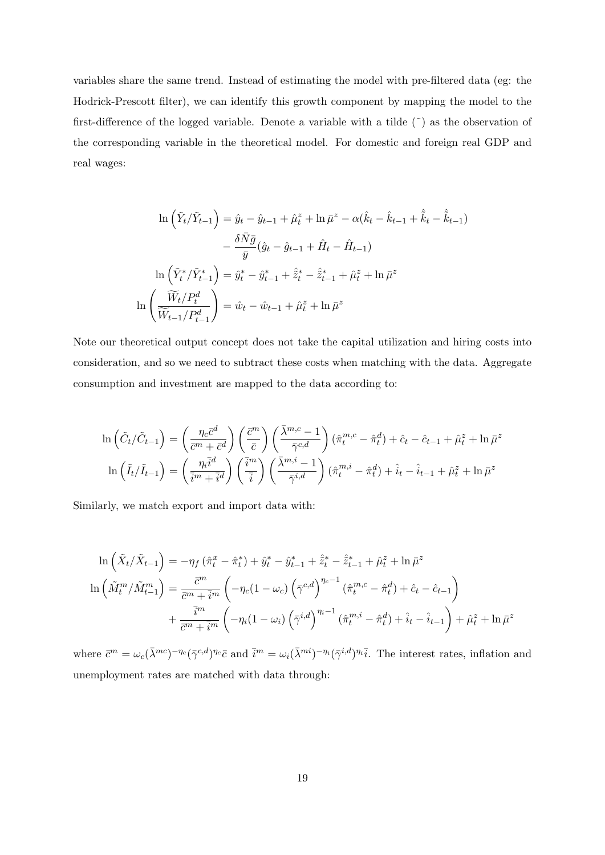variables share the same trend. Instead of estimating the model with pre-filtered data (eg: the Hodrick-Prescott filter), we can identify this growth component by mapping the model to the first-difference of the logged variable. Denote a variable with a tilde  $(*)$  as the observation of the corresponding variable in the theoretical model. For domestic and foreign real GDP and real wages:

$$
\ln\left(\tilde{Y}_t/\tilde{Y}_{t-1}\right) = \hat{y}_t - \hat{y}_{t-1} + \hat{\mu}_t^z + \ln \bar{\mu}^z - \alpha(\hat{k}_t - \hat{k}_{t-1} + \hat{\tilde{k}}_t - \hat{\tilde{k}}_{t-1})
$$

$$
- \frac{\delta \bar{N}\bar{g}}{\bar{y}} (\hat{g}_t - \hat{g}_{t-1} + \hat{H}_t - \hat{H}_{t-1})
$$

$$
\ln\left(\tilde{Y}_t^*/\tilde{Y}_{t-1}^*\right) = \hat{y}_t^* - \hat{y}_{t-1}^* + \hat{\tilde{z}}_t^* - \hat{\tilde{z}}_{t-1}^* + \hat{\mu}_t^z + \ln \bar{\mu}^z
$$

$$
\ln\left(\frac{\widetilde{W}_t/P_t^d}{\widetilde{W}_{t-1}/P_{t-1}^d}\right) = \hat{w}_t - \hat{w}_{t-1} + \hat{\mu}_t^z + \ln \bar{\mu}^z
$$

Note our theoretical output concept does not take the capital utilization and hiring costs into consideration, and so we need to subtract these costs when matching with the data. Aggregate consumption and investment are mapped to the data according to:

$$
\ln\left(\tilde{C}_t/\tilde{C}_{t-1}\right) = \left(\frac{\eta_c \bar{c}^d}{\bar{c}^m + \bar{c}^d}\right) \left(\frac{\bar{c}^m}{\bar{c}}\right) \left(\frac{\bar{\lambda}^{m,c}-1}{\bar{\gamma}^{c,d}}\right) \left(\hat{\pi}_t^{m,c} - \hat{\pi}_t^d\right) + \hat{c}_t - \hat{c}_{t-1} + \hat{\mu}_t^z + \ln \bar{\mu}^z
$$

$$
\ln\left(\tilde{I}_t/\tilde{I}_{t-1}\right) = \left(\frac{\eta_i \bar{i}^d}{\bar{i}^m + \bar{i}^d}\right) \left(\frac{\bar{i}^m}{\bar{i}}\right) \left(\frac{\bar{\lambda}^{m,i}-1}{\bar{\gamma}^{i,d}}\right) \left(\hat{\pi}_t^{m,i} - \hat{\pi}_t^d\right) + \hat{i}_t - \hat{i}_{t-1} + \hat{\mu}_t^z + \ln \bar{\mu}^z
$$

Similarly, we match export and import data with:

$$
\ln\left(\tilde{X}_t/\tilde{X}_{t-1}\right) = -\eta_f \left(\hat{\pi}_t^x - \hat{\pi}_t^*\right) + \hat{y}_t^* - \hat{y}_{t-1}^* + \hat{\tilde{z}}_t^* - \hat{\tilde{z}}_{t-1}^* + \hat{\mu}_t^z + \ln \bar{\mu}^z
$$

$$
\ln\left(\tilde{M}_t^m/\tilde{M}_{t-1}^m\right) = \frac{\bar{c}^m}{\bar{c}^m + \bar{i}^m} \left(-\eta_c (1 - \omega_c) \left(\bar{\gamma}^{c,d}\right)^{\eta_c - 1} \left(\hat{\pi}_t^{m,c} - \hat{\pi}_t^d\right) + \hat{c}_t - \hat{c}_{t-1}\right)
$$

$$
+ \frac{\bar{i}^m}{\bar{c}^m + \bar{i}^m} \left(-\eta_i (1 - \omega_i) \left(\bar{\gamma}^{i,d}\right)^{\eta_i - 1} \left(\hat{\pi}_t^{m,i} - \hat{\pi}_t^d\right) + \hat{i}_t - \hat{i}_{t-1}\right) + \hat{\mu}_t^z + \ln \bar{\mu}^z
$$

where  $\bar{c}^m = \omega_c(\bar{\lambda}^{mc})^{-\eta_c}(\bar{\gamma}^{c,d})^{\eta_c}\bar{c}$  and  $\bar{i}^m = \omega_i(\bar{\lambda}^{mi})^{-\eta_i}(\bar{\gamma}^{i,d})^{\eta_i}\bar{i}$ . The interest rates, inflation and unemployment rates are matched with data through: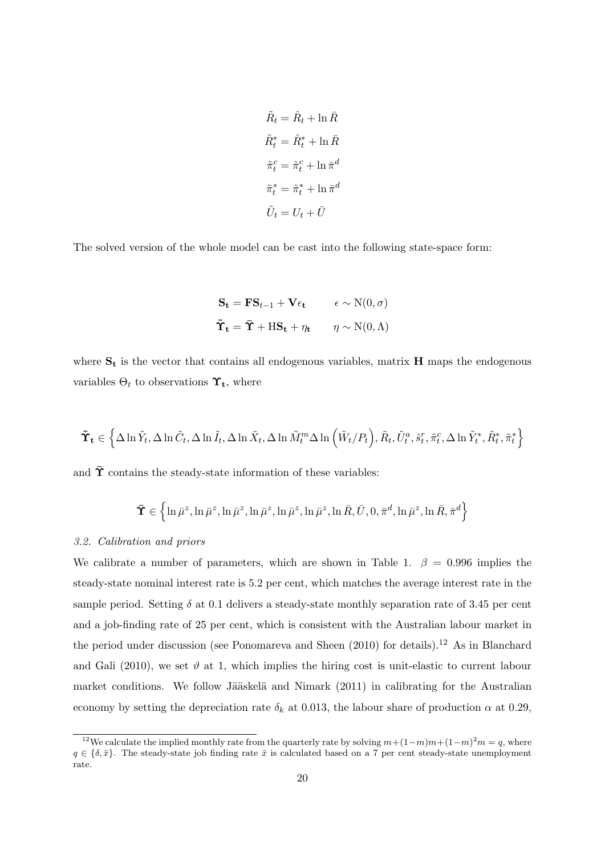$$
\tilde{R}_t = \hat{R}_t + \ln \bar{R}
$$

$$
\tilde{R}_t^* = \hat{R}_t^* + \ln \bar{R}
$$

$$
\tilde{\pi}_t^c = \hat{\pi}_t^c + \ln \bar{\pi}^d
$$

$$
\tilde{\pi}_t^* = \hat{\pi}_t^* + \ln \bar{\pi}^d
$$

$$
\tilde{U}_t = U_t + \bar{U}
$$

The solved version of the whole model can be cast into the following state-space form:

$$
\mathbf{S_t} = \mathbf{F} \mathbf{S}_{t-1} + \mathbf{V} \epsilon_t \qquad \epsilon \sim \mathcal{N}(0, \sigma)
$$
  

$$
\tilde{\mathbf{T}}_t = \bar{\mathbf{T}} + \mathbf{H} \mathbf{S}_t + \eta_t \qquad \eta \sim \mathcal{N}(0, \Lambda)
$$

where  $S_t$  is the vector that contains all endogenous variables, matrix  $H$  maps the endogenous variables  $\Theta_t$  to observations  $\Upsilon_t$ , where

$$
\tilde{\Upsilon}_{t} \in \left\{ \Delta \ln \tilde{Y}_{t}, \Delta \ln \tilde{C}_{t}, \Delta \ln \tilde{I}_{t}, \Delta \ln \tilde{X}_{t}, \Delta \ln \tilde{M}_{t}^{m} \Delta \ln \left( \tilde{W}_{t}/P_{t} \right), \tilde{R}_{t}, \tilde{U}_{t}^{a}, \hat{s}_{t}^{r}, \tilde{\pi}_{t}^{c}, \Delta \ln \tilde{Y}_{t}^{*}, \tilde{R}_{t}^{*}, \tilde{\pi}_{t}^{*} \right\}
$$

and  $\bar{\Upsilon}$  contains the steady-state information of these variables:

$$
\mathbf{\bar{T}}\in\left\{\ln\bar{\mu}^z,\ln\bar{\mu}^z,\ln\bar{\mu}^z,\ln\bar{\mu}^z,\ln\bar{\mu}^z,\ln\bar{\mu}^z,\ln\bar{R},\bar{U},0,\bar{\pi}^d,\ln\bar{\mu}^z,\ln\bar{R},\bar{\pi}^d\right\}
$$

## *3.2. Calibration and priors*

We calibrate a number of parameters, which are shown in Table 1.  $\beta = 0.996$  implies the steady-state nominal interest rate is 5.2 per cent, which matches the average interest rate in the sample period. Setting  $\delta$  at 0.1 delivers a steady-state monthly separation rate of 3.45 per cent and a job-finding rate of 25 per cent, which is consistent with the Australian labour market in the period under discussion (see Ponomareva and Sheen  $(2010)$  for details).<sup>12</sup> As in Blanchard and Gali (2010), we set  $\vartheta$  at 1, which implies the hiring cost is unit-elastic to current labour market conditions. We follow Jääskelä and Nimark  $(2011)$  in calibrating for the Australian economy by setting the depreciation rate  $\delta_k$  at 0.013, the labour share of production  $\alpha$  at 0.29,

<sup>&</sup>lt;sup>12</sup>We calculate the implied monthly rate from the quarterly rate by solving  $m+(1-m)m+(1-m)^2m=q$ , where  $q \in \{\delta, \bar{x}\}\.$  The steady-state job finding rate  $\bar{x}$  is calculated based on a 7 per cent steady-state unemployment rate.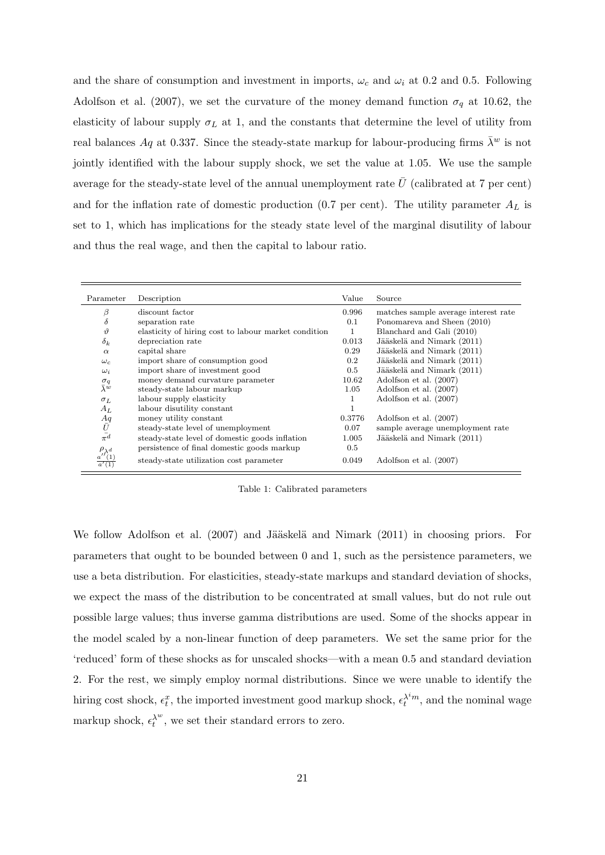and the share of consumption and investment in imports,  $\omega_c$  and  $\omega_i$  at 0.2 and 0.5. Following Adolfson et al. (2007), we set the curvature of the money demand function  $\sigma_q$  at 10.62, the elasticity of labour supply  $\sigma_L$  at 1, and the constants that determine the level of utility from real balances *Aq* at 0.337. Since the steady-state markup for labour-producing firms  $\bar{\lambda}^w$  is not jointly identified with the labour supply shock, we set the value at 1.05. We use the sample average for the steady-state level of the annual unemployment rate  $U$  (calibrated at  $7$  per cent) and for the inflation rate of domestic production (0.7 per cent). The utility parameter *A<sup>L</sup>* is set to 1, which has implications for the steady state level of the marginal disutility of labour and thus the real wage, and then the capital to labour ratio.

| Parameter                                                   | Description                                          | Value  | Source                               |
|-------------------------------------------------------------|------------------------------------------------------|--------|--------------------------------------|
| β                                                           | discount factor                                      | 0.996  | matches sample average interest rate |
| $\delta$                                                    | separation rate                                      | 0.1    | Ponomareva and Sheen (2010)          |
| $\vartheta$                                                 | elasticity of hiring cost to labour market condition |        | Blanchard and Gali (2010)            |
| $\delta_k$                                                  | depreciation rate                                    | 0.013  | Jääskelä and Nimark (2011)           |
| $\alpha$                                                    | capital share                                        | 0.29   | Jääskelä and Nimark (2011)           |
| $\omega_c$                                                  | import share of consumption good                     | 0.2    | Jääskelä and Nimark (2011)           |
| $\omega_i$                                                  | import share of investment good                      | 0.5    | Jääskelä and Nimark (2011)           |
| $\sigma_q$                                                  | money demand curvature parameter                     | 10.62  | Adolfson et al. (2007)               |
| $\bar{\lambda}^w$                                           | steady-state labour markup                           | 1.05   | Adolfson et al. (2007)               |
| $\sigma_L$                                                  | labour supply elasticity                             | 1      | Adolfson et al. (2007)               |
| $A_L$                                                       | labour disutility constant                           | 1      |                                      |
|                                                             | money utility constant                               | 0.3776 | Adolfson et al. (2007)               |
|                                                             | steady-state level of unemployment                   | 0.07   | sample average unemployment rate     |
| $\begin{array}{c} Aq \\ \bar{U} \\ \bar{\pi^d} \end{array}$ | steady-state level of domestic goods inflation       | 1.005  | Jääskelä and Nimark (2011)           |
|                                                             | persistence of final domestic goods markup           | 0.5    |                                      |
| $\frac{\rho_{\lambda}d}{a'(1)}$                             | steady-state utilization cost parameter              | 0.049  | Adolfson et al. (2007)               |

Table 1: Calibrated parameters

We follow Adolfson et al.  $(2007)$  and Jääskelä and Nimark  $(2011)$  in choosing priors. For parameters that ought to be bounded between 0 and 1, such as the persistence parameters, we use a beta distribution. For elasticities, steady-state markups and standard deviation of shocks, we expect the mass of the distribution to be concentrated at small values, but do not rule out possible large values; thus inverse gamma distributions are used. Some of the shocks appear in the model scaled by a non-linear function of deep parameters. We set the same prior for the 'reduced' form of these shocks as for unscaled shocks—with a mean 0.5 and standard deviation 2. For the rest, we simply employ normal distributions. Since we were unable to identify the hiring cost shock,  $\epsilon_t^x$ , the imported investment good markup shock,  $\epsilon_t^{\lambda^i m}$ , and the nominal wage markup shock,  $\epsilon_t^{\lambda^w}$ , we set their standard errors to zero.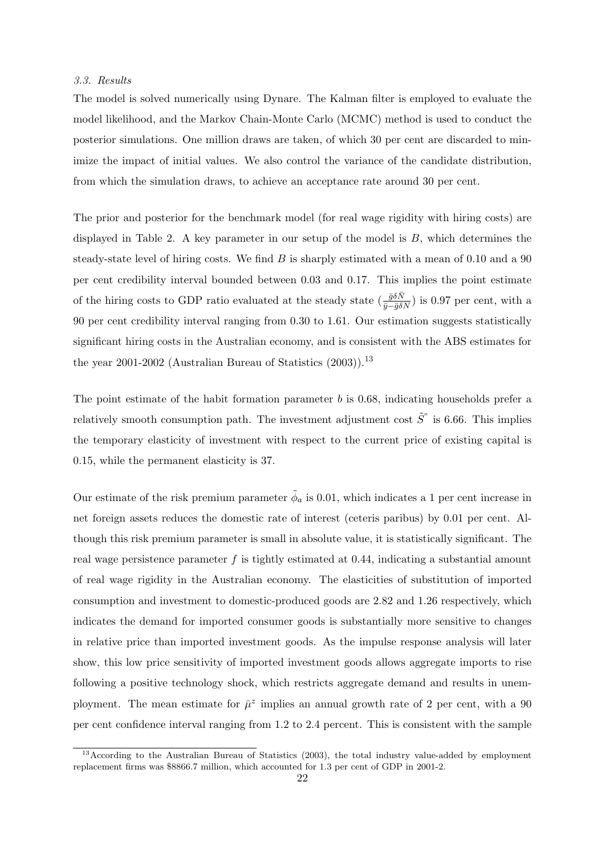#### *3.3. Results*

The model is solved numerically using Dynare. The Kalman filter is employed to evaluate the model likelihood, and the Markov Chain-Monte Carlo (MCMC) method is used to conduct the posterior simulations. One million draws are taken, of which 30 per cent are discarded to minimize the impact of initial values. We also control the variance of the candidate distribution, from which the simulation draws, to achieve an acceptance rate around 30 per cent.

The prior and posterior for the benchmark model (for real wage rigidity with hiring costs) are displayed in Table 2. A key parameter in our setup of the model is *B*, which determines the steady-state level of hiring costs. We find *B* is sharply estimated with a mean of 0.10 and a 90 per cent credibility interval bounded between 0.03 and 0.17. This implies the point estimate of the hiring costs to GDP ratio evaluated at the steady state  $(\frac{\bar{g}\delta\bar{N}}{\bar{g}-\bar{g}\delta\bar{N}})$  is 0.97 per cent, with a 90 per cent credibility interval ranging from 0.30 to 1.61. Our estimation suggests statistically significant hiring costs in the Australian economy, and is consistent with the ABS estimates for the year 2001-2002 (Australian Bureau of Statistics  $(2003)$ ).<sup>13</sup>

The point estimate of the habit formation parameter *b* is 0.68, indicating households prefer a relatively smooth consumption path. The investment adjustment cost  $\tilde{S}$ <sup>"</sup> is 6.66. This implies the temporary elasticity of investment with respect to the current price of existing capital is 0.15, while the permanent elasticity is 37.

Our estimate of the risk premium parameter  $\tilde{\phi}_a$  is 0.01, which indicates a 1 per cent increase in net foreign assets reduces the domestic rate of interest (ceteris paribus) by 0.01 per cent. Although this risk premium parameter is small in absolute value, it is statistically significant. The real wage persistence parameter *f* is tightly estimated at 0.44, indicating a substantial amount of real wage rigidity in the Australian economy. The elasticities of substitution of imported consumption and investment to domestic-produced goods are 2.82 and 1.26 respectively, which indicates the demand for imported consumer goods is substantially more sensitive to changes in relative price than imported investment goods. As the impulse response analysis will later show, this low price sensitivity of imported investment goods allows aggregate imports to rise following a positive technology shock, which restricts aggregate demand and results in unemployment. The mean estimate for  $\bar{\mu}^z$  implies an annual growth rate of 2 per cent, with a 90 per cent confidence interval ranging from 1.2 to 2.4 percent. This is consistent with the sample

<sup>&</sup>lt;sup>13</sup>According to the Australian Bureau of Statistics (2003), the total industry value-added by employment replacement firms was \$8866.7 million, which accounted for 1.3 per cent of GDP in 2001-2.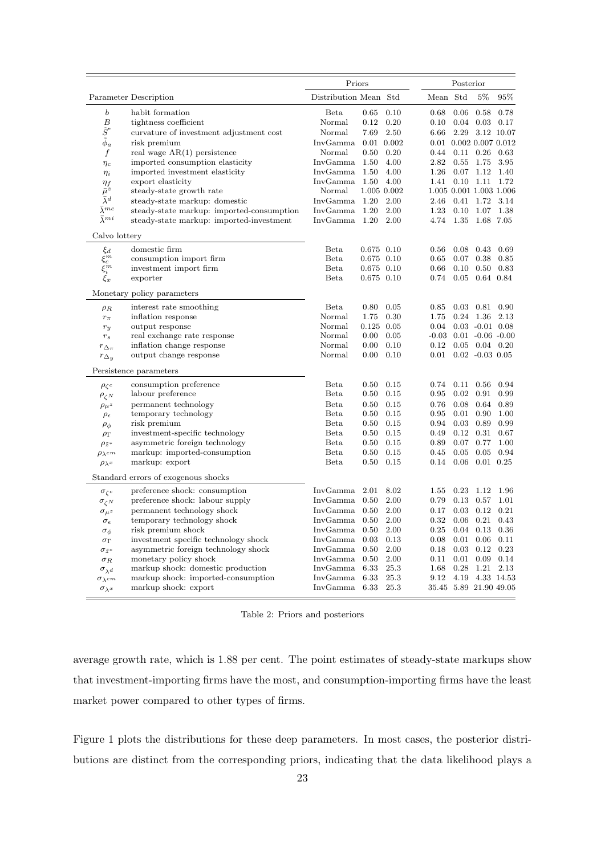|                        |                                           | Priors                |              |             | Posterior |      |                                |             |  |
|------------------------|-------------------------------------------|-----------------------|--------------|-------------|-----------|------|--------------------------------|-------------|--|
|                        | Parameter Description                     | Distribution Mean Std |              |             | Mean Std  |      | $5\%$                          | 95%         |  |
| $\boldsymbol{b}$       | habit formation                           | Beta                  | 0.65         | 0.10        | 0.68      | 0.06 | 0.58                           | 0.78        |  |
| $\boldsymbol{B}$       | tightness coefficient                     | Normal                | 0.12         | 0.20        | 0.10      | 0.04 | 0.03                           | 0.17        |  |
| $\tilde{S}$ "          | curvature of investment adjustment cost   | Normal                | 7.69         | 2.50        | 6.66      | 2.29 |                                | 3.12 10.07  |  |
| $\tilde{\phi}_a$       | risk premium                              | InvGamma              |              | 0.01 0.002  |           |      | $0.01$ $0.002$ $0.007$ $0.012$ |             |  |
| f                      | real wage $AR(1)$ persistence             | Normal                | 0.50         | 0.20        | 0.44      | 0.11 | 0.26                           | 0.63        |  |
| $\eta_c$               | imported consumption elasticity           | InvGamma 1.50         |              | 4.00        | 2.82      | 0.55 | 1.75                           | 3.95        |  |
| $\eta_i$               | imported investment elasticity            | InvGamma 1.50         |              | 4.00        | 1.26      | 0.07 | 1.12                           | 1.40        |  |
| $\eta_f$               | export elasticity                         | InvGamma 1.50         |              | 4.00        | 1.41      | 0.10 | 1.11                           | 1.72        |  |
| $\bar{\mu}^z$          | steady-state growth rate                  | Normal                |              | 1.005 0.002 |           |      | 1.005 0.001 1.003 1.006        |             |  |
| $\bar \lambda^d$       | steady-state markup: domestic             | InvGamma 1.20         |              | 2.00        | 2.46      | 0.41 | 1.72                           | 3.14        |  |
| $\bar{\lambda}^{mc}$   | steady-state markup: imported-consumption | InvGamma 1.20         |              | 2.00        | 1.23      | 0.10 | 1.07                           | 1.38        |  |
| $\bar{\lambda}^{mi}$   | steady-state markup: imported-investment  | InvGamma 1.20         |              | 2.00        | 4.74      | 1.35 | 1.68 7.05                      |             |  |
| Calvo lottery          |                                           |                       |              |             |           |      |                                |             |  |
| $\xi_d$                | domestic firm                             | Beta                  | 0.675 0.10   |             | 0.56      | 0.08 | 0.43                           | 0.69        |  |
| $\xi_c^m$              | consumption import firm                   | <b>Beta</b>           | 0.675 0.10   |             | 0.65      | 0.07 | 0.38                           | 0.85        |  |
| $\tilde{\xi}_i^m$      | investment import firm                    | Beta                  | 0.675 0.10   |             | 0.66      | 0.10 | 0.50                           | 0.83        |  |
| $\xi_x$                | exporter                                  | Beta                  | 0.675 0.10   |             | 0.74      | 0.05 | 0.64 0.84                      |             |  |
|                        | Monetary policy parameters                |                       |              |             |           |      |                                |             |  |
| $\rho_R$               | interest rate smoothing                   | Beta                  | 0.80         | 0.05        | 0.85      | 0.03 | 0.81                           | 0.90        |  |
| $r_{\pi}$              | inflation response                        | Normal                | 1.75         | 0.30        | 1.75      | 0.24 | 1.36                           | 2.13        |  |
| $r_y$                  | output response                           | Normal                | $0.125$ 0.05 |             | 0.04      |      | $0.03 - 0.01 0.08$             |             |  |
| $r_s$                  | real exchange rate response               | Normal                | $0.00\,$     | 0.05        |           |      | $-0.03$ $0.01$ $-0.06$ $-0.00$ |             |  |
| $r_{\Delta_{\pi}}$     | inflation change response                 | Normal                | $0.00\,$     | 0.10        | 0.12      | 0.05 |                                | $0.04$ 0.20 |  |
| $r_{\Delta_y}$         | output change response                    | Normal                | 0.00         | 0.10        | 0.01      |      | $0.02 - 0.03 0.05$             |             |  |
|                        | Persistence parameters                    |                       |              |             |           |      |                                |             |  |
| $\rho_{\zeta^c}$       | consumption preference                    | Beta                  | 0.50         | 0.15        | 0.74      | 0.11 | 0.56                           | 0.94        |  |
| $\rho_{\zeta N}$       | labour preference                         | Beta                  | $0.50\,$     | 0.15        | 0.95      | 0.02 | 0.91                           | 0.99        |  |
| $\rho_\mu z$           | permanent technology                      | Beta                  | 0.50         | 0.15        | 0.76      | 0.08 | 0.64                           | 0.89        |  |
| $\rho_{\epsilon}$      | temporary technology                      | Beta                  | 0.50         | 0.15        | 0.95      | 0.01 | 0.90                           | 1.00        |  |
| $\rho_{\phi}$          | risk premium                              | Beta                  | 0.50         | 0.15        | 0.94      | 0.03 | 0.89                           | 0.99        |  |
| $\rho_{\Gamma}$        | investment-specific technology            | Beta                  | 0.50         | 0.15        | 0.49      | 0.12 | 0.31                           | 0.67        |  |
| $\rho_{\tilde{z}^*}$   | asymmetric foreign technology             | Beta                  | $0.50\,$     | 0.15        | 0.89      | 0.07 | 0.77                           | 1.00        |  |
| $\rho_{\lambda}$ cm    | markup: imported-consumption              | Beta                  | 0.50         | 0.15        | 0.45      | 0.05 | 0.05                           | 0.94        |  |
| $\rho_{\lambda} x$     | markup: export                            | Beta                  | 0.50         | 0.15        | 0.14      | 0.06 | $0.01$ $0.25$                  |             |  |
|                        | Standard errors of exogenous shocks       |                       |              |             |           |      |                                |             |  |
| $\sigma_{\zeta^c}$     | preference shock: consumption             | InvGamma              | 2.01         | 8.02        | 1.55      | 0.23 | 1.12                           | 1.96        |  |
| $\sigma_{\zeta N}$     | preference shock: labour supply           | InvGamma              | 0.50         | 2.00        | 0.79      | 0.13 | 0.57                           | 1.01        |  |
| $\sigma_{\mu^z}$       | permanent technology shock                | InvGamma              | 0.50         | 2.00        | 0.17      | 0.03 | 0.12                           | 0.21        |  |
| $\sigma_{\epsilon}$    | temporary technology shock                | InvGamma 0.50         |              | 2.00        | 0.32      | 0.06 | 0.21                           | 0.43        |  |
| $\sigma_{\phi}$        | risk premium shock                        | InvGamma 0.50         |              | 2.00        | 0.25      | 0.04 | 0.13                           | 0.36        |  |
| $\sigma_{\Gamma}$      | investment specific technology shock      | InvGamma 0.03         |              | 0.13        | 0.08      | 0.01 | 0.06                           | 0.11        |  |
| $\sigma_{\tilde{z}^*}$ | asymmetric foreign technology shock       | InvGamma 0.50         |              | 2.00        | 0.18      | 0.03 | 0.12                           | 0.23        |  |
| $\sigma_R$             | monetary policy shock                     | InvGamma 0.50         |              | 2.00        | 0.11      | 0.01 | 0.09                           | 0.14        |  |
| $\sigma_{\lambda^d}$   | markup shock: domestic production         | InvGamma 6.33         |              | 25.3        | 1.68      | 0.28 | 1.21                           | 2.13        |  |
| $\sigma_{\lambda}$ cm  | markup shock: imported-consumption        | InvGamma              | 6.33         | 25.3        | 9.12      | 4.19 |                                | 4.33 14.53  |  |
| $\sigma_{\lambda} x$   | markup shock: export                      | InvGamma 6.33         |              | 25.3        |           |      | 35.45 5.89 21.90 49.05         |             |  |

Table 2: Priors and posteriors

average growth rate, which is 1.88 per cent. The point estimates of steady-state markups show that investment-importing firms have the most, and consumption-importing firms have the least market power compared to other types of firms.

Figure 1 plots the distributions for these deep parameters. In most cases, the posterior distributions are distinct from the corresponding priors, indicating that the data likelihood plays a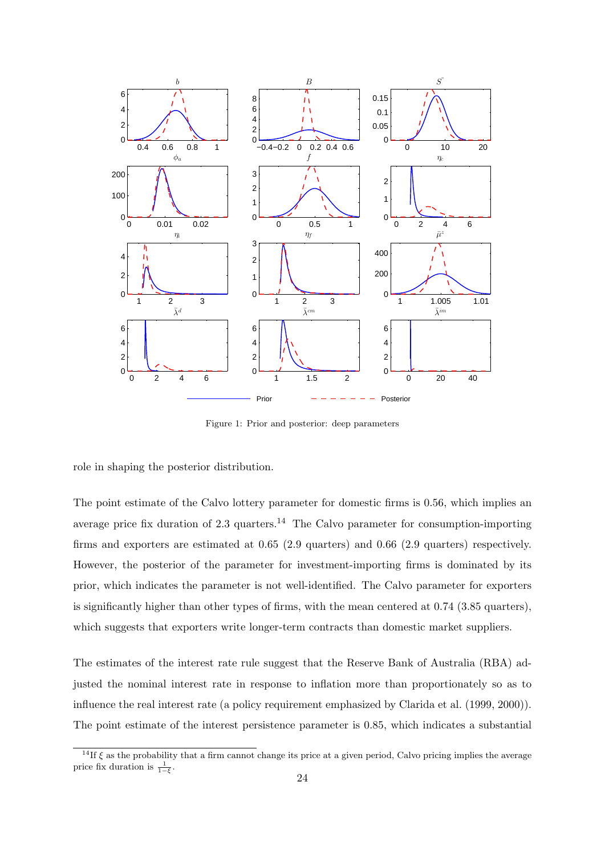

Figure 1: Prior and posterior: deep parameters

role in shaping the posterior distribution.

The point estimate of the Calvo lottery parameter for domestic firms is 0.56, which implies an average price fix duration of  $2.3$  quarters.<sup>14</sup> The Calvo parameter for consumption-importing firms and exporters are estimated at 0.65 (2.9 quarters) and 0.66 (2.9 quarters) respectively. However, the posterior of the parameter for investment-importing firms is dominated by its prior, which indicates the parameter is not well-identified. The Calvo parameter for exporters is significantly higher than other types of firms, with the mean centered at 0.74 (3.85 quarters), which suggests that exporters write longer-term contracts than domestic market suppliers.

The estimates of the interest rate rule suggest that the Reserve Bank of Australia (RBA) adjusted the nominal interest rate in response to inflation more than proportionately so as to influence the real interest rate (a policy requirement emphasized by Clarida et al. (1999, 2000)). The point estimate of the interest persistence parameter is 0.85, which indicates a substantial

<sup>&</sup>lt;sup>14</sup>If  $\xi$  as the probability that a firm cannot change its price at a given period, Calvo pricing implies the average price fix duration is  $\frac{1}{1-\xi}$ .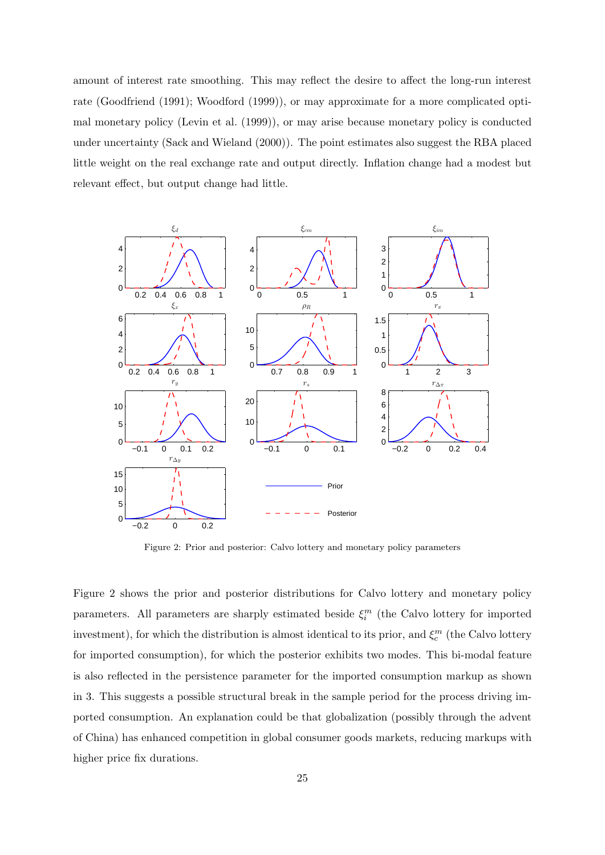amount of interest rate smoothing. This may reflect the desire to affect the long-run interest rate (Goodfriend (1991); Woodford (1999)), or may approximate for a more complicated optimal monetary policy (Levin et al. (1999)), or may arise because monetary policy is conducted under uncertainty (Sack and Wieland (2000)). The point estimates also suggest the RBA placed little weight on the real exchange rate and output directly. Inflation change had a modest but relevant effect, but output change had little.



Figure 2: Prior and posterior: Calvo lottery and monetary policy parameters

Figure 2 shows the prior and posterior distributions for Calvo lottery and monetary policy parameters. All parameters are sharply estimated beside  $\xi_i^m$  (the Calvo lottery for imported investment), for which the distribution is almost identical to its prior, and  $\xi_c^m$  (the Calvo lottery for imported consumption), for which the posterior exhibits two modes. This bi-modal feature is also reflected in the persistence parameter for the imported consumption markup as shown in 3. This suggests a possible structural break in the sample period for the process driving imported consumption. An explanation could be that globalization (possibly through the advent of China) has enhanced competition in global consumer goods markets, reducing markups with higher price fix durations.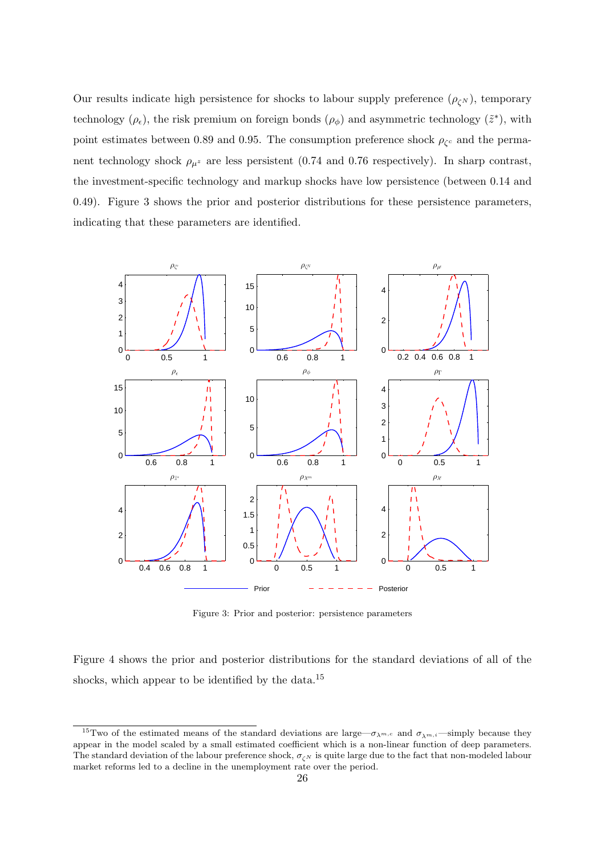Our results indicate high persistence for shocks to labour supply preference  $(\rho_{\zeta^N})$ , temporary technology  $(\rho_{\epsilon})$ , the risk premium on foreign bonds  $(\rho_{\phi})$  and asymmetric technology  $(\tilde{z}^*)$ , with point estimates between 0.89 and 0.95. The consumption preference shock  $\rho_{\zeta_c}$  and the permanent technology shock  $\rho_{\mu^z}$  are less persistent (0.74 and 0.76 respectively). In sharp contrast, the investment-specific technology and markup shocks have low persistence (between 0.14 and 0.49). Figure 3 shows the prior and posterior distributions for these persistence parameters, indicating that these parameters are identified.



Figure 3: Prior and posterior: persistence parameters

Figure 4 shows the prior and posterior distributions for the standard deviations of all of the shocks, which appear to be identified by the data.<sup>15</sup>

<sup>&</sup>lt;sup>15</sup>Two of the estimated means of the standard deviations are large— $\sigma_{\lambda^{m,c}}$  and  $\sigma_{\lambda^{m,i}}$ —simply because they appear in the model scaled by a small estimated coefficient which is a non-linear function of deep parameters. The standard deviation of the labour preference shock,  $\sigma_{\zeta N}$  is quite large due to the fact that non-modeled labour market reforms led to a decline in the unemployment rate over the period.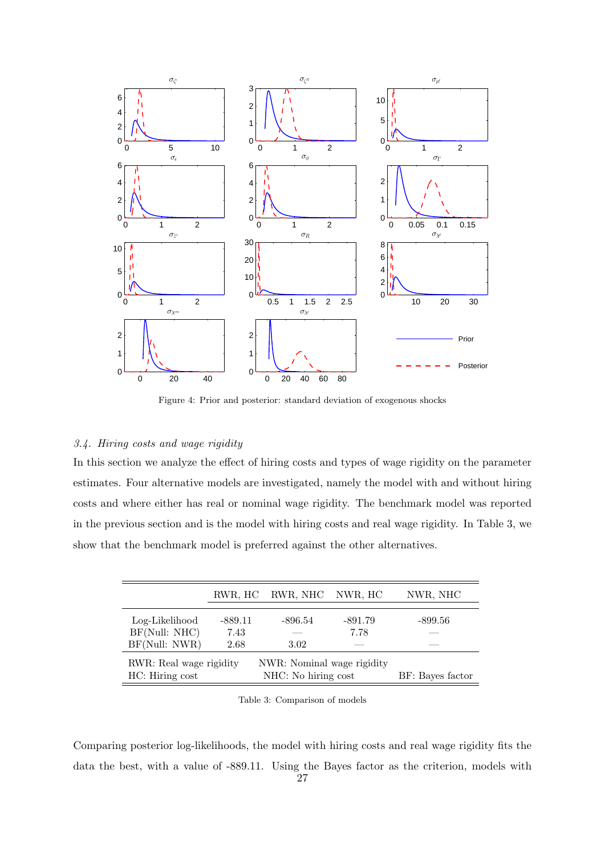

Figure 4: Prior and posterior: standard deviation of exogenous shocks

## *3.4. Hiring costs and wage rigidity*

In this section we analyze the effect of hiring costs and types of wage rigidity on the parameter estimates. Four alternative models are investigated, namely the model with and without hiring costs and where either has real or nominal wage rigidity. The benchmark model was reported in the previous section and is the model with hiring costs and real wage rigidity. In Table 3, we show that the benchmark model is preferred against the other alternatives.

|                         |           | RWR, HC RWR, NHC NWR, HC   |                  | NWR, NHC  |  |
|-------------------------|-----------|----------------------------|------------------|-----------|--|
| Log-Likelihood          | $-889.11$ | $-896.54$                  | $-891.79$        | $-899.56$ |  |
| BF(Null: NHC)           | 7.43      |                            | 7.78             |           |  |
| BF(Null: NWR)           | 2.68      | 3.02                       |                  |           |  |
| RWR: Real wage rigidity |           | NWR: Nominal wage rigidity |                  |           |  |
| HC: Hiring cost         |           | NHC: No hiring cost        | BF: Bayes factor |           |  |

Table 3: Comparison of models

Comparing posterior log-likelihoods, the model with hiring costs and real wage rigidity fits the data the best, with a value of -889.11. Using the Bayes factor as the criterion, models with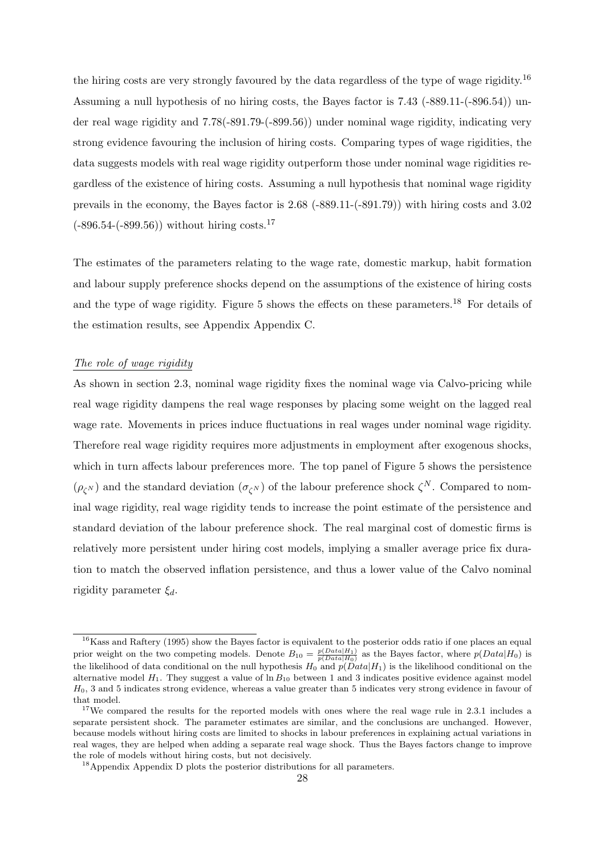the hiring costs are very strongly favoured by the data regardless of the type of wage rigidity.<sup>16</sup> Assuming a null hypothesis of no hiring costs, the Bayes factor is 7.43 (-889.11-(-896.54)) under real wage rigidity and 7.78(-891.79-(-899.56)) under nominal wage rigidity, indicating very strong evidence favouring the inclusion of hiring costs. Comparing types of wage rigidities, the data suggests models with real wage rigidity outperform those under nominal wage rigidities regardless of the existence of hiring costs. Assuming a null hypothesis that nominal wage rigidity prevails in the economy, the Bayes factor is 2.68 (-889.11-(-891.79)) with hiring costs and 3.02  $(-896.54-(-899.56))$  without hiring costs.<sup>17</sup>

The estimates of the parameters relating to the wage rate, domestic markup, habit formation and labour supply preference shocks depend on the assumptions of the existence of hiring costs and the type of wage rigidity. Figure 5 shows the effects on these parameters.<sup>18</sup> For details of the estimation results, see Appendix Appendix C.

## *The role of wage rigidity*

As shown in section 2.3, nominal wage rigidity fixes the nominal wage via Calvo-pricing while real wage rigidity dampens the real wage responses by placing some weight on the lagged real wage rate. Movements in prices induce fluctuations in real wages under nominal wage rigidity. Therefore real wage rigidity requires more adjustments in employment after exogenous shocks, which in turn affects labour preferences more. The top panel of Figure 5 shows the persistence  $(\rho_{\zeta^N})$  and the standard deviation  $(\sigma_{\zeta^N})$  of the labour preference shock  $\zeta^N$ . Compared to nominal wage rigidity, real wage rigidity tends to increase the point estimate of the persistence and standard deviation of the labour preference shock. The real marginal cost of domestic firms is relatively more persistent under hiring cost models, implying a smaller average price fix duration to match the observed inflation persistence, and thus a lower value of the Calvo nominal rigidity parameter *ξd*.

<sup>&</sup>lt;sup>16</sup>Kass and Raftery (1995) show the Bayes factor is equivalent to the posterior odds ratio if one places an equal prior weight on the two competing models. Denote  $B_{10} = \frac{p(Data|H_1)}{p(Data|H_0)}$  as the Bayes factor, where  $p(Data|H_0)$  is the likelihood of data conditional on the null hypothesis  $H_0$  and  $p(Data|H_1)$  is the likelihood conditional on the alternative model  $H_1$ . They suggest a value of  $\ln B_{10}$  between 1 and 3 indicates positive evidence against model *H*0, 3 and 5 indicates strong evidence, whereas a value greater than 5 indicates very strong evidence in favour of that model.

<sup>&</sup>lt;sup>17</sup>We compared the results for the reported models with ones where the real wage rule in 2.3.1 includes a separate persistent shock. The parameter estimates are similar, and the conclusions are unchanged. However, because models without hiring costs are limited to shocks in labour preferences in explaining actual variations in real wages, they are helped when adding a separate real wage shock. Thus the Bayes factors change to improve the role of models without hiring costs, but not decisively.

<sup>&</sup>lt;sup>18</sup>Appendix Appendix D plots the posterior distributions for all parameters.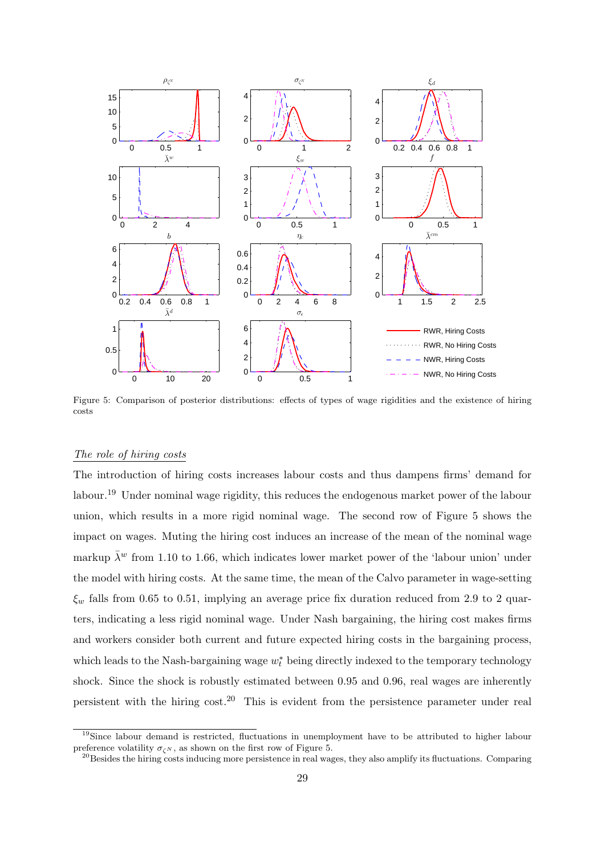

Figure 5: Comparison of posterior distributions: effects of types of wage rigidities and the existence of hiring costs

## *The role of hiring costs*

The introduction of hiring costs increases labour costs and thus dampens firms' demand for labour.<sup>19</sup> Under nominal wage rigidity, this reduces the endogenous market power of the labour union, which results in a more rigid nominal wage. The second row of Figure 5 shows the impact on wages. Muting the hiring cost induces an increase of the mean of the nominal wage markup  $\bar{\lambda}^w$  from 1.10 to 1.66, which indicates lower market power of the 'labour union' under the model with hiring costs. At the same time, the mean of the Calvo parameter in wage-setting *ξ<sup>w</sup>* falls from 0.65 to 0.51, implying an average price fix duration reduced from 2.9 to 2 quarters, indicating a less rigid nominal wage. Under Nash bargaining, the hiring cost makes firms and workers consider both current and future expected hiring costs in the bargaining process, which leads to the Nash-bargaining wage *w ∗ <sup>t</sup>* being directly indexed to the temporary technology shock. Since the shock is robustly estimated between 0.95 and 0.96, real wages are inherently persistent with the hiring  $\cosh^{20}$  This is evident from the persistence parameter under real

<sup>&</sup>lt;sup>19</sup>Since labour demand is restricted, fluctuations in unemployment have to be attributed to higher labour preference volatility  $\sigma_{\zeta^N}$ , as shown on the first row of Figure 5.

 $^{20}$ Besides the hiring costs inducing more persistence in real wages, they also amplify its fluctuations. Comparing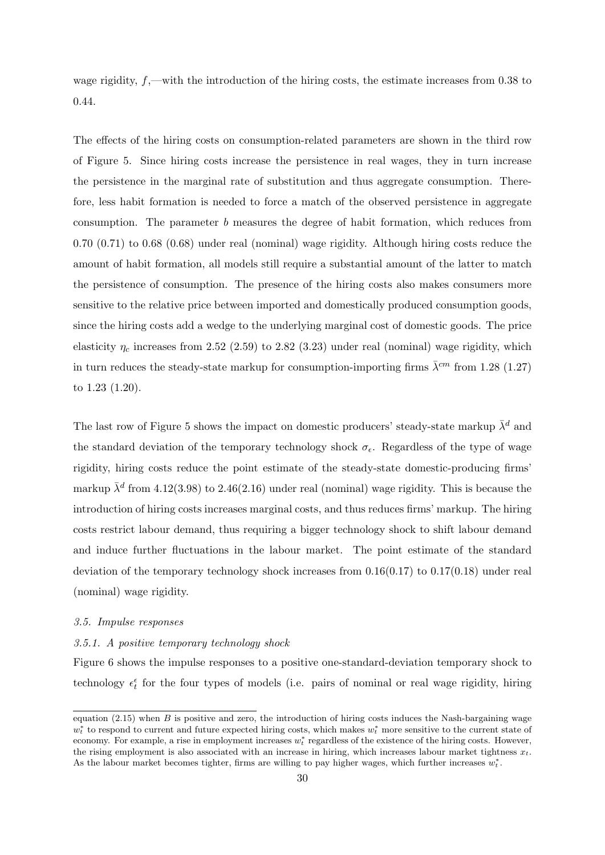wage rigidity,  $f,$ —with the introduction of the hiring costs, the estimate increases from 0.38 to 0.44.

The effects of the hiring costs on consumption-related parameters are shown in the third row of Figure 5. Since hiring costs increase the persistence in real wages, they in turn increase the persistence in the marginal rate of substitution and thus aggregate consumption. Therefore, less habit formation is needed to force a match of the observed persistence in aggregate consumption. The parameter *b* measures the degree of habit formation, which reduces from 0.70 (0.71) to 0.68 (0.68) under real (nominal) wage rigidity. Although hiring costs reduce the amount of habit formation, all models still require a substantial amount of the latter to match the persistence of consumption. The presence of the hiring costs also makes consumers more sensitive to the relative price between imported and domestically produced consumption goods, since the hiring costs add a wedge to the underlying marginal cost of domestic goods. The price elasticity  $\eta_c$  increases from 2.52 (2.59) to 2.82 (3.23) under real (nominal) wage rigidity, which in turn reduces the steady-state markup for consumption-importing firms  $\bar{\lambda}^{cm}$  from 1.28 (1.27) to 1.23 (1.20).

The last row of Figure 5 shows the impact on domestic producers' steady-state markup  $\bar{\lambda}^d$  and the standard deviation of the temporary technology shock *σϵ*. Regardless of the type of wage rigidity, hiring costs reduce the point estimate of the steady-state domestic-producing firms' markup  $\bar{\lambda}^d$  from 4.12(3.98) to 2.46(2.16) under real (nominal) wage rigidity. This is because the introduction of hiring costs increases marginal costs, and thus reduces firms' markup. The hiring costs restrict labour demand, thus requiring a bigger technology shock to shift labour demand and induce further fluctuations in the labour market. The point estimate of the standard deviation of the temporary technology shock increases from  $0.16(0.17)$  to  $0.17(0.18)$  under real (nominal) wage rigidity.

#### *3.5. Impulse responses*

#### *3.5.1. A positive temporary technology shock*

Figure 6 shows the impulse responses to a positive one-standard-deviation temporary shock to technology  $\epsilon_t^{\epsilon}$  for the four types of models (i.e. pairs of nominal or real wage rigidity, hiring

equation  $(2.15)$  when *B* is positive and zero, the introduction of hiring costs induces the Nash-bargaining wage *w*<sup>∗</sup> to respond to current and future expected hiring costs, which makes  $w_t^*$  more sensitive to the current state of economy. For example, a rise in employment increases *w ∗ <sup>t</sup>* regardless of the existence of the hiring costs. However, the rising employment is also associated with an increase in hiring, which increases labour market tightness *xt*. As the labour market becomes tighter, firms are willing to pay higher wages, which further increases *w ∗ t* .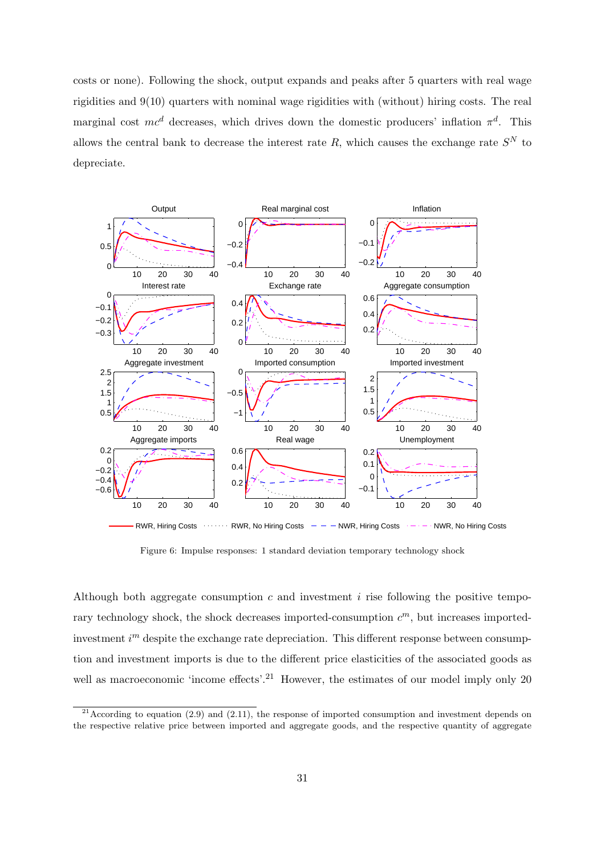costs or none). Following the shock, output expands and peaks after 5 quarters with real wage rigidities and 9(10) quarters with nominal wage rigidities with (without) hiring costs. The real marginal cost *mc<sup>d</sup>* decreases, which drives down the domestic producers' inflation *π d* . This allows the central bank to decrease the interest rate  $R$ , which causes the exchange rate  $S<sup>N</sup>$  to depreciate.



Figure 6: Impulse responses: 1 standard deviation temporary technology shock

Although both aggregate consumption *c* and investment *i* rise following the positive temporary technology shock, the shock decreases imported-consumption *c <sup>m</sup>*, but increases importedinvestment *i*<sup>m</sup> despite the exchange rate depreciation. This different response between consumption and investment imports is due to the different price elasticities of the associated goods as well as macroeconomic 'income effects'.<sup>21</sup> However, the estimates of our model imply only 20

<sup>&</sup>lt;sup>21</sup> According to equation (2.9) and (2.11), the response of imported consumption and investment depends on the respective relative price between imported and aggregate goods, and the respective quantity of aggregate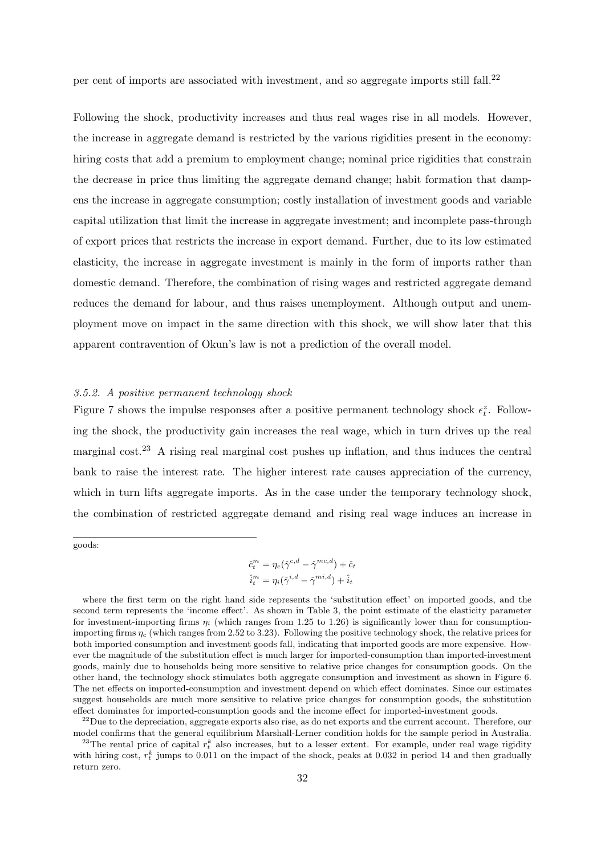per cent of imports are associated with investment, and so aggregate imports still fall.<sup>22</sup>

Following the shock, productivity increases and thus real wages rise in all models. However, the increase in aggregate demand is restricted by the various rigidities present in the economy: hiring costs that add a premium to employment change; nominal price rigidities that constrain the decrease in price thus limiting the aggregate demand change; habit formation that dampens the increase in aggregate consumption; costly installation of investment goods and variable capital utilization that limit the increase in aggregate investment; and incomplete pass-through of export prices that restricts the increase in export demand. Further, due to its low estimated elasticity, the increase in aggregate investment is mainly in the form of imports rather than domestic demand. Therefore, the combination of rising wages and restricted aggregate demand reduces the demand for labour, and thus raises unemployment. Although output and unemployment move on impact in the same direction with this shock, we will show later that this apparent contravention of Okun's law is not a prediction of the overall model.

#### *3.5.2. A positive permanent technology shock*

Figure 7 shows the impulse responses after a positive permanent technology shock  $\epsilon_t^z$ . Following the shock, the productivity gain increases the real wage, which in turn drives up the real marginal cost.<sup>23</sup> A rising real marginal cost pushes up inflation, and thus induces the central bank to raise the interest rate. The higher interest rate causes appreciation of the currency, which in turn lifts aggregate imports. As in the case under the temporary technology shock, the combination of restricted aggregate demand and rising real wage induces an increase in

goods:

$$
\hat{c}_t^m = \eta_c(\hat{\gamma}^{c,d} - \hat{\gamma}^{mc,d}) + \hat{c}_t
$$

$$
\hat{i}_t^m = \eta_i(\hat{\gamma}^{i,d} - \hat{\gamma}^{mi,d}) + \hat{i}_t
$$

where the first term on the right hand side represents the 'substitution effect' on imported goods, and the second term represents the 'income effect'. As shown in Table 3, the point estimate of the elasticity parameter for investment-importing firms  $\eta_i$  (which ranges from 1.25 to 1.26) is significantly lower than for consumptionimporting firms *η<sup>c</sup>* (which ranges from 2.52 to 3.23). Following the positive technology shock, the relative prices for both imported consumption and investment goods fall, indicating that imported goods are more expensive. However the magnitude of the substitution effect is much larger for imported-consumption than imported-investment goods, mainly due to households being more sensitive to relative price changes for consumption goods. On the other hand, the technology shock stimulates both aggregate consumption and investment as shown in Figure 6. The net effects on imported-consumption and investment depend on which effect dominates. Since our estimates suggest households are much more sensitive to relative price changes for consumption goods, the substitution effect dominates for imported-consumption goods and the income effect for imported-investment goods.

 $^{22}$ Due to the depreciation, aggregate exports also rise, as do net exports and the current account. Therefore, our model confirms that the general equilibrium Marshall-Lerner condition holds for the sample period in Australia.

<sup>&</sup>lt;sup>23</sup>The rental price of capital  $r_t^k$  also increases, but to a lesser extent. For example, under real wage rigidity with hiring cost,  $r_t^k$  jumps to 0.011 on the impact of the shock, peaks at 0.032 in period 14 and then gradually return zero.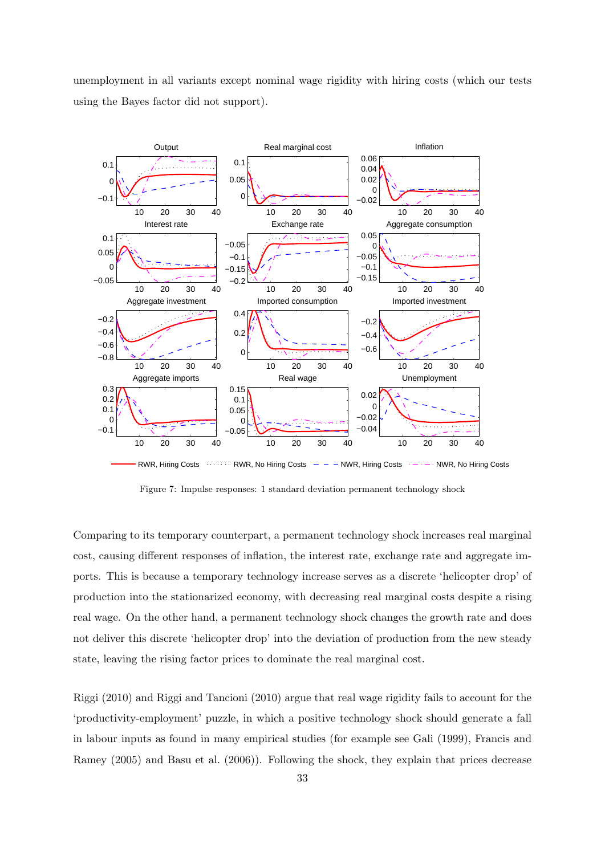unemployment in all variants except nominal wage rigidity with hiring costs (which our tests using the Bayes factor did not support).



Figure 7: Impulse responses: 1 standard deviation permanent technology shock

Comparing to its temporary counterpart, a permanent technology shock increases real marginal cost, causing different responses of inflation, the interest rate, exchange rate and aggregate imports. This is because a temporary technology increase serves as a discrete 'helicopter drop' of production into the stationarized economy, with decreasing real marginal costs despite a rising real wage. On the other hand, a permanent technology shock changes the growth rate and does not deliver this discrete 'helicopter drop' into the deviation of production from the new steady state, leaving the rising factor prices to dominate the real marginal cost.

Riggi (2010) and Riggi and Tancioni (2010) argue that real wage rigidity fails to account for the 'productivity-employment' puzzle, in which a positive technology shock should generate a fall in labour inputs as found in many empirical studies (for example see Gali (1999), Francis and Ramey (2005) and Basu et al. (2006)). Following the shock, they explain that prices decrease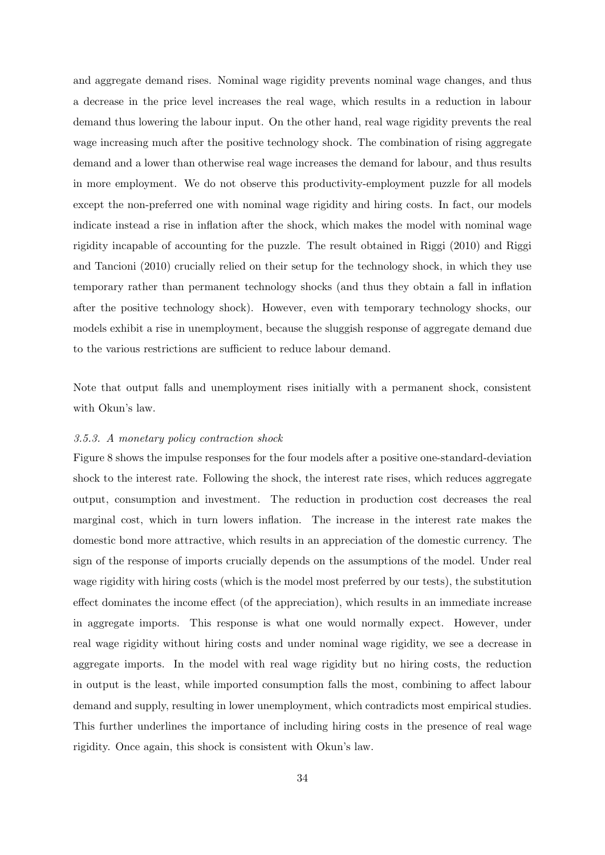and aggregate demand rises. Nominal wage rigidity prevents nominal wage changes, and thus a decrease in the price level increases the real wage, which results in a reduction in labour demand thus lowering the labour input. On the other hand, real wage rigidity prevents the real wage increasing much after the positive technology shock. The combination of rising aggregate demand and a lower than otherwise real wage increases the demand for labour, and thus results in more employment. We do not observe this productivity-employment puzzle for all models except the non-preferred one with nominal wage rigidity and hiring costs. In fact, our models indicate instead a rise in inflation after the shock, which makes the model with nominal wage rigidity incapable of accounting for the puzzle. The result obtained in Riggi (2010) and Riggi and Tancioni (2010) crucially relied on their setup for the technology shock, in which they use temporary rather than permanent technology shocks (and thus they obtain a fall in inflation after the positive technology shock). However, even with temporary technology shocks, our models exhibit a rise in unemployment, because the sluggish response of aggregate demand due to the various restrictions are sufficient to reduce labour demand.

Note that output falls and unemployment rises initially with a permanent shock, consistent with Okun's law.

## *3.5.3. A monetary policy contraction shock*

Figure 8 shows the impulse responses for the four models after a positive one-standard-deviation shock to the interest rate. Following the shock, the interest rate rises, which reduces aggregate output, consumption and investment. The reduction in production cost decreases the real marginal cost, which in turn lowers inflation. The increase in the interest rate makes the domestic bond more attractive, which results in an appreciation of the domestic currency. The sign of the response of imports crucially depends on the assumptions of the model. Under real wage rigidity with hiring costs (which is the model most preferred by our tests), the substitution effect dominates the income effect (of the appreciation), which results in an immediate increase in aggregate imports. This response is what one would normally expect. However, under real wage rigidity without hiring costs and under nominal wage rigidity, we see a decrease in aggregate imports. In the model with real wage rigidity but no hiring costs, the reduction in output is the least, while imported consumption falls the most, combining to affect labour demand and supply, resulting in lower unemployment, which contradicts most empirical studies. This further underlines the importance of including hiring costs in the presence of real wage rigidity. Once again, this shock is consistent with Okun's law.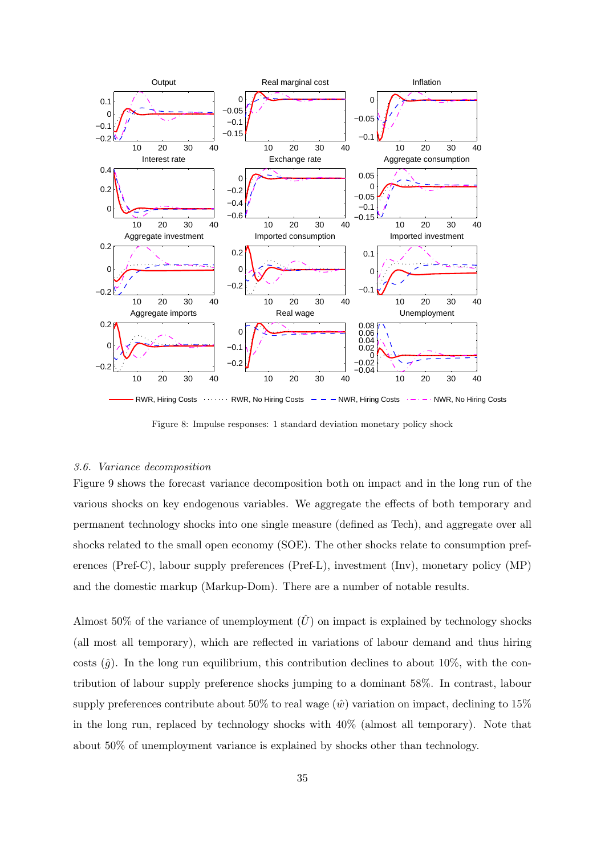

Figure 8: Impulse responses: 1 standard deviation monetary policy shock

#### *3.6. Variance decomposition*

Figure 9 shows the forecast variance decomposition both on impact and in the long run of the various shocks on key endogenous variables. We aggregate the effects of both temporary and permanent technology shocks into one single measure (defined as Tech), and aggregate over all shocks related to the small open economy (SOE). The other shocks relate to consumption preferences (Pref-C), labour supply preferences (Pref-L), investment (Inv), monetary policy (MP) and the domestic markup (Markup-Dom). There are a number of notable results.

Almost 50% of the variance of unemployment  $(\hat{U})$  on impact is explained by technology shocks (all most all temporary), which are reflected in variations of labour demand and thus hiring costs  $(\hat{q})$ . In the long run equilibrium, this contribution declines to about 10%, with the contribution of labour supply preference shocks jumping to a dominant 58%. In contrast, labour supply preferences contribute about 50% to real wage  $(\hat{w})$  variation on impact, declining to 15% in the long run, replaced by technology shocks with 40% (almost all temporary). Note that about 50% of unemployment variance is explained by shocks other than technology.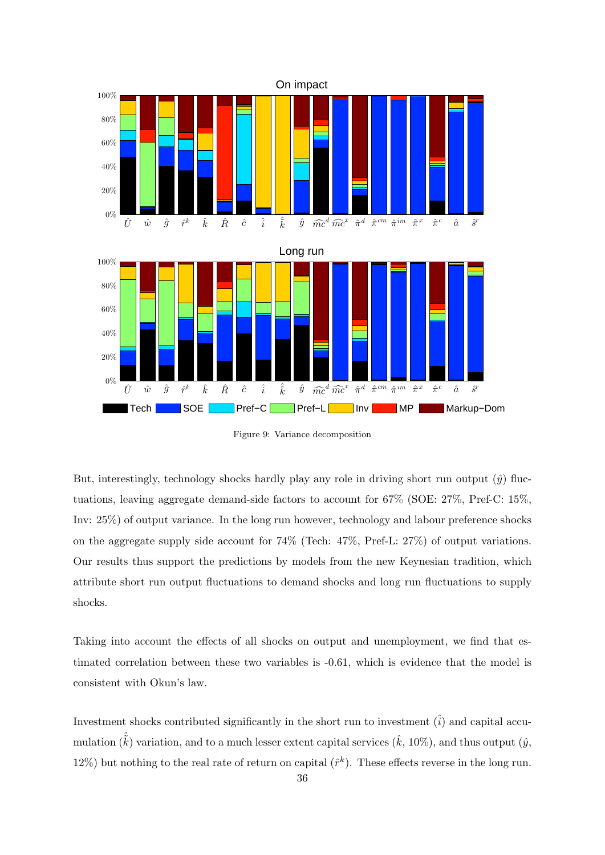

Figure 9: Variance decomposition

But, interestingly, technology shocks hardly play any role in driving short run output  $(\hat{y})$  fluctuations, leaving aggregate demand-side factors to account for 67% (SOE: 27%, Pref-C: 15%, Inv: 25%) of output variance. In the long run however, technology and labour preference shocks on the aggregate supply side account for 74% (Tech: 47%, Pref-L: 27%) of output variations. Our results thus support the predictions by models from the new Keynesian tradition, which attribute short run output fluctuations to demand shocks and long run fluctuations to supply shocks.

Taking into account the effects of all shocks on output and unemployment, we find that estimated correlation between these two variables is -0.61, which is evidence that the model is consistent with Okun's law.

Investment shocks contributed significantly in the short run to investment  $(\hat{i})$  and capital accumulation  $(\tilde{k})$  variation, and to a much lesser extent capital services  $(\hat{k}, 10\%)$ , and thus output  $(\hat{y}, \hat{y})$ 12%) but nothing to the real rate of return on capital  $(\hat{r}^k)$ . These effects reverse in the long run.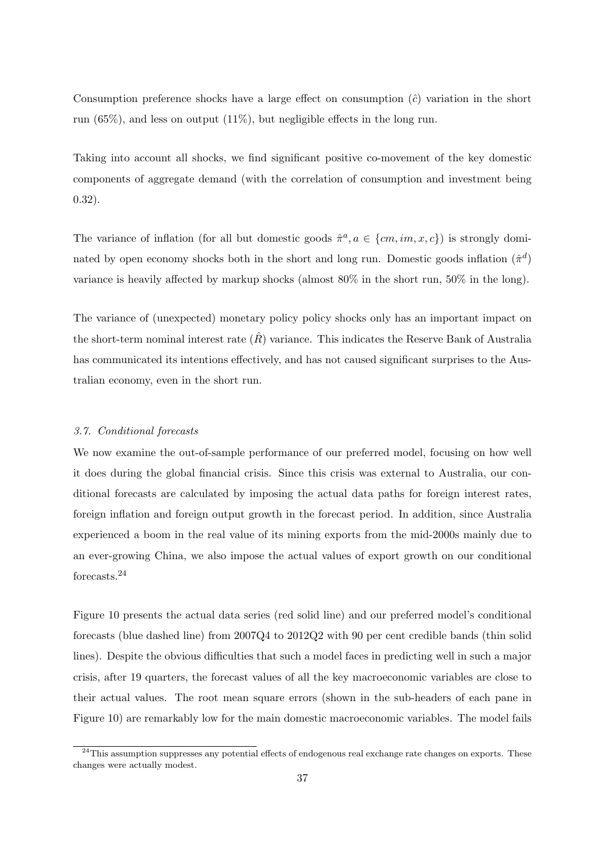Consumption preference shocks have a large effect on consumption  $(\hat{c})$  variation in the short run (65%), and less on output (11%), but negligible effects in the long run.

Taking into account all shocks, we find significant positive co-movement of the key domestic components of aggregate demand (with the correlation of consumption and investment being 0.32).

The variance of inflation (for all but domestic goods  $\hat{\pi}^a$ ,  $a \in \{cm, im, x, c\}$ ) is strongly dominated by open economy shocks both in the short and long run. Domestic goods inflation  $(\hat{\pi}^d)$ variance is heavily affected by markup shocks (almost 80% in the short run, 50% in the long).

The variance of (unexpected) monetary policy policy shocks only has an important impact on the short-term nominal interest rate  $(\hat{R})$  variance. This indicates the Reserve Bank of Australia has communicated its intentions effectively, and has not caused significant surprises to the Australian economy, even in the short run.

#### *3.7. Conditional forecasts*

We now examine the out-of-sample performance of our preferred model, focusing on how well it does during the global financial crisis. Since this crisis was external to Australia, our conditional forecasts are calculated by imposing the actual data paths for foreign interest rates, foreign inflation and foreign output growth in the forecast period. In addition, since Australia experienced a boom in the real value of its mining exports from the mid-2000s mainly due to an ever-growing China, we also impose the actual values of export growth on our conditional forecasts.<sup>24</sup>

Figure 10 presents the actual data series (red solid line) and our preferred model's conditional forecasts (blue dashed line) from 2007Q4 to 2012Q2 with 90 per cent credible bands (thin solid lines). Despite the obvious difficulties that such a model faces in predicting well in such a major crisis, after 19 quarters, the forecast values of all the key macroeconomic variables are close to their actual values. The root mean square errors (shown in the sub-headers of each pane in Figure 10) are remarkably low for the main domestic macroeconomic variables. The model fails

<sup>&</sup>lt;sup>24</sup>This assumption suppresses any potential effects of endogenous real exchange rate changes on exports. These changes were actually modest.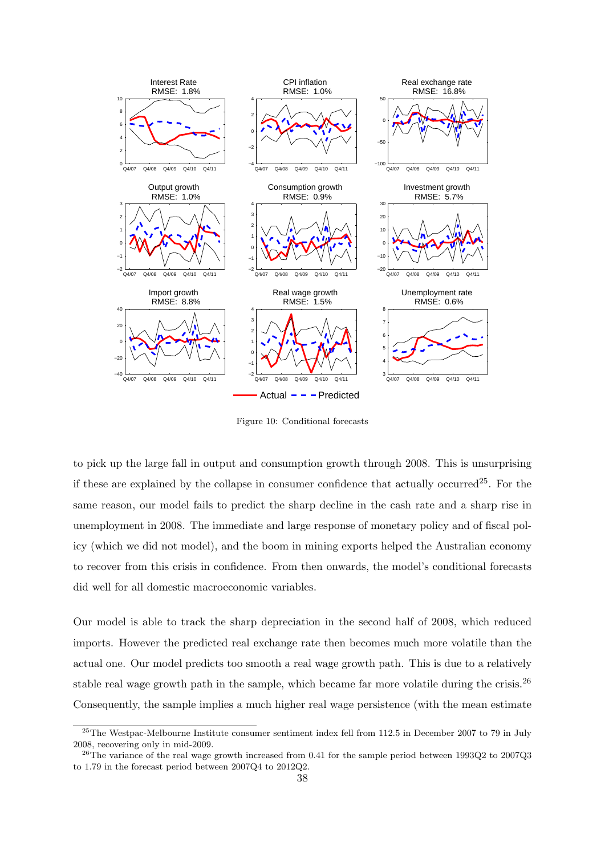

Figure 10: Conditional forecasts

to pick up the large fall in output and consumption growth through 2008. This is unsurprising if these are explained by the collapse in consumer confidence that actually occurred<sup>25</sup>. For the same reason, our model fails to predict the sharp decline in the cash rate and a sharp rise in unemployment in 2008. The immediate and large response of monetary policy and of fiscal policy (which we did not model), and the boom in mining exports helped the Australian economy to recover from this crisis in confidence. From then onwards, the model's conditional forecasts did well for all domestic macroeconomic variables.

Our model is able to track the sharp depreciation in the second half of 2008, which reduced imports. However the predicted real exchange rate then becomes much more volatile than the actual one. Our model predicts too smooth a real wage growth path. This is due to a relatively stable real wage growth path in the sample, which became far more volatile during the crisis.<sup>26</sup> Consequently, the sample implies a much higher real wage persistence (with the mean estimate

<sup>&</sup>lt;sup>25</sup>The Westpac-Melbourne Institute consumer sentiment index fell from 112.5 in December 2007 to 79 in July 2008, recovering only in mid-2009.

<sup>&</sup>lt;sup>26</sup>The variance of the real wage growth increased from 0.41 for the sample period between 1993Q2 to 2007Q3 to 1.79 in the forecast period between 2007Q4 to 2012Q2.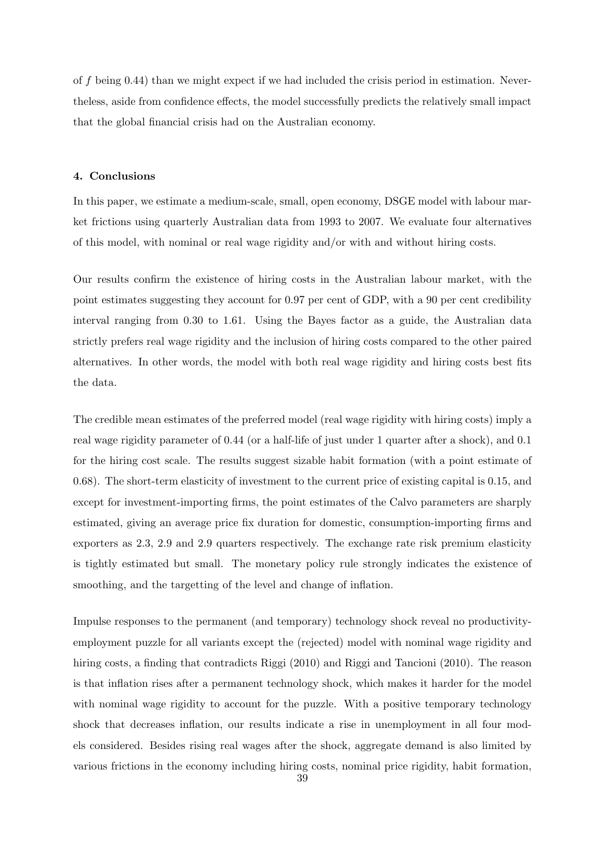of *f* being 0.44) than we might expect if we had included the crisis period in estimation. Nevertheless, aside from confidence effects, the model successfully predicts the relatively small impact that the global financial crisis had on the Australian economy.

#### **4. Conclusions**

In this paper, we estimate a medium-scale, small, open economy, DSGE model with labour market frictions using quarterly Australian data from 1993 to 2007. We evaluate four alternatives of this model, with nominal or real wage rigidity and/or with and without hiring costs.

Our results confirm the existence of hiring costs in the Australian labour market, with the point estimates suggesting they account for 0.97 per cent of GDP, with a 90 per cent credibility interval ranging from 0.30 to 1.61. Using the Bayes factor as a guide, the Australian data strictly prefers real wage rigidity and the inclusion of hiring costs compared to the other paired alternatives. In other words, the model with both real wage rigidity and hiring costs best fits the data.

The credible mean estimates of the preferred model (real wage rigidity with hiring costs) imply a real wage rigidity parameter of 0.44 (or a half-life of just under 1 quarter after a shock), and 0.1 for the hiring cost scale. The results suggest sizable habit formation (with a point estimate of 0.68). The short-term elasticity of investment to the current price of existing capital is 0.15, and except for investment-importing firms, the point estimates of the Calvo parameters are sharply estimated, giving an average price fix duration for domestic, consumption-importing firms and exporters as 2.3, 2.9 and 2.9 quarters respectively. The exchange rate risk premium elasticity is tightly estimated but small. The monetary policy rule strongly indicates the existence of smoothing, and the targetting of the level and change of inflation.

Impulse responses to the permanent (and temporary) technology shock reveal no productivityemployment puzzle for all variants except the (rejected) model with nominal wage rigidity and hiring costs, a finding that contradicts Riggi (2010) and Riggi and Tancioni (2010). The reason is that inflation rises after a permanent technology shock, which makes it harder for the model with nominal wage rigidity to account for the puzzle. With a positive temporary technology shock that decreases inflation, our results indicate a rise in unemployment in all four models considered. Besides rising real wages after the shock, aggregate demand is also limited by various frictions in the economy including hiring costs, nominal price rigidity, habit formation,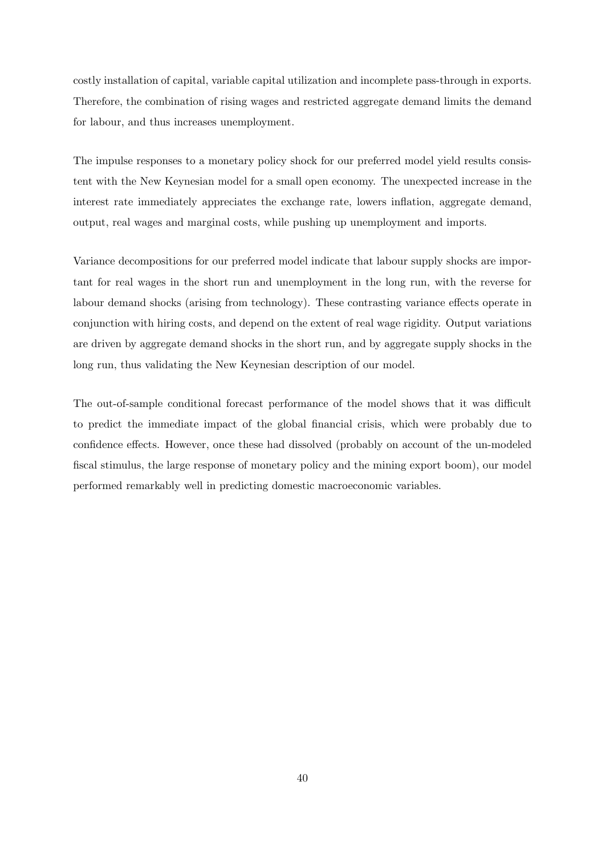costly installation of capital, variable capital utilization and incomplete pass-through in exports. Therefore, the combination of rising wages and restricted aggregate demand limits the demand for labour, and thus increases unemployment.

The impulse responses to a monetary policy shock for our preferred model yield results consistent with the New Keynesian model for a small open economy. The unexpected increase in the interest rate immediately appreciates the exchange rate, lowers inflation, aggregate demand, output, real wages and marginal costs, while pushing up unemployment and imports.

Variance decompositions for our preferred model indicate that labour supply shocks are important for real wages in the short run and unemployment in the long run, with the reverse for labour demand shocks (arising from technology). These contrasting variance effects operate in conjunction with hiring costs, and depend on the extent of real wage rigidity. Output variations are driven by aggregate demand shocks in the short run, and by aggregate supply shocks in the long run, thus validating the New Keynesian description of our model.

The out-of-sample conditional forecast performance of the model shows that it was difficult to predict the immediate impact of the global financial crisis, which were probably due to confidence effects. However, once these had dissolved (probably on account of the un-modeled fiscal stimulus, the large response of monetary policy and the mining export boom), our model performed remarkably well in predicting domestic macroeconomic variables.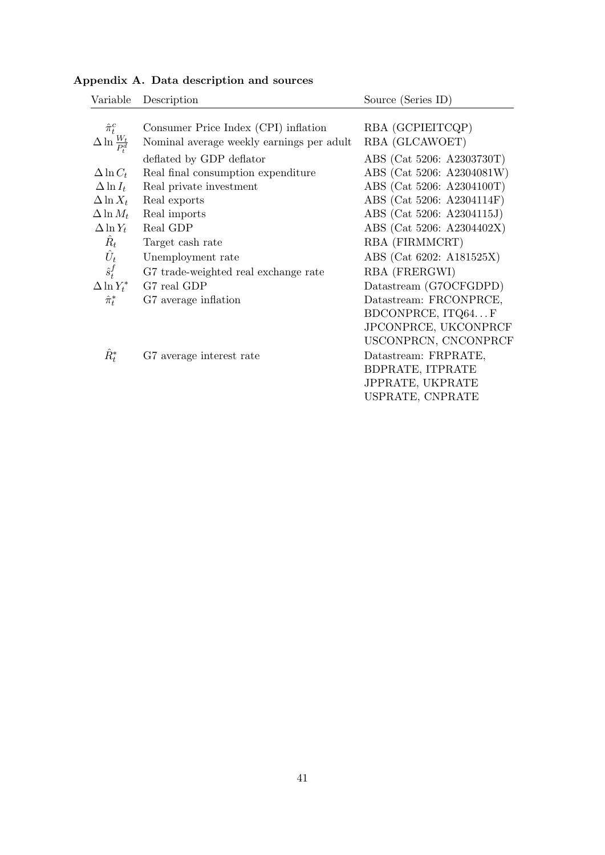| Variable                                                                     | Description                                                                                                               | Source (Series ID)                                                                                                                                    |
|------------------------------------------------------------------------------|---------------------------------------------------------------------------------------------------------------------------|-------------------------------------------------------------------------------------------------------------------------------------------------------|
| $\hat{\pi}_{t}^{c}$                                                          | Consumer Price Index (CPI) inflation                                                                                      | RBA (GCPIEITCQP)                                                                                                                                      |
| $\Delta \ln \frac{W_t}{P_d^d}$                                               | Nominal average weekly earnings per adult                                                                                 | RBA (GLCAWOET)                                                                                                                                        |
| $\Delta \ln C_t$<br>$\Delta \ln I_t$<br>$\Delta \ln X_t$<br>$\Delta \ln M_t$ | deflated by GDP deflator<br>Real final consumption expenditure<br>Real private investment<br>Real exports<br>Real imports | ABS (Cat 5206: A2303730T)<br>ABS (Cat 5206: A2304081W)<br>ABS (Cat 5206: A2304100T)<br>ABS (Cat 5206: A2304114F)<br>ABS (Cat 5206: A2304115J)         |
| $\Delta \ln Y_t$                                                             | Real GDP                                                                                                                  | ABS (Cat 5206: A2304402X)                                                                                                                             |
| $\hat{R}_t$                                                                  | Target cash rate                                                                                                          | RBA (FIRMMCRT)                                                                                                                                        |
| $\hat{U}_t$                                                                  | Unemployment rate                                                                                                         | ABS (Cat 6202: A181525X)                                                                                                                              |
| $\hat{s}_t^f$                                                                | G7 trade-weighted real exchange rate                                                                                      | RBA (FRERGWI)                                                                                                                                         |
| $\Delta \ln Y_t^*$                                                           | G7 real GDP                                                                                                               | Datastream (G7OCFGDPD)                                                                                                                                |
| $\hat{\pi}_t^*$                                                              | G7 average inflation                                                                                                      | Datastream: FRCONPRCE,                                                                                                                                |
| $\hat{R}^*_t$                                                                | G7 average interest rate                                                                                                  | BDCONPRCE, ITQ64F<br>JPCONPRCE, UKCONPRCF<br>USCONPRCN, CNCONPRCF<br>Datastream: FRPRATE,<br>BDPRATE, ITPRATE<br>JPPRATE, UKPRATE<br>USPRATE, CNPRATE |

## **Appendix A. Data description and sources**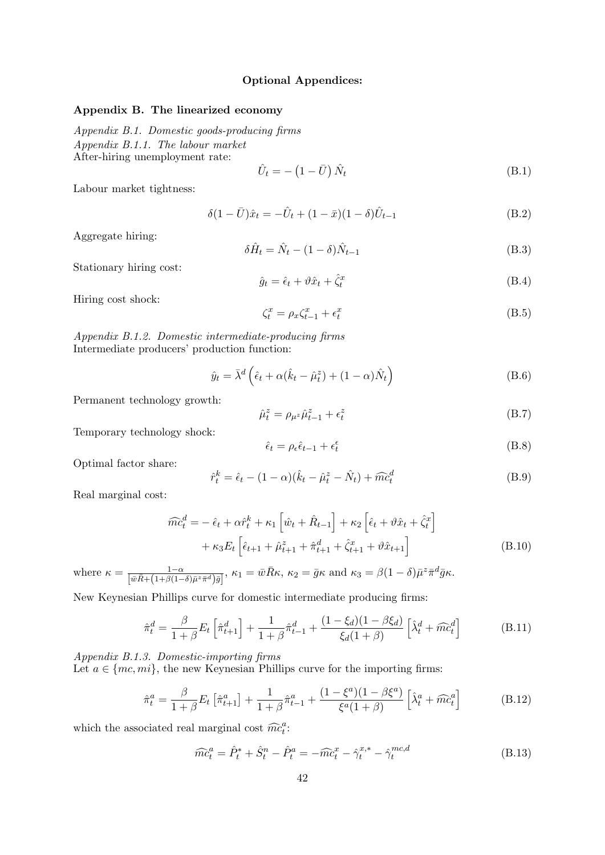## **Optional Appendices:**

## **Appendix B. The linearized economy**

*Appendix B.1. Domestic goods-producing firms Appendix B.1.1. The labour market* After-hiring unemployment rate:

$$
\hat{U}_t = -\left(1 - \bar{U}\right)\hat{N}_t\tag{B.1}
$$

Labour market tightness:

$$
\delta(1 - \bar{U})\hat{x}_t = -\hat{U}_t + (1 - \bar{x})(1 - \delta)\hat{U}_{t-1}
$$
\n(B.2)

Aggregate hiring:

$$
\delta \hat{H}_t = \hat{N}_t - (1 - \delta) \hat{N}_{t-1} \tag{B.3}
$$

Stationary hiring cost:

$$
\hat{g}_t = \hat{\epsilon}_t + \vartheta \hat{x}_t + \hat{\zeta}_t^x \tag{B.4}
$$

Hiring cost shock:

$$
\zeta_t^x = \rho_x \zeta_{t-1}^x + \epsilon_t^x \tag{B.5}
$$

*Appendix B.1.2. Domestic intermediate-producing firms* Intermediate producers' production function:

$$
\hat{y}_t = \bar{\lambda}^d \left( \hat{\epsilon}_t + \alpha (\hat{k}_t - \hat{\mu}_t^z) + (1 - \alpha) \hat{N}_t \right)
$$
\n(B.6)

Permanent technology growth:

$$
\hat{\mu}_t^z = \rho_{\mu^z} \hat{\mu}_{t-1}^z + \epsilon_t^z \tag{B.7}
$$

Temporary technology shock:

$$
\hat{\epsilon}_t = \rho_\epsilon \hat{\epsilon}_{t-1} + \epsilon_t^\epsilon \tag{B.8}
$$

Optimal factor share:

$$
\hat{r}_t^k = \hat{\epsilon}_t - (1 - \alpha)(\hat{k}_t - \hat{\mu}_t^z - \hat{N}_t) + \widehat{mc}_t^d
$$
 (B.9)

Real marginal cost:

$$
\widehat{mc}_{t}^{d} = -\hat{\epsilon}_{t} + \alpha \hat{r}_{t}^{k} + \kappa_{1} \left[ \hat{w}_{t} + \hat{R}_{t-1} \right] + \kappa_{2} \left[ \hat{\epsilon}_{t} + \vartheta \hat{x}_{t} + \hat{\zeta}_{t}^{x} \right] \n+ \kappa_{3} E_{t} \left[ \hat{\epsilon}_{t+1} + \hat{\mu}_{t+1}^{z} + \hat{\pi}_{t+1}^{d} + \hat{\zeta}_{t+1}^{x} + \vartheta \hat{x}_{t+1} \right]
$$
\n(B.10)

where  $\kappa = \frac{1-\alpha}{\left[\bar{w}\bar{R} + (1+\beta(1-\delta)\bar{\mu}^2\bar{\pi}^d)\bar{g}\right]}, \kappa_1 = \bar{w}\bar{R}\kappa, \kappa_2 = \bar{g}\kappa \text{ and } \kappa_3 = \beta(1-\delta)\bar{\mu}^2\bar{\pi}^d\bar{g}\kappa.$ 

New Keynesian Phillips curve for domestic intermediate producing firms:

$$
\hat{\pi}_t^d = \frac{\beta}{1+\beta} E_t \left[ \hat{\pi}_{t+1}^d \right] + \frac{1}{1+\beta} \hat{\pi}_{t-1}^d + \frac{(1-\xi_d)(1-\beta\xi_d)}{\xi_d(1+\beta)} \left[ \hat{\lambda}_t^d + \widehat{mc}_t^d \right]
$$
(B.11)

*Appendix B.1.3. Domestic-importing firms* Let  $a \in \{mc, mi\}$ , the new Keynesian Phillips curve for the importing firms:

$$
\hat{\pi}_t^a = \frac{\beta}{1+\beta} E_t \left[ \hat{\pi}_{t+1}^a \right] + \frac{1}{1+\beta} \hat{\pi}_{t-1}^a + \frac{(1-\xi^a)(1-\beta\xi^a)}{\xi^a(1+\beta)} \left[ \hat{\lambda}_t^a + \widehat{m} \hat{c}_t^a \right]
$$
(B.12)

which the associated real marginal cost  $\widehat{mc}_t^a$ :

$$
\widehat{mc}_t^a = \widehat{P}_t^* + \widehat{S}_t^n - \widehat{P}_t^a = -\widehat{mc}_t^x - \widehat{\gamma}_t^{x,*} - \widehat{\gamma}_t^{mc,d}
$$
(B.13)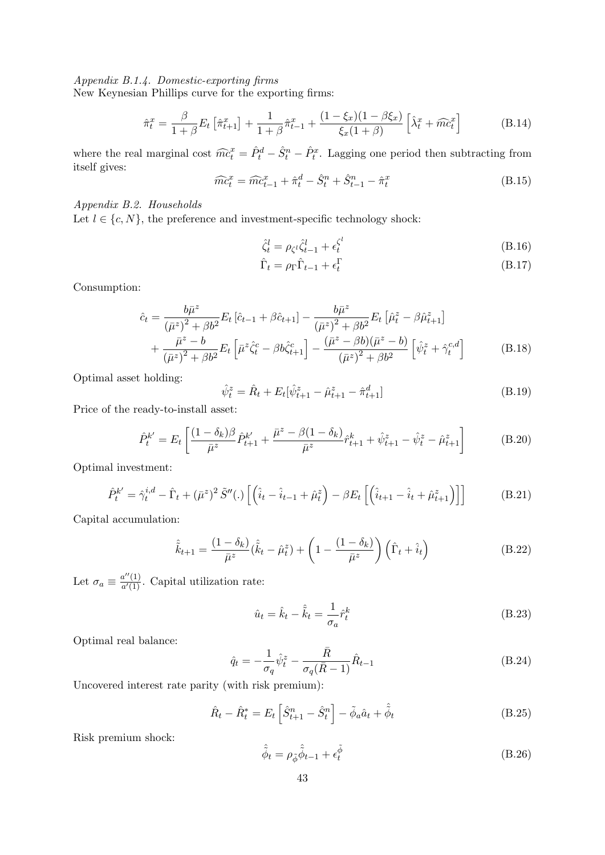*Appendix B.1.4. Domestic-exporting firms*

New Keynesian Phillips curve for the exporting firms:

$$
\hat{\pi}_t^x = \frac{\beta}{1+\beta} E_t \left[ \hat{\pi}_{t+1}^x \right] + \frac{1}{1+\beta} \hat{\pi}_{t-1}^x + \frac{(1-\xi_x)(1-\beta\xi_x)}{\xi_x(1+\beta)} \left[ \hat{\lambda}_t^x + \widehat{mc}_t^x \right] \tag{B.14}
$$

where the real marginal cost  $\widehat{mc}_t^x = \widehat{P}_t^d - \widehat{S}_t^n - \widehat{P}_t^x$ . Lagging one period then subtracting from itself gives:

$$
\widehat{mc}_t^x = \widehat{mc}_{t-1}^x + \widehat{\pi}_t^d - \widehat{S}_t^n + \widehat{S}_{t-1}^n - \widehat{\pi}_t^x
$$
\n(B.15)

## *Appendix B.2. Households*

Let  $l \in \{c, N\}$ , the preference and investment-specific technology shock:

$$
\hat{\zeta}_t^l = \rho_{\zeta^l} \hat{\zeta}_{t-1}^l + \epsilon_t^{\zeta^l}
$$
\n(B.16)

$$
\hat{\Gamma}_t = \rho_{\Gamma} \hat{\Gamma}_{t-1} + \epsilon_t^{\Gamma} \tag{B.17}
$$

Consumption:

$$
\hat{c}_{t} = \frac{b\bar{\mu}^{z}}{(\bar{\mu}^{z})^{2} + \beta b^{2}} E_{t} \left[ \hat{c}_{t-1} + \beta \hat{c}_{t+1} \right] - \frac{b\bar{\mu}^{z}}{(\bar{\mu}^{z})^{2} + \beta b^{2}} E_{t} \left[ \hat{\mu}_{t}^{z} - \beta \hat{\mu}_{t+1}^{z} \right] + \frac{\bar{\mu}^{z} - b}{(\bar{\mu}^{z})^{2} + \beta b^{2}} E_{t} \left[ \bar{\mu}^{z} \hat{\zeta}_{t}^{c} - \beta b \hat{\zeta}_{t+1}^{c} \right] - \frac{(\bar{\mu}^{z} - \beta b)(\bar{\mu}^{z} - b)}{(\bar{\mu}^{z})^{2} + \beta b^{2}} \left[ \hat{\psi}_{t}^{z} + \hat{\gamma}_{t}^{c,d} \right]
$$
(B.18)

Optimal asset holding:

$$
\hat{\psi}_t^z = \hat{R}_t + E_t[\hat{\psi}_{t+1}^z - \hat{\mu}_{t+1}^z - \hat{\pi}_{t+1}^d]
$$
\n(B.19)

Price of the ready-to-install asset:

$$
\hat{P}_t^{k'} = E_t \left[ \frac{(1 - \delta_k)\beta}{\bar{\mu}^z} \hat{P}_{t+1}^{k'} + \frac{\bar{\mu}^z - \beta(1 - \delta_k)}{\bar{\mu}^z} \hat{r}_{t+1}^k + \hat{\psi}_{t+1}^z - \hat{\psi}_t^z - \hat{\mu}_{t+1}^z \right]
$$
(B.20)

Optimal investment:

$$
\hat{P}_t^{k'} = \hat{\gamma}_t^{i,d} - \hat{\Gamma}_t + (\bar{\mu}^z)^2 \tilde{S}''(.) \left[ \left( \hat{i}_t - \hat{i}_{t-1} + \hat{\mu}_t^z \right) - \beta E_t \left[ \left( \hat{i}_{t+1} - \hat{i}_t + \hat{\mu}_{t+1}^z \right) \right] \right]
$$
(B.21)

Capital accumulation:

$$
\hat{\tilde{k}}_{t+1} = \frac{(1 - \delta_k)}{\bar{\mu}^z} (\hat{\tilde{k}}_t - \hat{\mu}_t^z) + \left(1 - \frac{(1 - \delta_k)}{\bar{\mu}^z}\right) (\hat{\Gamma}_t + \hat{i}_t)
$$
\n(B.22)

Let  $\sigma_a \equiv \frac{a''(1)}{a'(1)}$  $\frac{a^{-}(1)}{a'(1)}$ . Capital utilization rate:

$$
\hat{u}_t = \hat{k}_t - \hat{\tilde{k}}_t = \frac{1}{\sigma_a} \hat{r}_t^k
$$
\n(B.23)

Optimal real balance:

$$
\hat{q}_t = -\frac{1}{\sigma_q} \hat{\psi}_t^z - \frac{\bar{R}}{\sigma_q (\bar{R} - 1)} \hat{R}_{t-1}
$$
\n(B.24)

Uncovered interest rate parity (with risk premium):

$$
\hat{R}_t - \hat{R}_t^* = E_t \left[ \hat{S}_{t+1}^n - \hat{S}_t^n \right] - \tilde{\phi}_a \hat{a}_t + \hat{\tilde{\phi}}_t \tag{B.25}
$$

Risk premium shock:

$$
\hat{\phi}_t = \rho_{\tilde{\phi}} \hat{\phi}_{t-1} + \epsilon_t^{\tilde{\phi}} \tag{B.26}
$$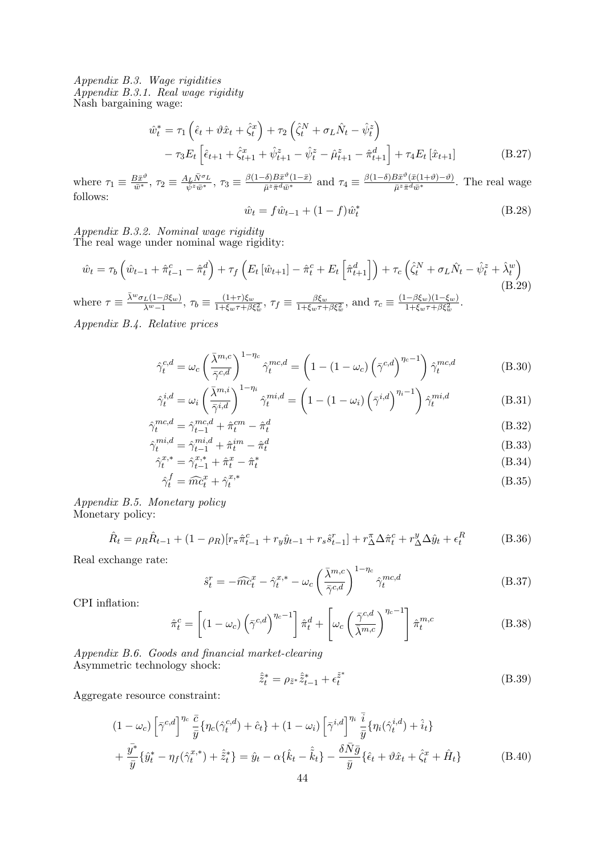*Appendix B.3. Wage rigidities Appendix B.3.1. Real wage rigidity* Nash bargaining wage:

$$
\hat{w}_t^* = \tau_1 \left( \hat{\epsilon}_t + \vartheta \hat{x}_t + \hat{\zeta}_t^x \right) + \tau_2 \left( \hat{\zeta}_t^N + \sigma_L \hat{N}_t - \hat{\psi}_t^z \right) \n- \tau_3 E_t \left[ \hat{\epsilon}_{t+1} + \hat{\zeta}_{t+1}^x + \hat{\psi}_{t+1}^z - \hat{\psi}_t^z - \hat{\mu}_{t+1}^z - \hat{\pi}_{t+1}^d \right] + \tau_4 E_t \left[ \hat{x}_{t+1} \right]
$$
\n(B.27)

where  $\tau_1 \equiv \frac{B\bar{x}^{\vartheta}}{\bar{w}^*}$  $\frac{B\bar{x}^{\vartheta}}{\bar{w}^*},\ \tau_2\equiv\frac{A_L\bar{N}^{\sigma}L}{\bar{\psi}^z\bar{w}^*}$  $\frac{d_L \bar{N}^{\sigma_L}}{\bar{\psi}^z \bar{w}^*}$ ,  $\tau_3 \equiv \frac{\beta(1-\delta)B\bar{x}^{\vartheta}(1-\bar{x})}{\bar{\mu}^z \bar{\pi}^d \bar{w}^*}$  and  $\tau_4 \equiv \frac{\beta(1-\delta)B\bar{x}^{\vartheta}(\bar{x}(1+\vartheta)-\vartheta)}{\bar{\mu}^z \bar{\pi}^d \bar{w}^*}$ . The real wage follows:

$$
\hat{w}_t = f\hat{w}_{t-1} + (1 - f)\hat{w}_t^*
$$
\n(B.28)

*Appendix B.3.2. Nominal wage rigidity* The real wage under nominal wage rigidity:

$$
\hat{w}_t = \tau_b \left( \hat{w}_{t-1} + \hat{\pi}_{t-1}^c - \hat{\pi}_t^d \right) + \tau_f \left( E_t \left[ \hat{w}_{t+1} \right] - \hat{\pi}_t^c + E_t \left[ \hat{\pi}_{t+1}^d \right] \right) + \tau_c \left( \hat{\zeta}_t^N + \sigma_L \hat{N}_t - \hat{\psi}_t^z + \hat{\lambda}_t^w \right)
$$
\n
$$
\text{where } \tau \equiv \frac{\bar{\lambda}^w \sigma_L (1 - \beta \xi_w)}{\bar{\lambda}^w - 1}, \ \tau_b \equiv \frac{(1 + \tau)\xi_w}{1 + \xi_w \tau + \beta \xi_w^2}, \ \tau_f \equiv \frac{\beta \xi_w}{1 + \xi_w \tau + \beta \xi_w^2}, \text{ and } \tau_c \equiv \frac{(1 - \beta \xi_w)(1 - \xi_w)}{1 + \xi_w \tau + \beta \xi_w^2}.
$$
\n(B.29)

*Appendix B.4. Relative prices*

$$
\hat{\gamma}_t^{c,d} = \omega_c \left(\frac{\bar{\lambda}^{m,c}}{\bar{\gamma}^{c,d}}\right)^{1-\eta_c} \hat{\gamma}_t^{mc,d} = \left(1 - (1 - \omega_c) \left(\bar{\gamma}^{c,d}\right)^{\eta_c-1}\right) \hat{\gamma}_t^{mc,d}
$$
(B.30)

$$
\hat{\gamma}_t^{i,d} = \omega_i \left(\frac{\bar{\lambda}^{m,i}}{\bar{\gamma}^{i,d}}\right)^{1-\eta_i} \hat{\gamma}_t^{mi,d} = \left(1 - (1 - \omega_i) \left(\bar{\gamma}^{i,d}\right)^{\eta_i-1}\right) \hat{\gamma}_t^{mi,d} \tag{B.31}
$$

$$
\hat{\gamma}_t^{mc,d} = \hat{\gamma}_{t-1}^{mc,d} + \hat{\pi}_t^{cm} - \hat{\pi}_t^d
$$
\n(B.32)

$$
\hat{\gamma}_t^{mi,d} = \hat{\gamma}_{t-1}^{mi,d} + \hat{\pi}_t^{im} - \hat{\pi}_t^d
$$
\n
$$
\hat{\gamma}_t^{x,*} = \hat{\gamma}_{t-1}^{x,*} + \hat{\pi}_t^x - \hat{\pi}_t^*
$$
\n(B.33)\n(B.34)

$$
\hat{\gamma}_t^f = \widehat{mc}_t^x + \hat{\gamma}_t^{x,*} \tag{B.35}
$$

*Appendix B.5. Monetary policy* Monetary policy:

$$
\hat{R}_t = \rho_R \hat{R}_{t-1} + (1 - \rho_R)[r_\pi \hat{\pi}_{t-1}^c + r_y \hat{y}_{t-1} + r_s \hat{s}_{t-1}^r] + r_\Delta^\pi \Delta \hat{\pi}_t^c + r_\Delta^y \Delta \hat{y}_t + \epsilon_t^R
$$
(B.36)

Real exchange rate:

$$
\hat{s}_t^r = -\widehat{mc}_t^x - \widehat{\gamma}_t^{x,*} - \omega_c \left(\frac{\bar{\lambda}^{m,c}}{\bar{\gamma}^{c,d}}\right)^{1-\eta_c} \widehat{\gamma}_t^{mc,d}
$$
\n(B.37)

CPI inflation:

$$
\hat{\pi}_t^c = \left[ (1 - \omega_c) \left( \bar{\gamma}^{c,d} \right)^{\eta_c - 1} \right] \hat{\pi}_t^d + \left[ \omega_c \left( \frac{\bar{\gamma}^{c,d}}{\bar{\lambda}^{m,c}} \right)^{\eta_c - 1} \right] \hat{\pi}_t^{m,c}
$$
\n(B.38)

*Appendix B.6. Goods and financial market-clearing* Asymmetric technology shock:

$$
\hat{\tilde{z}}_t^* = \rho_{\tilde{z}^*} \hat{\tilde{z}}_{t-1}^* + \epsilon_t^{\tilde{z}^*}
$$
\n(B.39)

Aggregate resource constraint:

$$
(1 - \omega_c) \left[ \bar{\gamma}^{c,d} \right]^{ \eta_c} \frac{\bar{c}}{\bar{y}} \{ \eta_c(\hat{\gamma}_t^{c,d}) + \hat{c}_t \} + (1 - \omega_i) \left[ \bar{\gamma}^{i,d} \right]^{ \eta_i} \frac{\bar{i}}{\bar{y}} \{ \eta_i(\hat{\gamma}_t^{i,d}) + \hat{i}_t \} + \frac{\bar{y^*}}{\bar{y}} \{ \hat{y}_t^* - \eta_f(\hat{\gamma}_t^{x,*}) + \hat{\tilde{z}}_t^* \} = \hat{y}_t - \alpha \{ \hat{k}_t - \hat{\tilde{k}}_t \} - \frac{\delta \bar{N} \bar{g}}{\bar{y}} \{ \hat{\epsilon}_t + \vartheta \hat{x}_t + \hat{\zeta}_t^x + \hat{H}_t \} \tag{B.40}
$$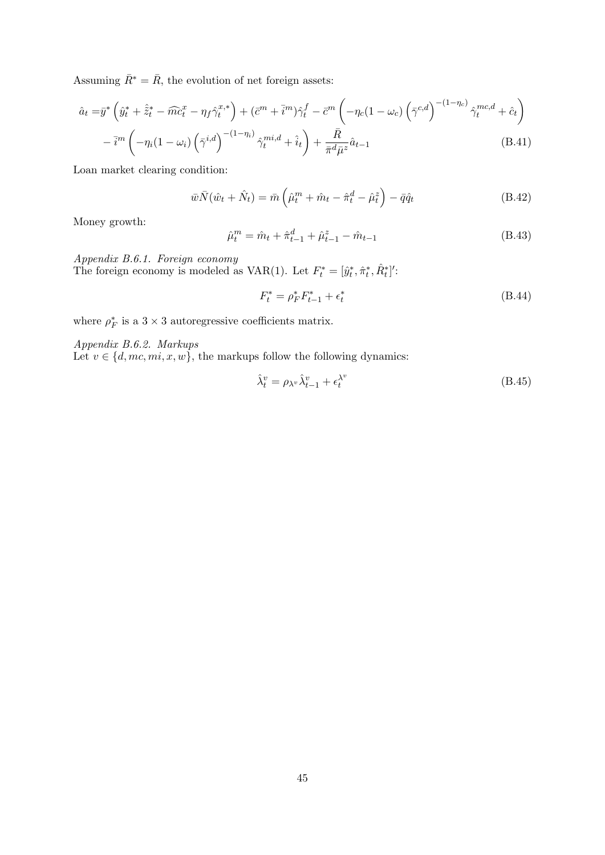Assuming  $\bar{R}^* = \bar{R}$ , the evolution of net foreign assets:

$$
\hat{a}_t = \bar{y}^* \left( \hat{y}_t^* + \hat{\tilde{z}}_t^* - \widehat{mc}_t^x - \eta_f \hat{\gamma}_t^{x,*} \right) + (\bar{c}^m + \bar{i}^m) \hat{\gamma}_t^f - \bar{c}^m \left( -\eta_c (1 - \omega_c) \left( \bar{\gamma}^{c,d} \right)^{-(1 - \eta_c)} \hat{\gamma}_t^{mc,d} + \hat{c}_t \right)
$$

$$
- \bar{i}^m \left( -\eta_i (1 - \omega_i) \left( \bar{\gamma}^{i,d} \right)^{-(1 - \eta_i)} \hat{\gamma}_t^{mi,d} + \hat{i}_t \right) + \frac{\bar{R}}{\bar{\pi}^d \bar{\mu}^z} \hat{a}_{t-1}
$$
(B.41)

Loan market clearing condition:

$$
\bar{w}\bar{N}(\hat{w}_t + \hat{N}_t) = \bar{m}\left(\hat{\mu}_t^m + \hat{m}_t - \hat{\pi}_t^d - \hat{\mu}_t^z\right) - \bar{q}\hat{q}_t
$$
\n(B.42)

Money growth:

$$
\hat{\mu}_t^m = \hat{m}_t + \hat{\pi}_{t-1}^d + \hat{\mu}_{t-1}^z - \hat{m}_{t-1}
$$
\n(B.43)

*Appendix B.6.1. Foreign economy*

The foreign economy is modeled as VAR(1). Let  $F_t^* = [\hat{y}_t^*, \hat{\pi}_t^*, \hat{R}_t^*]'$ .

$$
F_t^* = \rho_F^* F_{t-1}^* + \epsilon_t^* \tag{B.44}
$$

where  $\rho_F^*$  is a 3 × 3 autoregressive coefficients matrix.

*Appendix B.6.2. Markups*

Let  $v \in \{d, mc, mi, x, w\}$ , the markups follow the following dynamics:

$$
\hat{\lambda}_t^v = \rho_{\lambda^v} \hat{\lambda}_{t-1}^v + \epsilon_t^{\lambda^v}
$$
\n(B.45)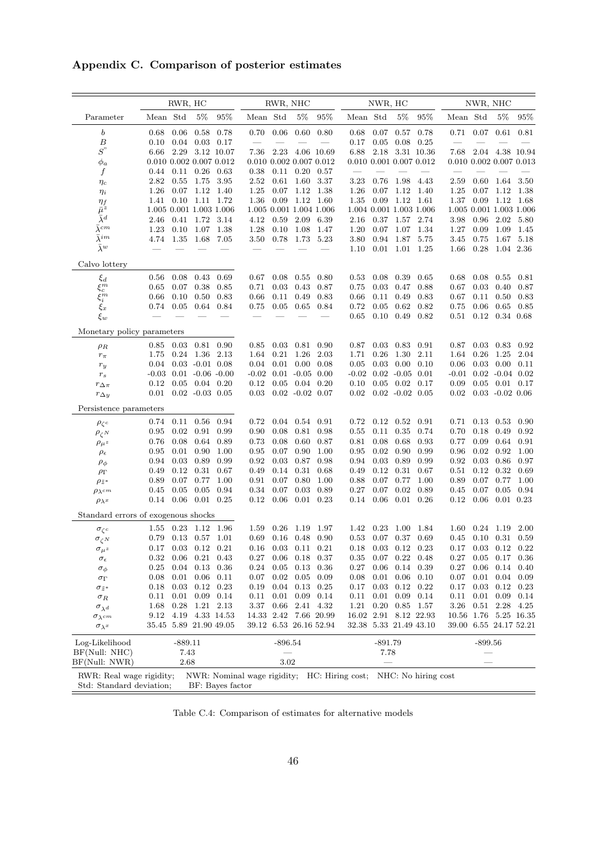## **Appendix C. Comparison of posterior estimates**

|                                                      | RWR, HC  |                                      |                      | RWR, NHC                        |                             |                          | NWR, HC                       |                         |                             |           | NWR, NHC                           |                                 |                             |              |                             |               |
|------------------------------------------------------|----------|--------------------------------------|----------------------|---------------------------------|-----------------------------|--------------------------|-------------------------------|-------------------------|-----------------------------|-----------|------------------------------------|---------------------------------|-----------------------------|--------------|-----------------------------|---------------|
| Parameter                                            | Mean Std |                                      | $5\%$                | 95%                             | Mean Std                    |                          | $5\%$                         | 95%                     | Mean Std                    |           | $5\%$                              | 95%                             | Mean Std                    |              | $5\%$                       | 95%           |
| $\boldsymbol{b}$                                     | 0.68     | 0.06                                 |                      | $0.58$ 0.78                     | 0.70                        | 0.06                     | 0.60                          | 0.80                    | 0.68                        | 0.07      | 0.57                               | 0.78                            | 0.71                        | 0.07         |                             | $0.61$ $0.81$ |
| $\boldsymbol{B}$                                     | 0.10     | 0.04                                 |                      | $0.03$ 0.17                     | $\overline{\phantom{m}}$    | $\overline{\phantom{0}}$ |                               |                         | 0.17                        |           | $0.05$ 0.08                        | 0.25                            | $\equiv$                    |              |                             |               |
| $S^{"}$                                              | 6.66     |                                      |                      | 2.29 3.12 10.07                 | 7.36                        | 2.23                     |                               | 4.06 10.69              | 6.88                        | 2.18      |                                    | 3.31 10.36                      | 7.68                        |              | 2.04 4.38 10.94             |               |
| $\phi_a$                                             |          |                                      |                      | $0.010$ $0.002$ $0.007$ $0.012$ |                             |                          |                               | 0.010 0.002 0.007 0.012 |                             |           |                                    | $0.010$ $0.001$ $0.007$ $0.012$ |                             |              | 0.010 0.002 0.007 0.013     |               |
| $\boldsymbol{f}$                                     |          | $0.44$ $0.11$ $0.26$ $0.63$          |                      |                                 | 0.38                        |                          | $0.11$ $0.20$ $0.57$          |                         |                             |           |                                    |                                 |                             |              |                             |               |
| $\eta_c$                                             | 2.82     |                                      | 0.55 1.75 3.95       |                                 | 2.52                        | 0.61                     | 1.60 3.37                     |                         | 3.23                        | 0.76      | 1.98 4.43                          |                                 | 2.59                        | 0.60         | 1.64 3.50                   |               |
| $\eta_i$                                             | $1.26\,$ |                                      | $0.07$ 1.12 1.40     |                                 | 1.25                        |                          | $0.07$ 1.12 1.38              |                         | 1.26                        |           | $0.07$ 1.12 1.40                   |                                 | 1.25                        |              | $0.07$ 1.12                 | 1.38          |
| $\eta_f$                                             | 1.41     |                                      | $0.10$ $1.11$ $1.72$ |                                 | $1.36\,$                    |                          | $0.09$ 1.12 1.60              |                         | 1.35                        |           | $0.09$ 1.12 1.61                   |                                 | 1.37                        | 0.09         | 1.12                        | 1.68          |
| $\bar{\mu}^z$                                        |          |                                      |                      | 1.005 0.001 1.003 1.006         |                             |                          |                               | 1.005 0.001 1.004 1.006 |                             |           | 1.004 0.001 1.003 1.006            |                                 |                             |              | 1.005 0.001 1.003 1.006     |               |
| $\bar{\lambda}^d$<br>$\bar{\lambda}^{cm}$            | 2.46     |                                      | $0.41$ 1.72 3.14     |                                 | 4.12                        |                          | 0.59 2.09 6.39                |                         | 2.16                        |           | 0.37 1.57 2.74                     |                                 | 3.98                        | 0.96         | 2.02 5.80                   |               |
| $\bar{\lambda}^{im}$                                 | 1.23     |                                      | $0.10$ $1.07$ $1.38$ |                                 | 1.28                        | 0.10                     | $1.08\,$                      | 1.47                    | 1.20                        |           | $0.07$ 1.07 1.34                   |                                 | 1.27                        | 0.09         | 1.09                        | 1.45          |
| $\bar{\lambda}^w$                                    | 4.74     |                                      | 1.35 1.68            | 7.05                            | 3.50                        |                          | 0.78 1.73 5.23                |                         | 3.80                        |           | 0.94 1.87 5.75<br>$0.01$ 1.01 1.25 |                                 | 3.45                        | 0.75<br>0.28 | 1.67 5.18<br>1.04 2.36      |               |
|                                                      |          |                                      |                      |                                 |                             |                          |                               |                         | 1.10                        |           |                                    |                                 | 1.66                        |              |                             |               |
| Calvo lottery                                        |          |                                      |                      |                                 |                             |                          |                               |                         |                             |           |                                    |                                 |                             |              |                             |               |
| $\xi_d$                                              | 0.56     | 0.08                                 | 0.43 0.69            |                                 | 0.67                        | 0.08                     | $0.55\,$                      | 0.80                    | 0.53                        | 0.08      | 0.39                               | 0.65                            | 0.68                        | 0.08         | 0.55                        | 0.81          |
| $\bar{\xi}_c^m$                                      | 0.65     | 0.07                                 | 0.38 0.85            |                                 | 0.71                        | 0.03                     | 0.43                          | 0.87                    | 0.75                        | 0.03      | 0.47                               | 0.88                            | 0.67                        | 0.03         | 0.40                        | 0.87          |
| $\xi_i^m$                                            | 0.66     | 0.10                                 | 0.50                 | 0.83                            | 0.66                        | 0.11                     | 0.49                          | 0.83                    | 0.66                        | 0.11      | 0.49                               | 0.83                            | 0.67                        | 0.11         | 0.50                        | 0.83          |
| $\bar{\xi_x}$                                        | 0.74     | 0.05                                 |                      | 0.64 0.84                       | 0.75                        | 0.05                     | $0.65\,$                      | 0.84                    | 0.72                        | 0.05      | 0.62                               | 0.82                            | 0.75                        | 0.06         | 0.65                        | 0.85          |
| $\xi_w$                                              |          |                                      |                      |                                 |                             |                          |                               |                         | 0.65                        |           | $0.10$ $0.49$ $0.82$               |                                 | 0.51                        |              | $0.12$ $0.34$ $0.68$        |               |
| Monetary policy parameters                           |          |                                      |                      |                                 |                             |                          |                               |                         |                             |           |                                    |                                 |                             |              |                             |               |
| $\rho_R$                                             | 0.85     |                                      | $0.03$ $0.81$ $0.90$ |                                 | 0.85                        |                          | $0.03$ $0.81$ $0.90$          |                         | 0.87                        |           | $0.03$ 0.83 0.91                   |                                 | 0.87                        |              | $0.03$ 0.83 0.92            |               |
| $r_\pi$                                              | 1.75     |                                      | 0.24 1.36 2.13       |                                 | 1.64                        | 0.21                     | 1.26                          | 2.03                    | 1.71                        | 0.26      | 1.30                               | 2.11                            | 1.64                        | 0.26         | 1.25                        | 2.04          |
| $r_y$                                                | 0.04     |                                      | $0.03 - 0.01$ $0.08$ |                                 | 0.04                        |                          | $0.01 \quad 0.00$             | 0.08                    | 0.05                        | 0.03      | 0.00                               | 0.10                            | 0.06                        | 0.03         | 0.00                        | 0.11          |
| $r_{\scriptscriptstyle S}$                           |          | $-0.03$ $0.01$ $-0.06$ $-0.00$       |                      |                                 |                             |                          | $-0.02$ $0.01$ $-0.05$ $0.00$ |                         |                             |           | $-0.02$ $0.02$ $-0.05$ $0.01$      |                                 | $-0.01$                     |              | $0.02 - 0.04 0.02$          |               |
| $r_{\Delta \pi}$                                     |          | $0.12$ $0.05$ $0.04$ $0.20$          |                      |                                 | 0.12                        |                          | $0.05$ $0.04$ $0.20$          |                         | 0.10                        |           | $0.05$ $0.02$ $0.17$               |                                 | 0.09                        |              | $0.05$ $0.01$ $0.17$        |               |
| $r_{\Delta y}$                                       |          | $0.01$ $0.02$ $-0.03$ $0.05$         |                      |                                 |                             |                          | $0.03$ $0.02$ $-0.02$ $0.07$  |                         | 0.02                        |           | $0.02 -0.02 0.05$                  |                                 | 0.02                        |              | $0.03 - 0.02 0.06$          |               |
| Persistence parameters                               |          |                                      |                      |                                 |                             |                          |                               |                         |                             |           |                                    |                                 |                             |              |                             |               |
| $\rho_{\zeta^c}$                                     |          | $0.74$ $0.11$ $0.56$ $0.94$          |                      |                                 | 0.72                        |                          | $0.04$ $0.54$ $0.91$          |                         | 0.72                        |           | $0.12$ $0.52$ $0.91$               |                                 | 0.71                        | 0.13         | 0.53                        | 0.90          |
| $\rho_{\zeta^N}$                                     | 0.95     | 0.02                                 | 0.91                 | 0.99                            | 0.90                        | 0.08                     | 0.81                          | 0.98                    | $0.55\,$                    | 0.11      | 0.35                               | 0.74                            | 0.70                        | 0.18         | 0.49                        | 0.92          |
| $\rho_{\mu^z}$                                       | 0.76     | 0.08                                 |                      | 0.64 0.89                       | 0.73                        | 0.08                     | 0.60                          | 0.87                    | 0.81                        | 0.08      | 0.68                               | 0.93                            | 0.77                        | 0.09         | 0.64                        | 0.91          |
| $\rho_\epsilon$                                      | 0.95     | 0.01                                 | 0.90                 | 1.00                            | 0.95                        | 0.07                     | 0.90                          | 1.00                    | 0.95                        | 0.02      | 0.90                               | 0.99                            | 0.96                        | 0.02         | 0.92                        | 1.00          |
| $\rho_{\phi}$                                        | 0.94     | 0.03                                 | 0.89                 | 0.99                            | 0.92                        | 0.03                     | 0.87                          | 0.98                    | 0.94                        | 0.03      | 0.89                               | 0.99                            | 0.92                        | 0.03         | 0.86                        | 0.97          |
| $\rho_{\Gamma}$                                      | 0.49     | 0.12                                 | 0.31                 | 0.67                            | 0.49                        | 0.14                     | 0.31                          | 0.68                    | 0.49                        | 0.12      | 0.31                               | 0.67                            | 0.51                        | 0.12         | 0.32                        | 0.69          |
| $\rho_{\tilde{z}^*}$                                 | 0.89     | 0.07                                 | 0.77                 | 1.00                            | 0.91                        | 0.07                     | 0.80                          | 1.00                    | 0.88                        | 0.07      | 0.77                               | 1.00                            | 0.89                        | 0.07         | 0.77                        | 1.00          |
| $\rho_{\lambda}$ cm                                  | 0.45     | 0.05                                 |                      | 0.05 0.94                       | 0.34                        | 0.07                     | 0.03                          | 0.89                    | 0.27                        | 0.07      | 0.02                               | 0.89                            | 0.45                        |              | $0.07$ 0.05                 | 0.94          |
| $\rho_{\lambda^x}$                                   |          | $0.14$ $0.06$ $0.01$ $0.25$          |                      |                                 | 0.12                        |                          | $0.06$ $0.01$ $0.23$          |                         | 0.14                        |           | $0.06$ $0.01$ $0.26$               |                                 | 0.12                        |              | $0.06$ $0.01$ $0.23$        |               |
| Standard errors of exogenous shocks                  |          |                                      |                      |                                 |                             |                          |                               |                         |                             |           |                                    |                                 |                             |              |                             |               |
| $\sigma_{\zeta^c}$                                   |          | 1.55 0.23 1.12 1.96                  |                      |                                 | 1.59                        |                          | $0.26$ 1.19 1.97              |                         |                             |           | 1.42 0.23 1.00 1.84                |                                 |                             |              | 1.60 0.24 1.19              | 2.00          |
| $\sigma_{\zeta^N}$                                   |          | $0.79$ $0.13$ $0.57$ $1.01$          |                      |                                 |                             |                          | $0.69$ $0.16$ $0.48$ $0.90$   |                         |                             |           | 0.53 0.07 0.37 0.69                |                                 |                             |              | $0.45$ $0.10$ $0.31$ $0.59$ |               |
| $\sigma_{\bm{\mu}}$ z                                |          | $0.17\quad 0.03\quad 0.12\quad 0.21$ |                      |                                 |                             |                          | $0.16$ $0.03$ $0.11$ $0.21$   |                         | $0.18$ $0.03$ $0.12$ $0.23$ |           |                                    |                                 | $0.17$ $0.03$ $0.12$ $0.22$ |              |                             |               |
| $\sigma_{\epsilon}$                                  | 0.32     |                                      | $0.06$ $0.21$ $0.43$ |                                 | 0.27                        |                          | $0.06$ $0.18$ $0.37$          |                         | $0.35\,$                    |           | $0.07$ 0.22 0.48                   |                                 | 0.27                        | 0.05         | $0.17$ 0.36                 |               |
| $\sigma_{\phi}$                                      | 0.25     | 0.04                                 | 0.13                 | 0.36                            | 0.24                        | 0.05                     | 0.13                          | 0.36                    | 0.27                        | 0.06      | 0.14                               | 0.39                            | 0.27                        | 0.06         | 0.14                        | 0.40          |
| $\sigma_{\Gamma}$                                    | 0.08     | 0.01                                 | 0.06                 | 0.11                            | $0.07\,$                    | 0.02                     | 0.05                          | 0.09                    | 0.08                        | 0.01      | 0.06                               | 0.10                            | 0.07                        | 0.01         | 0.04                        | 0.09          |
| $\sigma_{\tilde{z}^*}$                               | 0.18     | 0.03                                 | $0.12\,$             | 0.23                            | 0.19                        | 0.04                     | $0.13\,$                      | 0.25                    | $0.17\,$                    | 0.03      | 0.12                               | 0.22                            | 0.17                        | 0.03         | 0.12                        | 0.23          |
| $\sigma_R$                                           | 0.11     | 0.01                                 | 0.09                 | 0.14                            | 0.11                        | 0.01                     | 0.09                          | 0.14                    | 0.11                        | 0.01      | 0.09                               | 0.14                            | 0.11                        | 0.01         | 0.09                        | 0.14          |
| $\sigma_{\lambda^d}$                                 | 1.68     | 0.28                                 |                      | 1.21 2.13                       | 3.37                        |                          | 0.66 2.41 4.32                |                         | 1.21                        | 0.20      | 0.85                               | $1.57\,$                        | 3.26                        | 0.51         | 2.28                        | 4.25          |
| $\sigma_{\lambda}$ cm                                | 9.12     | 4.19                                 |                      | 4.33 14.53                      |                             |                          |                               | 14.33 2.42 7.66 20.99   |                             |           | 16.02 2.91 8.12 22.93              |                                 |                             |              | 10.56 1.76 5.25 16.35       |               |
| $\sigma_{\lambda} x$                                 |          |                                      |                      | 35.45 5.89 21.90 49.05          |                             |                          |                               | 39.12 6.53 26.16 52.94  |                             |           | 32.38 5.33 21.49 43.10             |                                 |                             |              | 39.00 6.55 24.17 52.21      |               |
| Log-Likelihood                                       |          | $-889.11$                            |                      |                                 |                             | $-896.54$                |                               |                         |                             | $-891.79$ |                                    |                                 |                             | -899.56      |                             |               |
| BF(Null: NHC)                                        |          | 7.43                                 |                      |                                 |                             |                          |                               |                         |                             | 7.78      |                                    |                                 |                             |              |                             |               |
| BF(Null: NWR)                                        |          | 2.68                                 |                      |                                 |                             | 3.02                     |                               |                         |                             |           |                                    |                                 |                             |              |                             |               |
| RWR: Real wage rigidity;<br>Std: Standard deviation; |          |                                      |                      | BF: Bayes factor                | NWR: Nominal wage rigidity; |                          |                               |                         | HC: Hiring cost;            |           |                                    | NHC: No hiring cost             |                             |              |                             |               |

Table C.4: Comparison of estimates for alternative models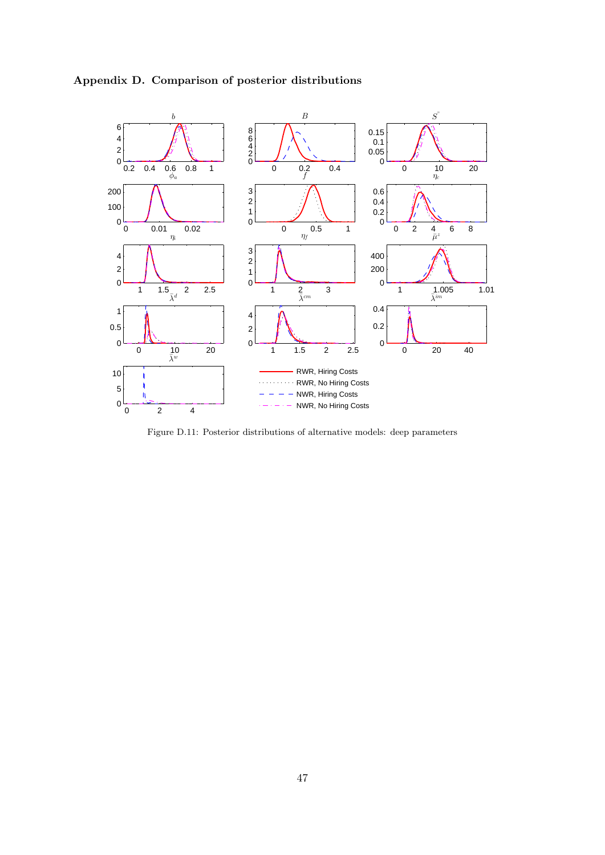

**Appendix D. Comparison of posterior distributions**

Figure D.11: Posterior distributions of alternative models: deep parameters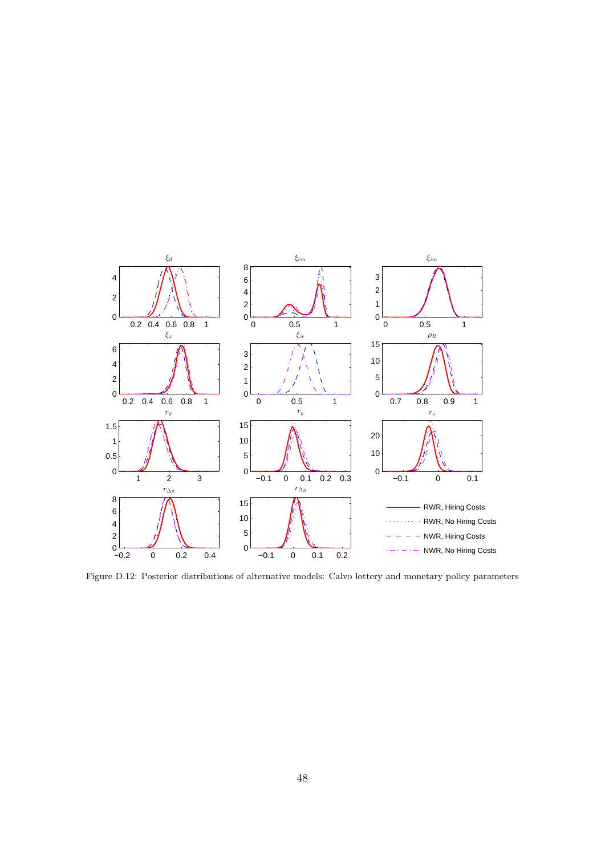

Figure D.12: Posterior distributions of alternative models: Calvo lottery and monetary policy parameters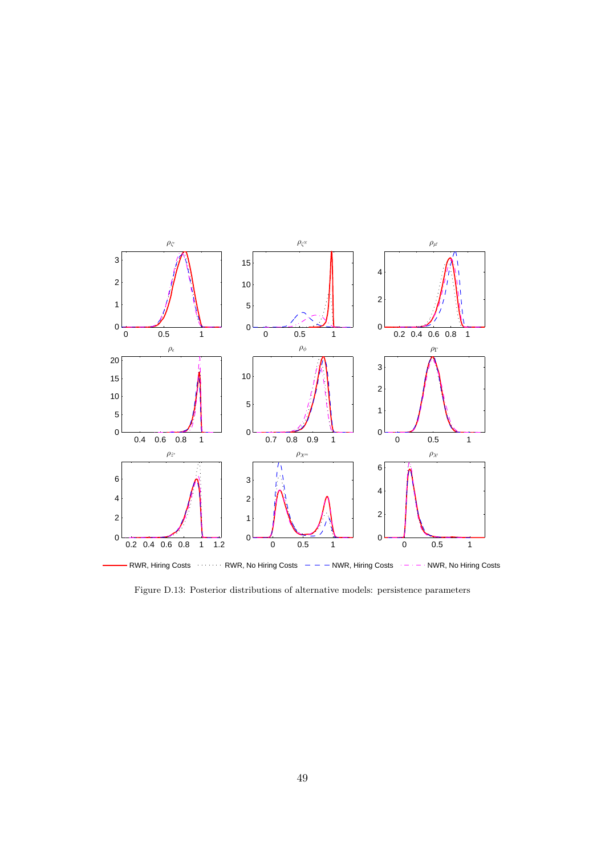

Figure D.13: Posterior distributions of alternative models: persistence parameters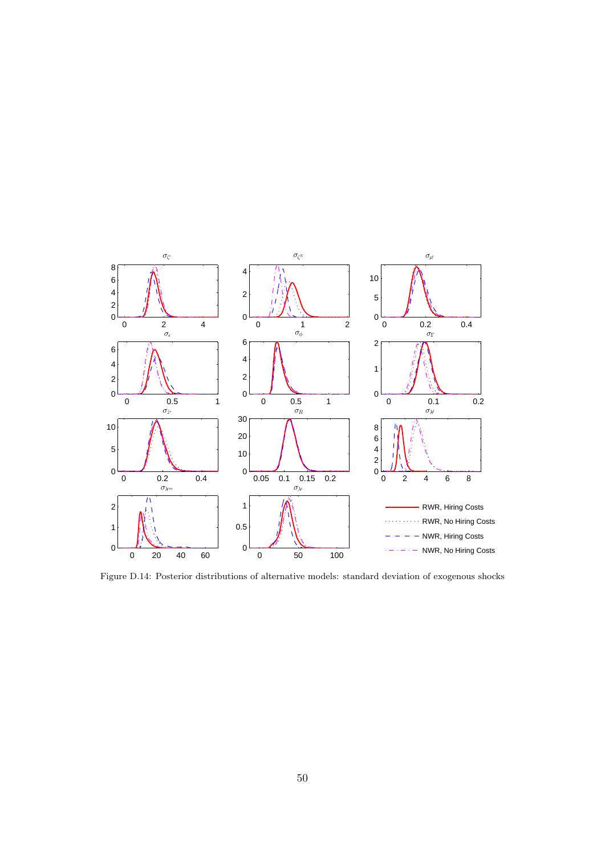

Figure D.14: Posterior distributions of alternative models: standard deviation of exogenous shocks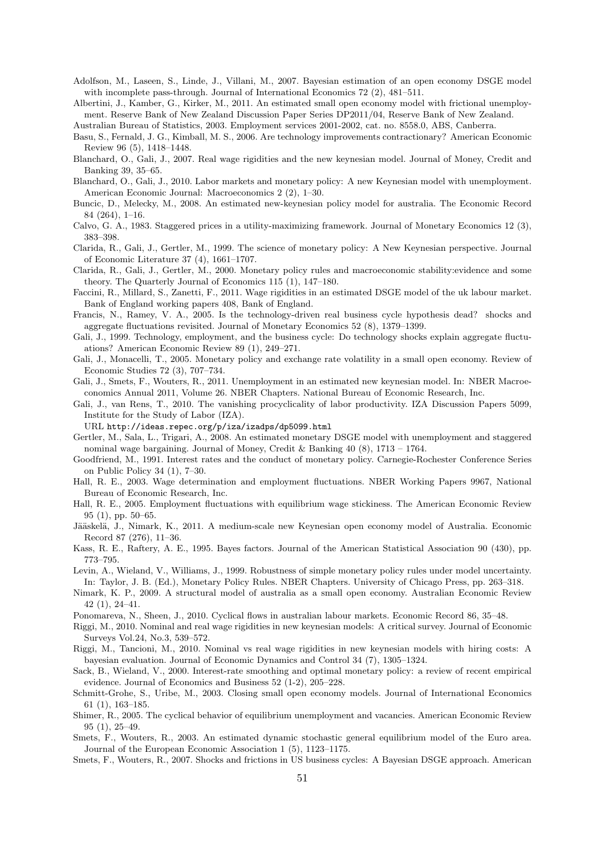- Adolfson, M., Laseen, S., Linde, J., Villani, M., 2007. Bayesian estimation of an open economy DSGE model with incomplete pass-through. Journal of International Economics 72 (2), 481-511.
- Albertini, J., Kamber, G., Kirker, M., 2011. An estimated small open economy model with frictional unemployment. Reserve Bank of New Zealand Discussion Paper Series DP2011/04, Reserve Bank of New Zealand.

Australian Bureau of Statistics, 2003. Employment services 2001-2002, cat. no. 8558.0, ABS, Canberra.

- Basu, S., Fernald, J. G., Kimball, M. S., 2006. Are technology improvements contractionary? American Economic Review 96 (5), 1418–1448.
- Blanchard, O., Gali, J., 2007. Real wage rigidities and the new keynesian model. Journal of Money, Credit and Banking 39, 35–65.
- Blanchard, O., Gali, J., 2010. Labor markets and monetary policy: A new Keynesian model with unemployment. American Economic Journal: Macroeconomics 2 (2), 1–30.
- Buncic, D., Melecky, M., 2008. An estimated new-keynesian policy model for australia. The Economic Record 84 (264), 1–16.
- Calvo, G. A., 1983. Staggered prices in a utility-maximizing framework. Journal of Monetary Economics 12 (3), 383–398.
- Clarida, R., Gali, J., Gertler, M., 1999. The science of monetary policy: A New Keynesian perspective. Journal of Economic Literature 37 (4), 1661–1707.
- Clarida, R., Gali, J., Gertler, M., 2000. Monetary policy rules and macroeconomic stability:evidence and some theory. The Quarterly Journal of Economics 115 (1), 147–180.
- Faccini, R., Millard, S., Zanetti, F., 2011. Wage rigidities in an estimated DSGE model of the uk labour market. Bank of England working papers 408, Bank of England.
- Francis, N., Ramey, V. A., 2005. Is the technology-driven real business cycle hypothesis dead? shocks and aggregate fluctuations revisited. Journal of Monetary Economics 52 (8), 1379–1399.
- Gali, J., 1999. Technology, employment, and the business cycle: Do technology shocks explain aggregate fluctuations? American Economic Review 89 (1), 249–271.
- Gali, J., Monacelli, T., 2005. Monetary policy and exchange rate volatility in a small open economy. Review of Economic Studies 72 (3), 707–734.
- Gali, J., Smets, F., Wouters, R., 2011. Unemployment in an estimated new keynesian model. In: NBER Macroeconomics Annual 2011, Volume 26. NBER Chapters. National Bureau of Economic Research, Inc.
- Gali, J., van Rens, T., 2010. The vanishing procyclicality of labor productivity. IZA Discussion Papers 5099, Institute for the Study of Labor (IZA).

URL http://ideas.repec.org/p/iza/izadps/dp5099.html

- Gertler, M., Sala, L., Trigari, A., 2008. An estimated monetary DSGE model with unemployment and staggered nominal wage bargaining. Journal of Money, Credit & Banking 40 (8), 1713 – 1764.
- Goodfriend, M., 1991. Interest rates and the conduct of monetary policy. Carnegie-Rochester Conference Series on Public Policy 34 (1), 7–30.
- Hall, R. E., 2003. Wage determination and employment fluctuations. NBER Working Papers 9967, National Bureau of Economic Research, Inc.
- Hall, R. E., 2005. Employment fluctuations with equilibrium wage stickiness. The American Economic Review 95 (1), pp. 50–65.
- Jääskelä, J., Nimark, K., 2011. A medium-scale new Keynesian open economy model of Australia. Economic Record 87 (276), 11–36.
- Kass, R. E., Raftery, A. E., 1995. Bayes factors. Journal of the American Statistical Association 90 (430), pp. 773–795.
- Levin, A., Wieland, V., Williams, J., 1999. Robustness of simple monetary policy rules under model uncertainty. In: Taylor, J. B. (Ed.), Monetary Policy Rules. NBER Chapters. University of Chicago Press, pp. 263–318.
- Nimark, K. P., 2009. A structural model of australia as a small open economy. Australian Economic Review 42 (1), 24–41.
- Ponomareva, N., Sheen, J., 2010. Cyclical flows in australian labour markets. Economic Record 86, 35–48.
- Riggi, M., 2010. Nominal and real wage rigidities in new keynesian models: A critical survey. Journal of Economic Surveys Vol.24, No.3, 539–572.
- Riggi, M., Tancioni, M., 2010. Nominal vs real wage rigidities in new keynesian models with hiring costs: A bayesian evaluation. Journal of Economic Dynamics and Control 34 (7), 1305–1324.
- Sack, B., Wieland, V., 2000. Interest-rate smoothing and optimal monetary policy: a review of recent empirical evidence. Journal of Economics and Business 52 (1-2), 205–228.
- Schmitt-Grohe, S., Uribe, M., 2003. Closing small open economy models. Journal of International Economics 61 (1), 163–185.
- Shimer, R., 2005. The cyclical behavior of equilibrium unemployment and vacancies. American Economic Review 95 (1), 25–49.
- Smets, F., Wouters, R., 2003. An estimated dynamic stochastic general equilibrium model of the Euro area. Journal of the European Economic Association 1 (5), 1123–1175.
- Smets, F., Wouters, R., 2007. Shocks and frictions in US business cycles: A Bayesian DSGE approach. American